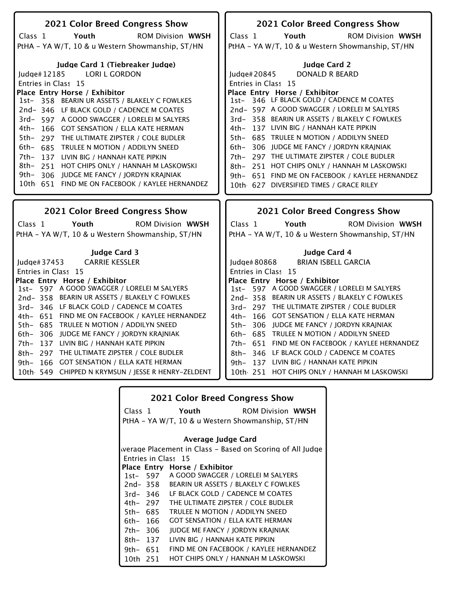| <b>2021 Color Breed Congress Show</b>                                                  | 2021 Color Breed Congress Show                                                          |
|----------------------------------------------------------------------------------------|-----------------------------------------------------------------------------------------|
| Youth<br><b>ROM Division WWSH</b><br>Class 1                                           | Class 1<br>Youth<br><b>ROM Division WWSH</b>                                            |
| PtHA - YA W/T, 10 & u Western Showmanship, ST/HN                                       | PtHA - YA W/T, 10 & u Western Showmanship, ST/HN                                        |
|                                                                                        |                                                                                         |
| Judge Card 1 (Tiebreaker Judge)                                                        | <b>Judge Card 2</b>                                                                     |
| Judge#12185<br><b>LORI L GORDON</b>                                                    | Judge#20845<br>DONALD R BEARD                                                           |
| Entries in Class 15                                                                    | Entries in Class 15                                                                     |
| Place Entry Horse / Exhibitor                                                          | Place Entry Horse / Exhibitor                                                           |
| 1st- 358 BEARIN UR ASSETS / BLAKELY C FOWLKES                                          | 1st- 346 LF BLACK GOLD / CADENCE M COATES                                               |
| 2nd-346 LF BLACK GOLD / CADENCE M COATES                                               | 2nd- 597 A GOOD SWAGGER / LORELEI M SALYERS                                             |
| 3rd- 597 A GOOD SWAGGER / LORELEI M SALYERS                                            | 3rd-358 BEARIN UR ASSETS / BLAKELY C FOWLKES                                            |
| 4th- 166 GOT SENSATION / ELLA KATE HERMAN                                              | 4th- 137 LIVIN BIG / HANNAH KATE PIPKIN                                                 |
| 5th- 297 THE ULTIMATE ZIPSTER / COLE BUDLER                                            | 5th- 685 TRULEE N MOTION / ADDILYN SNEED                                                |
| 6th- 685 TRULEE N MOTION / ADDILYN SNEED                                               | 6th-306 JUDGE ME FANCY / JORDYN KRAJNIAK                                                |
| 7th-<br>137 LIVIN BIG / HANNAH KATE PIPKIN                                             | 7th- 297 THE ULTIMATE ZIPSTER / COLE BUDLER                                             |
| 8th- 251 HOT CHIPS ONLY / HANNAH M LASKOWSKI                                           | 8th- 251 HOT CHIPS ONLY / HANNAH M LASKOWSKI                                            |
| 306 JUDGE ME FANCY / JORDYN KRAJNIAK<br>9th–                                           | 9th- 651 FIND ME ON FACEBOOK / KAYLEE HERNANDEZ                                         |
| 10th 651 FIND ME ON FACEBOOK / KAYLEE HERNANDEZ                                        | 10th 627 DIVERSIFIED TIMES / GRACE RILEY                                                |
|                                                                                        |                                                                                         |
|                                                                                        |                                                                                         |
| 2021 Color Breed Congress Show                                                         | 2021 Color Breed Congress Show                                                          |
| Youth<br><b>ROM Division WWSH</b><br>Class 1                                           | Class <sub>1</sub><br>Youth<br><b>ROM Division WWSH</b>                                 |
| PtHA - YA W/T, 10 & u Western Showmanship, ST/HN                                       | PtHA - YA W/T, 10 & u Western Showmanship, ST/HN                                        |
|                                                                                        |                                                                                         |
| <b>Judge Card 3</b>                                                                    | Judge Card 4                                                                            |
| <b>CARRIE KESSLER</b><br>Judge# 37453                                                  | <b>BRIAN ISBELL GARCIA</b><br>Judge# 80868                                              |
| Entries in Class 15                                                                    | Entries in Class 15                                                                     |
| Place Entry Horse / Exhibitor                                                          | Place Entry Horse / Exhibitor                                                           |
| 1st- 597 A GOOD SWAGGER / LORELEI M SALYERS                                            | 1st- 597 A GOOD SWAGGER / LORELEI M SALYERS                                             |
| 2nd-358 BEARIN UR ASSETS / BLAKELY C FOWLKES                                           | 2nd-358 BEARIN UR ASSETS / BLAKELY C FOWLKES                                            |
| 3rd-346 LF BLACK GOLD / CADENCE M COATES                                               | 3rd- 297 THE ULTIMATE ZIPSTER / COLE BUDLER                                             |
| 4th- 651 FIND ME ON FACEBOOK / KAYLEE HERNANDEZ                                        | 4th- 166 GOT SENSATION / ELLA KATE HERMAN                                               |
| 5th- 685 TRULEE N MOTION / ADDILYN SNEED                                               | 5th- 306 JUDGE ME FANCY / JORDYN KRAJNIAK                                               |
| 306 JUDGE ME FANCY / JORDYN KRAJNIAK<br>6th-                                           | 6th- 685 TRULEE N MOTION / ADDILYN SNEED                                                |
| 7th- 137 LIVIN BIG / HANNAH KATE PIPKIN<br>8th- 297 THE ULTIMATE ZIPSTER / COLE BUDLER | 7th- 651 FIND ME ON FACEBOOK / KAYLEE HERNANDEZ                                         |
| 166 GOT SENSATION / ELLA KATE HERMAN<br>9th-                                           | 8th- 346 LF BLACK GOLD / CADENCE M COATES                                               |
| 10th 549 CHIPPED N KRYMSUN / JESSE R HENRY-ZELDENT                                     | 9th- 137 LIVIN BIG / HANNAH KATE PIPKIN<br>10th 251 HOT CHIPS ONLY / HANNAH M LASKOWSKI |
|                                                                                        |                                                                                         |

|            |          | <b>2021 Color Breed Congress Show</b>            |                                                           |
|------------|----------|--------------------------------------------------|-----------------------------------------------------------|
|            | Class 1  | Youth                                            | <b>ROM Division WWSH</b>                                  |
|            |          | PtHA - YA W/T, 10 & u Western Showmanship, ST/HN |                                                           |
|            |          | Average Judge Card                               |                                                           |
|            |          |                                                  | werage Placement in Class – Based on Scoring of All Judge |
|            |          | Entries in Class 15                              |                                                           |
|            |          | Place Entry Horse / Exhibitor                    |                                                           |
|            | 1st- 597 | A GOOD SWAGGER / LORELEI M SALYERS               |                                                           |
|            | 2nd- 358 | BEARIN UR ASSETS / BLAKELY C FOWLKES             |                                                           |
|            | 3rd-346  | LF BLACK GOLD / CADENCE M COATES                 |                                                           |
|            | 4th– 297 | THE ULTIMATE ZIPSTER / COLE BUDLER               |                                                           |
| 5th- 685   |          | TRULEE N MOTION / ADDILYN SNEED                  |                                                           |
| 6th- 166   |          | <b>GOT SENSATION / ELLA KATE HERMAN</b>          |                                                           |
| 7th- 306   |          | <b>JUDGE ME FANCY / JORDYN KRAJNIAK</b>          |                                                           |
| 8th- 137   |          | LIVIN BIG / HANNAH KATE PIPKIN                   |                                                           |
| 9th- $651$ |          |                                                  | FIND ME ON FACEBOOK / KAYLEE HERNANDEZ                    |
| 10th 251   |          | HOT CHIPS ONLY / HANNAH M LASKOWSKI              |                                                           |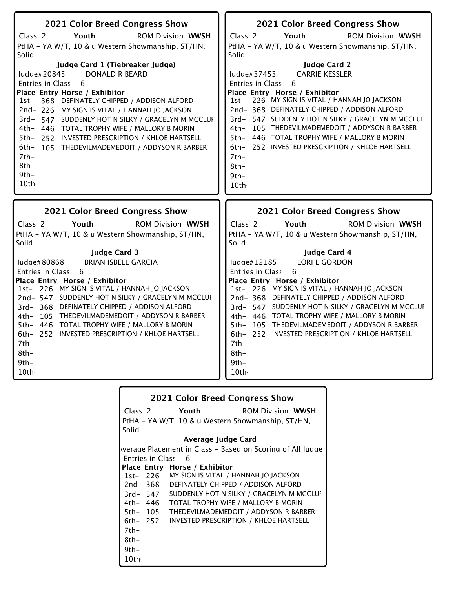| 2021 Color Breed Congress Show                                                                   | 2021 Color Breed Congress Show                                                                 |
|--------------------------------------------------------------------------------------------------|------------------------------------------------------------------------------------------------|
| Class <sub>2</sub><br>Youth<br><b>ROM Division WWSH</b>                                          | Class <sub>2</sub><br>Youth<br><b>ROM Division WWSH</b>                                        |
| PtHA - YA W/T, 10 & u Western Showmanship, ST/HN,                                                | PtHA - YA W/T, 10 & u Western Showmanship, ST/HN,                                              |
| Solid                                                                                            | Solid                                                                                          |
| Judge Card 1 (Tiebreaker Judge)                                                                  | <b>Judge Card 2</b>                                                                            |
| <b>DONALD R BEARD</b><br>Judge#20845                                                             | <b>CARRIE KESSLER</b><br>Judge#37453                                                           |
| Entries in Class<br>6                                                                            | Entries in Class<br>6                                                                          |
| Place Entry Horse / Exhibitor                                                                    | Place Entry Horse / Exhibitor<br>1st- 226 MY SIGN IS VITAL / HANNAH JO JACKSON                 |
| 368 DEFINATELY CHIPPED / ADDISON ALFORD<br>$1st-$                                                | 2nd-368 DEFINATELY CHIPPED / ADDISON ALFORD                                                    |
| 2nd-226 MY SIGN IS VITAL / HANNAH JO JACKSON<br>3rd-547 SUDDENLY HOT N SILKY / GRACELYN M MCCLUI | 3rd- 547 SUDDENLY HOT N SILKY / GRACELYN M MCCLUI                                              |
| 4th- 446 TOTAL TROPHY WIFE / MALLORY B MORIN                                                     | 105 THEDEVILMADEMEDOIT / ADDYSON R BARBER<br>4th–                                              |
| 5th- 252 INVESTED PRESCRIPTION / KHLOE HARTSELL                                                  | 446 TOTAL TROPHY WIFE / MALLORY B MORIN<br>$5th-$                                              |
| 6th-<br>105 THEDEVILMADEMEDOIT / ADDYSON R BARBER                                                | 6th- 252 INVESTED PRESCRIPTION / KHLOE HARTSELL                                                |
| $7th-$                                                                                           | $7th-$                                                                                         |
| $8th-$                                                                                           | 8th-                                                                                           |
| $9th-$                                                                                           | $9th -$                                                                                        |
| 10th                                                                                             | 10th                                                                                           |
|                                                                                                  |                                                                                                |
|                                                                                                  |                                                                                                |
| 2021 Color Breed Congress Show                                                                   | 2021 Color Breed Congress Show                                                                 |
| Class <sub>2</sub><br>Youth<br><b>ROM Division WWSH</b>                                          | Class <sub>2</sub><br>Youth<br><b>ROM Division WWSH</b>                                        |
| PtHA - YA W/T, 10 & u Western Showmanship, ST/HN,<br>Solid                                       | PtHA - YA W/T, 10 & u Western Showmanship, ST/HN,<br>Solid                                     |
| <b>Judge Card 3</b>                                                                              | Judge Card 4                                                                                   |
| <b>BRIAN ISBELL GARCIA</b><br>Judge# 80868                                                       | <b>LORI L GORDON</b><br>Judge#12185                                                            |
| Entries in Class<br>6                                                                            | Entries in Class<br>6                                                                          |
| Place Entry Horse / Exhibitor                                                                    | Place Entry Horse / Exhibitor                                                                  |
| 1st- 226 MY SIGN IS VITAL / HANNAH JO JACKSON                                                    | 1st- 226 MY SIGN IS VITAL / HANNAH JO JACKSON                                                  |
| 2nd- 547 SUDDENLY HOT N SILKY / GRACELYN M MCCLUI                                                | 2nd-368 DEFINATELY CHIPPED / ADDISON ALFORD                                                    |
| 3rd-368 DEFINATELY CHIPPED / ADDISON ALFORD                                                      | 3rd- 547 SUDDENLY HOT N SILKY / GRACELYN M MCCLUI                                              |
| 4th- 105 THEDEVILMADEMEDOIT / ADDYSON R BARBER                                                   | 4th- 446 TOTAL TROPHY WIFE / MALLORY B MORIN<br>5th- 105 THEDEVILMADEMEDOIT / ADDYSON R BARBER |
| 5th- 446 TOTAL TROPHY WIFE / MALLORY B MORIN<br>6th- 252 INVESTED PRESCRIPTION / KHLOE HARTSELL  | 6th- 252 INVESTED PRESCRIPTION / KHLOE HARTSELL                                                |
| $7th-$                                                                                           | $7th-$                                                                                         |
| $8th-$                                                                                           | $8th-$                                                                                         |
| 9th-                                                                                             | $9th-$                                                                                         |

|       |          |                               | <b>2021 Color Breed Congress Show</b>                     |
|-------|----------|-------------------------------|-----------------------------------------------------------|
|       |          | Class 2 Youth                 | <b>ROM Division WWSH</b>                                  |
|       |          |                               | PtHA - YA W/T, 10 & u Western Showmanship, ST/HN,         |
| Solid |          |                               |                                                           |
|       |          | Average Judge Card            |                                                           |
|       |          |                               | werage Placement in Class - Based on Scoring of All Judge |
|       |          | <b>Entries in Class 6</b>     |                                                           |
|       |          | Place Entry Horse / Exhibitor |                                                           |
|       |          |                               | 1st- 226 MY SIGN IS VITAL / HANNAH JO JACKSON             |
|       | 2nd- 368 |                               | DEFINATELY CHIPPED / ADDISON ALFORD                       |
|       | 3rd- 547 |                               | SUDDENLY HOT N SILKY / GRACELYN M MCCLUI                  |
|       | 4th– 446 |                               | TOTAL TROPHY WIFE / MALLORY B MORIN                       |
|       | 5th- 105 |                               | THEDEVILMADEMEDOIT / ADDYSON R BARBER                     |
|       | 6th– 252 |                               | INVESTED PRESCRIPTION / KHLOE HARTSELL                    |
| 7th-  |          |                               |                                                           |
| 8th-  |          |                               |                                                           |
| 9th-  |          |                               |                                                           |
| 10th  |          |                               |                                                           |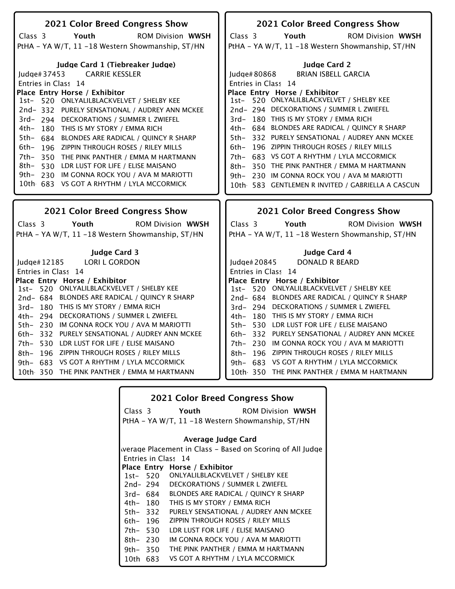| 2021 Color Breed Congress Show                                                                      | 2021 Color Breed Congress Show                                                                 |
|-----------------------------------------------------------------------------------------------------|------------------------------------------------------------------------------------------------|
| Class 3<br>Youth<br><b>ROM Division WWSH</b>                                                        | Youth<br>Class 3<br><b>ROM Division WWSH</b>                                                   |
| PtHA - YA W/T, 11 -18 Western Showmanship, ST/HN                                                    | PtHA - YA W/T, 11 -18 Western Showmanship, ST/HN                                               |
|                                                                                                     |                                                                                                |
| Judge Card 1 (Tiebreaker Judge)                                                                     | <b>Judge Card 2</b>                                                                            |
| <b>CARRIE KESSLER</b><br>ludge# $37453$                                                             | Judge#80868<br><b>BRIAN ISBELL GARCIA</b>                                                      |
| Entries in Class 14                                                                                 | Entries in Class 14                                                                            |
| Place Entry Horse / Exhibitor                                                                       | Place Entry Horse / Exhibitor                                                                  |
| 1st- 520 ONLYALILBLACKVELVET / SHELBY KEE                                                           | 1st- 520 ONLYALILBLACKVELVET / SHELBY KEE                                                      |
| 2nd-332 PURELY SENSATIONAL / AUDREY ANN MCKEE                                                       | 2nd-294 DECKORATIONS / SUMMER L ZWIEFEL                                                        |
| 3rd-294 DECKORATIONS / SUMMER L ZWIEFEL                                                             | 3rd-180 THIS IS MY STORY / EMMA RICH                                                           |
| 4th-<br>180 THIS IS MY STORY / EMMA RICH                                                            | 4th- 684 BLONDES ARE RADICAL / QUINCY R SHARP                                                  |
| $5th-$<br>BLONDES ARE RADICAL / QUINCY R SHARP<br>684                                               | 332 PURELY SENSATIONAL / AUDREY ANN MCKEE<br>5th–<br>196 ZIPPIN THROUGH ROSES / RILEY MILLS    |
| 6th-<br>196 ZIPPIN THROUGH ROSES / RILEY MILLS                                                      | 6th–<br>683 VS GOT A RHYTHM / LYLA MCCORMICK                                                   |
| 7th-<br>350<br>THE PINK PANTHER / EMMA M HARTMANN<br>8th-<br>530 LDR LUST FOR LIFE / ELISE MAISANO  | 7th-<br>350 THE PINK PANTHER / EMMA M HARTMANN<br>8th–                                         |
| 9th-<br>230 IM GONNA ROCK YOU / AVA M MARIOTTI                                                      | 9th- 230 IM GONNA ROCK YOU / AVA M MARIOTTI                                                    |
| 10th 683 VS GOT A RHYTHM / LYLA MCCORMICK                                                           | 10th 583 GENTLEMEN R INVITED / GABRIELLA A CASCUN                                              |
|                                                                                                     |                                                                                                |
|                                                                                                     |                                                                                                |
|                                                                                                     |                                                                                                |
| <b>2021 Color Breed Congress Show</b>                                                               | <b>2021 Color Breed Congress Show</b>                                                          |
| Class 3<br>Youth<br><b>ROM Division WWSH</b>                                                        | Youth<br>Class 3<br><b>ROM Division WWSH</b>                                                   |
| PtHA - YA W/T, 11 -18 Western Showmanship, ST/HN                                                    | PtHA - YA W/T, 11 -18 Western Showmanship, ST/HN                                               |
| <b>Judge Card 3</b>                                                                                 | <b>Judge Card 4</b>                                                                            |
| Judge# 12185<br><b>LORI L GORDON</b>                                                                | Judge#20845<br>DONALD R BEARD                                                                  |
| Entries in Class 14                                                                                 | Entries in Class 14                                                                            |
| Place Entry Horse / Exhibitor                                                                       | Place Entry Horse / Exhibitor                                                                  |
| 520 ONLYALILBLACKVELVET / SHELBY KEE<br>$1st-$                                                      | 1st- 520 ONLYALILBLACKVELVET / SHELBY KEE                                                      |
| 2nd- 684 BLONDES ARE RADICAL / QUINCY R SHARP                                                       | 2nd- 684 BLONDES ARE RADICAL / QUINCY R SHARP                                                  |
| 3rd- 180 THIS IS MY STORY / EMMA RICH                                                               | 3rd- 294 DECKORATIONS / SUMMER L ZWIEFEL                                                       |
| 4th- 294 DECKORATIONS / SUMMER L ZWIEFEL                                                            | 4th- 180 THIS IS MY STORY / EMMA RICH                                                          |
| 5th- 230 IM GONNA ROCK YOU / AVA M MARIOTTI                                                         | 5th- 530 LDR LUST FOR LIFE / ELISE MAISANO                                                     |
| 332 PURELY SENSATIONAL / AUDREY ANN MCKEE<br>6th–                                                   | 6th- 332 PURELY SENSATIONAL / AUDREY ANN MCKEE                                                 |
| 7th- 530 LDR LUST FOR LIFE / ELISE MAISANO                                                          | 7th- 230 IM GONNA ROCK YOU / AVA M MARIOTTI                                                    |
| - 196<br>ZIPPIN THROUGH ROSES / RILEY MILLS<br>8th-                                                 | 8th- 196 ZIPPIN THROUGH ROSES / RILEY MILLS                                                    |
| VS GOT A RHYTHM / LYLA MCCORMICK<br>$9th-$<br>683<br>10th 350<br>THE PINK PANTHER / EMMA M HARTMANN | VS GOT A RHYTHM / LYLA MCCORMICK<br>9th– 683<br>THE PINK PANTHER / EMMA M HARTMANN<br>10th 350 |

|            |          | <b>2021 Color Breed Congress Show</b>                     |                          |
|------------|----------|-----------------------------------------------------------|--------------------------|
|            | Class 3  | Youth                                                     | <b>ROM Division WWSH</b> |
|            |          | PtHA – YA W/T, 11 –18 Western Showmanship, ST/HN          |                          |
|            |          |                                                           |                          |
|            |          | Average Judge Card                                        |                          |
|            |          | werage Placement in Class – Based on Scoring of All Judge |                          |
|            |          | Entries in Class 14                                       |                          |
|            |          | Place Entry Horse / Exhibitor                             |                          |
|            | 1st- 520 | ONLYALILBLACKVELVET / SHELBY KEE                          |                          |
|            | 2nd- 294 | DECKORATIONS / SUMMER L ZWIEFEL                           |                          |
|            | 3rd- 684 | <b>BLONDES ARE RADICAL / QUINCY R SHARP</b>               |                          |
| 4th- 180   |          | THIS IS MY STORY / EMMA RICH                              |                          |
| 5th- 332   |          | PURELY SENSATIONAL / AUDREY ANN MCKEE                     |                          |
| 6th- 196   |          | ZIPPIN THROUGH ROSES / RILEY MILLS                        |                          |
| 7th- 530   |          | LDR LUST FOR LIFE / ELISE MAISANO                         |                          |
| $8th-230$  |          | IM GONNA ROCK YOU / AVA M MARIOTTI                        |                          |
| 9th- $350$ |          | THE PINK PANTHER / EMMA M HARTMANN                        |                          |
| 10th -     | 683      | VS GOT A RHYTHM / LYLA MCCORMICK                          |                          |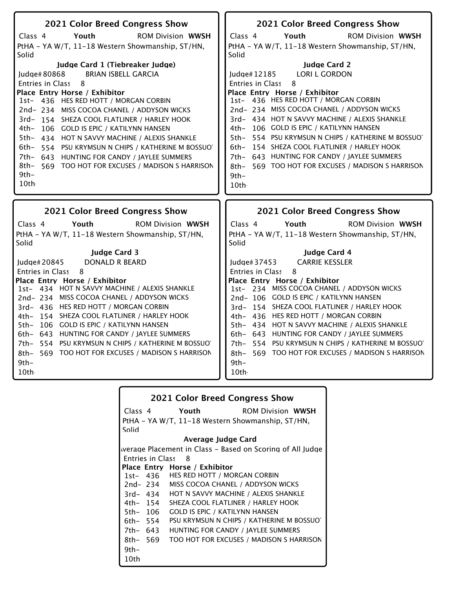| 2021 Color Breed Congress Show                                                                     | 2021 Color Breed Congress Show                                                           |
|----------------------------------------------------------------------------------------------------|------------------------------------------------------------------------------------------|
| Youth<br>Class 4<br><b>ROM Division WWSH</b>                                                       | Class <sub>4</sub><br>Youth<br><b>ROM Division WWSH</b>                                  |
| PtHA - YA W/T, 11-18 Western Showmanship, ST/HN,                                                   | PtHA - YA W/T, 11-18 Western Showmanship, ST/HN,                                         |
| Solid                                                                                              | Solid                                                                                    |
| Judge Card 1 (Tiebreaker Judge)                                                                    | <b>Judge Card 2</b>                                                                      |
| <b>BRIAN ISBELL GARCIA</b><br>Judge#80868                                                          | <b>LORI L GORDON</b><br>Judge# 12185                                                     |
| Entries in Class<br>8                                                                              | Entries in Class<br>8                                                                    |
| Place Entry Horse / Exhibitor                                                                      | Place Entry Horse / Exhibitor                                                            |
| 1st- 436 HES RED HOTT / MORGAN CORBIN                                                              | 1st- 436 HES RED HOTT / MORGAN CORBIN                                                    |
| 2nd-234 MISS COCOA CHANEL / ADDYSON WICKS                                                          | 2nd-234 MISS COCOA CHANEL / ADDYSON WICKS                                                |
| 3rd-154 SHEZA COOL FLATLINER / HARLEY HOOK                                                         | 3rd- 434 HOT N SAVVY MACHINE / ALEXIS SHANKLE<br>4th- 106 GOLD IS EPIC / KATILYNN HANSEN |
| 4th-<br>106 GOLD IS EPIC / KATILYNN HANSEN                                                         | 5th- 554 PSU KRYMSUN N CHIPS / KATHERINE M BOSSUO                                        |
| 5th- 434 HOT N SAVVY MACHINE / ALEXIS SHANKLE<br>6th- 554 PSU KRYMSUN N CHIPS / KATHERINE M BOSSUO | 154 SHEZA COOL FLATLINER / HARLEY HOOK<br>6th-                                           |
| 7th- 643 HUNTING FOR CANDY / JAYLEE SUMMERS                                                        | 7th- 643 HUNTING FOR CANDY / JAYLEE SUMMERS                                              |
| 8th- 569 TOO HOT FOR EXCUSES / MADISON S HARRISON                                                  | 569 TOO HOT FOR EXCUSES / MADISON S HARRISON<br>8th-                                     |
| $9th-$                                                                                             | $9th -$                                                                                  |
| 10th                                                                                               | 10th -                                                                                   |
|                                                                                                    |                                                                                          |
|                                                                                                    |                                                                                          |
|                                                                                                    |                                                                                          |
| 2021 Color Breed Congress Show<br>Class 4<br>Youth<br><b>ROM Division WWSH</b>                     | 2021 Color Breed Congress Show<br>Class 4<br>Youth<br><b>ROM Division WWSH</b>           |
| PtHA - YA W/T, 11-18 Western Showmanship, ST/HN,                                                   | PtHA - YA W/T, 11-18 Western Showmanship, ST/HN,                                         |
| Solid                                                                                              | Solid                                                                                    |
| <b>Judge Card 3</b>                                                                                | <b>Judge Card 4</b>                                                                      |
| <b>DONALD R BEARD</b><br>ludge# $20845$                                                            | <b>CARRIE KESSLER</b><br>Judge#37453                                                     |
| Entries in Class<br>8                                                                              | <b>Entries in Class</b><br>8                                                             |
| Place Entry Horse / Exhibitor                                                                      | Place Entry Horse / Exhibitor                                                            |
| 1st- 434 HOT N SAVVY MACHINE / ALEXIS SHANKLE                                                      | 1st- 234 MISS COCOA CHANEL / ADDYSON WICKS                                               |
| 2nd-234 MISS COCOA CHANEL / ADDYSON WICKS                                                          | 2nd-106 GOLD IS EPIC / KATILYNN HANSEN                                                   |
| 3rd- 436 HES RED HOTT / MORGAN CORBIN                                                              | 3rd- 154 SHEZA COOL FLATLINER / HARLEY HOOK                                              |
| 4th- 154 SHEZA COOL FLATLINER / HARLEY HOOK<br>5th- 106 GOLD IS EPIC / KATILYNN HANSEN             | 4th- 436 HES RED HOTT / MORGAN CORBIN<br>5th- 434 HOT N SAVVY MACHINE / ALEXIS SHANKLE   |
| 6th- 643 HUNTING FOR CANDY / JAYLEE SUMMERS                                                        | 6th- 643 HUNTING FOR CANDY / JAYLEE SUMMERS                                              |
| 7th- 554 PSU KRYMSUN N CHIPS / KATHERINE M BOSSUO                                                  | 7th- 554 PSU KRYMSUN N CHIPS / KATHERINE M BOSSUOT                                       |
| 8th- 569 TOO HOT FOR EXCUSES / MADISON S HARRISON                                                  | 8th- 569 TOO HOT FOR EXCUSES / MADISON S HARRISON                                        |
| $9th-$                                                                                             | $9th -$                                                                                  |
|                                                                                                    |                                                                                          |

|          |          | <b>2021 Color Breed Congress Show</b>                     |
|----------|----------|-----------------------------------------------------------|
|          | Class 4  | Youth<br><b>ROM Division WWSH</b>                         |
|          |          | PtHA - YA W/T, 11-18 Western Showmanship, ST/HN,          |
| Solid    |          |                                                           |
|          |          | Average Judge Card                                        |
|          |          | werage Placement in Class – Based on Scoring of All Judge |
|          |          | Entries in Class 8                                        |
|          |          | Place Entry Horse / Exhibitor                             |
|          |          | 1st- 436 HES RED HOTT / MORGAN CORBIN                     |
|          | 2nd- 234 | MISS COCOA CHANEL / ADDYSON WICKS                         |
|          | 3rd- 434 | HOT N SAVVY MACHINE / ALEXIS SHANKLE                      |
|          | 4th– 154 | SHEZA COOL FLATLINER / HARLEY HOOK                        |
|          | 5th- 106 | <b>GOLD IS EPIC / KATILYNN HANSEN</b>                     |
| 6th- 554 |          | PSU KRYMSUN N CHIPS / KATHERINE M BOSSUO                  |
|          | 7th- 643 | HUNTING FOR CANDY / JAYLEE SUMMERS                        |
| 8th- 569 |          | TOO HOT FOR EXCUSES / MADISON S HARRISON                  |
| $9th-$   |          |                                                           |
| 10th     |          |                                                           |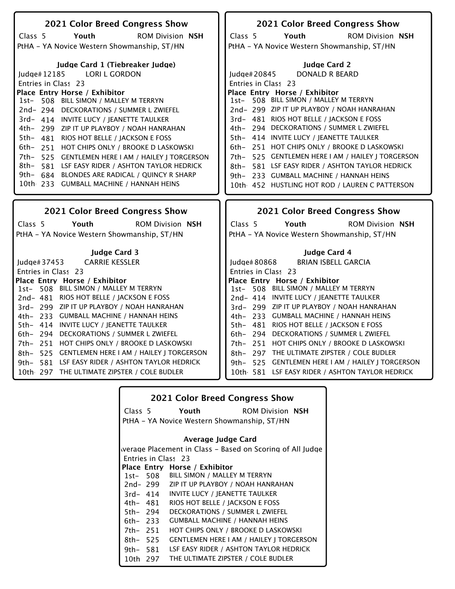| 2021 Color Breed Congress Show                         | 2021 Color Breed Congress Show                         |
|--------------------------------------------------------|--------------------------------------------------------|
| Class <sub>5</sub><br>Youth<br><b>ROM Division NSH</b> | Class <sub>5</sub><br>Youth<br><b>ROM Division NSH</b> |
| PtHA - YA Novice Western Showmanship, ST/HN            | PtHA - YA Novice Western Showmanship, ST/HN            |
|                                                        |                                                        |
| Judge Card 1 (Tiebreaker Judge)                        | <b>Judge Card 2</b>                                    |
| Judge#12185 LORI L GORDON                              | DONALD R BEARD<br>Judge#20845                          |
| Entries in Class 23                                    | Entries in Class 23                                    |
| Place Entry Horse / Exhibitor                          | Place Entry Horse / Exhibitor                          |
| 1st- 508 BILL SIMON / MALLEY M TERRYN                  | 1st- 508 BILL SIMON / MALLEY M TERRYN                  |
| 2nd-294 DECKORATIONS / SUMMER L ZWIEFEL                | 2nd-299 ZIP IT UP PLAYBOY / NOAH HANRAHAN              |
| 3rd- 414 INVITE LUCY / JEANETTE TAULKER                | 3rd- 481 RIOS HOT BELLE / JACKSON E FOSS               |
| 4th- 299 ZIP IT UP PLAYBOY / NOAH HANRAHAN             | 4th- 294 DECKORATIONS / SUMMER L ZWIEFEL               |
| 5th- 481 RIOS HOT BELLE / JACKSON E FOSS               | 5th- 414 INVITE LUCY / JEANETTE TAULKER                |
| 6th- 251 HOT CHIPS ONLY / BROOKE D LASKOWSKI           | 6th- 251 HOT CHIPS ONLY / BROOKE D LASKOWSKI           |
| 7th- 525 GENTLEMEN HERE I AM / HAILEY J TORGERSON      | 525 GENTLEMEN HERE I AM / HAILEY   TORGERSON<br>7th-   |
| 8th- 581 LSF EASY RIDER / ASHTON TAYLOR HEDRICK        | 581 LSF EASY RIDER / ASHTON TAYLOR HEDRICK<br>8th-     |
| 9th- 684 BLONDES ARE RADICAL / QUINCY R SHARP          | 9th- 233 GUMBALL MACHINE / HANNAH HEINS                |
| 10th 233 GUMBALL MACHINE / HANNAH HEINS                | 10th 452 HUSTLING HOT ROD / LAUREN C PATTERSON         |
|                                                        |                                                        |
|                                                        |                                                        |
| 2021 Color Breed Congress Show                         | 2021 Color Breed Congress Show                         |
| Class 5<br>Youth<br><b>ROM Division NSH</b>            | Youth<br><b>ROM Division NSH</b><br>Class 5            |
| PtHA - YA Novice Western Showmanship, ST/HN            | PtHA - YA Novice Western Showmanship, ST/HN            |
|                                                        |                                                        |
| <b>Judge Card 3</b>                                    | <b>Judge Card 4</b>                                    |
| <b>CARRIE KESSLER</b><br>Judge# 37453                  | <b>BRIAN ISBELL GARCIA</b><br>Judge# 80868             |
| Entries in Class 23                                    | Entries in Class 23                                    |
| Place Entry Horse / Exhibitor                          | Place Entry Horse / Exhibitor                          |
| 1st- 508 BILL SIMON / MALLEY M TERRYN                  | 1st- 508 BILL SIMON / MALLEY M TERRYN                  |
| 2nd-481 RIOS HOT BELLE / JACKSON E FOSS                | 2nd- 414 INVITE LUCY / JEANETTE TAULKER                |
| 3rd- 299 ZIP IT UP PLAYBOY / NOAH HANRAHAN             | 3rd- 299 ZIP IT UP PLAYBOY / NOAH HANRAHAN             |
| 4th- 233 GUMBALL MACHINE / HANNAH HEINS                | 4th- 233 GUMBALL MACHINE / HANNAH HEINS                |
| 5th- 414 INVITE LUCY / JEANETTE TAULKER                | 5th- 481 RIOS HOT BELLE / JACKSON E FOSS               |
| 6th- 294 DECKORATIONS / SUMMER L ZWIEFEL               | 6th- 294 DECKORATIONS / SUMMER L ZWIEFEL               |
| 7th- 251 HOT CHIPS ONLY / BROOKE D LASKOWSKI           | 7th- 251 HOT CHIPS ONLY / BROOKE D LASKOWSKI           |
| 525 GENTLEMEN HERE I AM / HAILEY I TORGERSON<br>8th–   | 8th- 297 THE ULTIMATE ZIPSTER / COLE BUDLER            |
| 581 LSF EASY RIDER / ASHTON TAYLOR HEDRICK<br>9th-     | 9th- 525 GENTLEMEN HERE I AM / HAILEY J TORGERSON      |
| 10th 297 THE ULTIMATE ZIPSTER / COLE BUDLER            | 10th 581 LSF EASY RIDER / ASHTON TAYLOR HEDRICK        |
|                                                        |                                                        |

|             |          | <b>2021 Color Breed Congress Show</b>                     |  |
|-------------|----------|-----------------------------------------------------------|--|
|             | Class 5  | Youth<br><b>ROM Division NSH</b>                          |  |
|             |          | PtHA - YA Novice Western Showmanship, ST/HN               |  |
|             |          | Average Judge Card                                        |  |
|             |          | werage Placement in Class – Based on Scoring of All Judge |  |
|             |          | Entries in Class 23                                       |  |
|             |          | Place Entry Horse / Exhibitor                             |  |
|             |          | 1st- 508 BILL SIMON / MALLEY M TERRYN                     |  |
|             | 2nd- 299 | ZIP IT UP PLAYBOY / NOAH HANRAHAN                         |  |
|             | 3rd- 414 | <b>INVITE LUCY / IEANETTE TAULKER</b>                     |  |
|             | 4th– 481 | RIOS HOT BELLE / JACKSON E FOSS                           |  |
| 5th- 294    |          | DECKORATIONS / SUMMER L ZWIEFEL                           |  |
| 6th- 233    |          | <b>GUMBALL MACHINE / HANNAH HEINS</b>                     |  |
| 7th- 251    |          | HOT CHIPS ONLY / BROOKE D LASKOWSKI                       |  |
| $8th - 525$ |          | <b>GENTLEMEN HERE I AM / HAILEY J TORGERSON</b>           |  |
| 9th- 581    |          | LSF EASY RIDER / ASHTON TAYLOR HEDRICK                    |  |
| 10th 297    |          | THE ULTIMATE ZIPSTER / COLE BUDLER                        |  |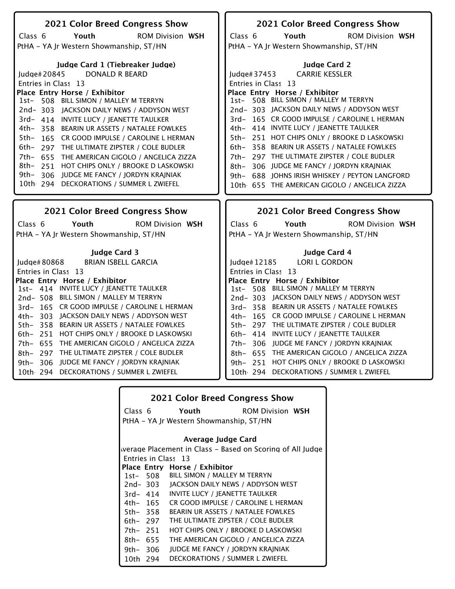| 2021 Color Breed Congress Show                        | 2021 Color Breed Congress Show                         |
|-------------------------------------------------------|--------------------------------------------------------|
| Youth<br><b>ROM Division WSH</b><br>Class 6           | Class $6$<br><b>ROM Division WSH</b><br>Youth          |
| PtHA - YA Jr Western Showmanship, ST/HN               | PtHA - YA Jr Western Showmanship, ST/HN                |
|                                                       |                                                        |
| Judge Card 1 (Tiebreaker Judge)                       | <b>Judge Card 2</b>                                    |
| <b>DONALD R BEARD</b><br>Judge#20845                  | <b>CARRIE KESSLER</b><br>Judge#37453                   |
| Entries in Class 13                                   | Entries in Class 13                                    |
| Place Entry Horse / Exhibitor                         | Place Entry Horse / Exhibitor                          |
| 1st- 508 BILL SIMON / MALLEY M TERRYN                 | 1st- 508 BILL SIMON / MALLEY M TERRYN                  |
| 2nd-303 JACKSON DAILY NEWS / ADDYSON WEST             | 2nd-303 JACKSON DAILY NEWS / ADDYSON WEST              |
| 3rd- 414 INVITE LUCY / JEANETTE TAULKER               | 3rd- 165 CR GOOD IMPULSE / CAROLINE L HERMAN           |
| 4th- 358 BEARIN UR ASSETS / NATALEE FOWLKES           | 4th- 414 INVITE LUCY / JEANETTE TAULKER                |
| 5th-<br>165 CR GOOD IMPULSE / CAROLINE L HERMAN       | 5th- 251 HOT CHIPS ONLY / BROOKE D LASKOWSKI           |
| 6th-<br>297 THE ULTIMATE ZIPSTER / COLE BUDLER        | 358 BEARIN UR ASSETS / NATALEE FOWLKES<br>6th–         |
| $7th-$<br>655<br>THE AMERICAN GIGOLO / ANGELICA ZIZZA | 7th- 297 THE ULTIMATE ZIPSTER / COLE BUDLER            |
| 8th-<br>251 HOT CHIPS ONLY / BROOKE D LASKOWSKI       | 8th- 306 JUDGE ME FANCY / JORDYN KRAJNIAK              |
| 9th–<br>306 JUDGE ME FANCY / JORDYN KRAJNIAK          | 9th- 688 JOHNS IRISH WHISKEY / PEYTON LANGFORD         |
| 10th 294 DECKORATIONS / SUMMER L ZWIEFEL              | 10th 655 THE AMERICAN GIGOLO / ANGELICA ZIZZA          |
|                                                       |                                                        |
|                                                       |                                                        |
|                                                       |                                                        |
| 2021 Color Breed Congress Show                        | 2021 Color Breed Congress Show                         |
| Youth<br><b>ROM Division WSH</b><br>Class 6           | Class <sub>6</sub><br>Youth<br><b>ROM Division WSH</b> |
| PtHA - YA Jr Western Showmanship, ST/HN               | PtHA - YA Jr Western Showmanship, ST/HN                |
|                                                       |                                                        |
| <b>Judge Card 3</b>                                   | Judge Card 4                                           |
| <b>BRIAN ISBELL GARCIA</b><br>Judge# 80868            | Judge#12185<br><b>LORI L GORDON</b>                    |
| Entries in Class 13                                   | Entries in Class 13                                    |
| Place Entry Horse / Exhibitor                         | Place Entry Horse / Exhibitor                          |
| 1st- 414 INVITE LUCY / JEANETTE TAULKER               | 1st- 508 BILL SIMON / MALLEY M TERRYN                  |
| 2nd-508 BILL SIMON / MALLEY M TERRYN                  | 2nd-303 JACKSON DAILY NEWS / ADDYSON WEST              |
| 3rd-165 CR GOOD IMPULSE / CAROLINE L HERMAN           | 3rd-358 BEARIN UR ASSETS / NATALEE FOWLKES             |
| 4th- 303 JACKSON DAILY NEWS / ADDYSON WEST            | 4th- 165 CR GOOD IMPULSE / CAROLINE L HERMAN           |
| 5th- 358 BEARIN UR ASSETS / NATALEE FOWLKES           | 5th- 297 THE ULTIMATE ZIPSTER / COLE BUDLER            |
| 6th- 251 HOT CHIPS ONLY / BROOKE D LASKOWSKI          | 6th- 414 INVITE LUCY / JEANETTE TAULKER                |
| THE AMERICAN GIGOLO / ANGELICA ZIZZA<br>7th- 655      | 7th- 306 JUDGE ME FANCY / JORDYN KRAJNIAK              |
| 8th- 297 THE ULTIMATE ZIPSTER / COLE BUDLER           | 8th- 655 THE AMERICAN GIGOLO / ANGELICA ZIZZA          |
| 306<br>JUDGE ME FANCY / JORDYN KRAJNIAK<br>9th-       | 9th- 251 HOT CHIPS ONLY / BROOKE D LASKOWSKI           |
| 10th 294 DECKORATIONS / SUMMER L ZWIEFEL              | 10th 294 DECKORATIONS / SUMMER L ZWIEFEL               |

|            |          | <b>2021 Color Breed Congress Show</b>                     |                         |
|------------|----------|-----------------------------------------------------------|-------------------------|
|            | Class 6  | Youth                                                     | <b>ROM Division WSH</b> |
|            |          | PtHA - YA Jr Western Showmanship, ST/HN                   |                         |
|            |          | Average Judge Card                                        |                         |
|            |          | werage Placement in Class - Based on Scoring of All Judge |                         |
|            |          | Entries in Class 13                                       |                         |
|            |          | Place Entry Horse / Exhibitor                             |                         |
|            |          | 1st- 508 BILL SIMON / MALLEY M TERRYN                     |                         |
|            | 2nd- 303 | JACKSON DAILY NEWS / ADDYSON WEST                         |                         |
|            | 3rd- 414 | <b>INVITE LUCY / JEANETTE TAULKER</b>                     |                         |
|            | 4th– 165 | CR GOOD IMPULSE / CAROLINE L HERMAN                       |                         |
| 5th-358    |          | <b>BEARIN UR ASSETS / NATALEE FOWLKES</b>                 |                         |
| 6th– 297   |          | THE ULTIMATE ZIPSTER / COLE BUDLER                        |                         |
| 7th- 251   |          | HOT CHIPS ONLY / BROOKE D LASKOWSKI                       |                         |
| 8th- 655   |          | THE AMERICAN GIGOLO / ANGELICA ZIZZA                      |                         |
| 9th- $306$ |          | <b>JUDGE ME FANCY / JORDYN KRAJNIAK</b>                   |                         |
| 10th 294   |          | DECKORATIONS / SUMMER L ZWIEFEL                           |                         |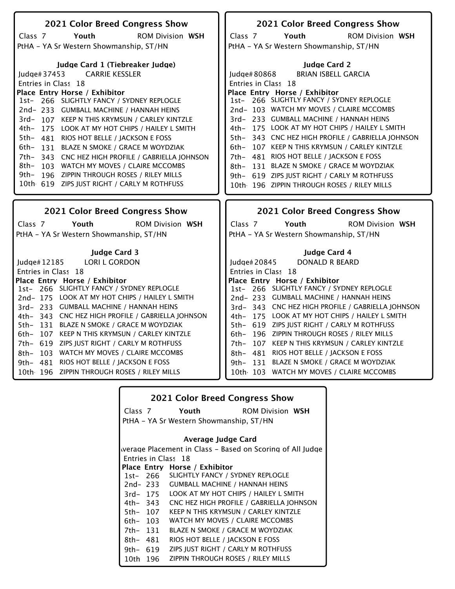| 2021 Color Breed Congress Show                    | 2021 Color Breed Congress Show                                             |
|---------------------------------------------------|----------------------------------------------------------------------------|
| Youth<br><b>ROM Division WSH</b><br>Class 7       | Youth<br><b>ROM Division WSH</b><br>Class 7                                |
| PtHA - YA Sr Western Showmanship, ST/HN           | PtHA - YA Sr Western Showmanship, ST/HN                                    |
|                                                   |                                                                            |
| Judge Card 1 (Tiebreaker Judge)                   | <b>Judge Card 2</b>                                                        |
| <b>CARRIE KESSLER</b>                             | <b>BRIAN ISBELL GARCIA</b>                                                 |
| ludge# $37453$                                    | Judge# 80868                                                               |
| Entries in Class 18                               | Entries in Class 18                                                        |
| Place Entry Horse / Exhibitor                     | Place Entry Horse / Exhibitor<br>1st- 266 SLIGHTLY FANCY / SYDNEY REPLOGLE |
| 1st- 266 SLIGHTLY FANCY / SYDNEY REPLOGLE         |                                                                            |
| 2nd-233 GUMBALL MACHINE / HANNAH HEINS            | 2nd-103 WATCH MY MOVES / CLAIRE MCCOMBS                                    |
| 3rd-107 KEEP N THIS KRYMSUN / CARLEY KINTZLE      | 3rd- 233 GUMBALL MACHINE / HANNAH HEINS                                    |
| 4th-<br>175 LOOK AT MY HOT CHIPS / HAILEY L SMITH | 175 LOOK AT MY HOT CHIPS / HAILEY L SMITH<br>4th-                          |
| $5th-$<br>481 RIOS HOT BELLE / JACKSON E FOSS     | 343 CNC HEZ HIGH PROFILE / GABRIELLA JOHNSON<br>5th-                       |
| 6th–<br>131 BLAZE N SMOKE / GRACE M WOYDZIAK      | 107 KEEP N THIS KRYMSUN / CARLEY KINTZLE<br>$6th-$                         |
| 7th- 343 CNC HEZ HIGH PROFILE / GABRIELLA JOHNSON | 7th- 481 RIOS HOT BELLE / JACKSON E FOSS                                   |
| 8th- 103 WATCH MY MOVES / CLAIRE MCCOMBS          | 131 BLAZE N SMOKE / GRACE M WOYDZIAK<br>8th-                               |
| 9th- 196 ZIPPIN THROUGH ROSES / RILEY MILLS       | 9th- 619 ZIPS JUST RIGHT / CARLY M ROTHFUSS                                |
| 10th 619 ZIPS JUST RIGHT / CARLY M ROTHFUSS       | 10th 196 ZIPPIN THROUGH ROSES / RILEY MILLS                                |
|                                                   |                                                                            |
|                                                   |                                                                            |
|                                                   |                                                                            |
|                                                   |                                                                            |
| 2021 Color Breed Congress Show                    | 2021 Color Breed Congress Show                                             |
| Youth<br><b>ROM Division WSH</b><br>Class 7       | Class 7<br>Youth<br><b>ROM Division WSH</b>                                |
| PtHA - YA Sr Western Showmanship, ST/HN           | PtHA - YA Sr Western Showmanship, ST/HN                                    |
|                                                   |                                                                            |
| <b>Judge Card 3</b>                               | Judge Card 4                                                               |
| <b>LORI L GORDON</b><br>Judge $#12185$            | <b>DONALD R BEARD</b><br>Judge# 20845                                      |
| Entries in Class 18                               | Entries in Class 18                                                        |
| Place Entry Horse / Exhibitor                     | Place Entry Horse / Exhibitor                                              |
| 1st- 266 SLIGHTLY FANCY / SYDNEY REPLOGLE         | 1st- 266 SLIGHTLY FANCY / SYDNEY REPLOGLE                                  |
| 2nd-175 LOOK AT MY HOT CHIPS / HAILEY L SMITH     | 2nd-233 GUMBALL MACHINE / HANNAH HEINS                                     |
| 3rd- 233 GUMBALL MACHINE / HANNAH HEINS           | 3rd-343 CNC HEZ HIGH PROFILE / GABRIELLA JOHNSON                           |
| 4th- 343 CNC HEZ HIGH PROFILE / GABRIELLA JOHNSON | 4th- 175 LOOK AT MY HOT CHIPS / HAILEY L SMITH                             |
| 5th- 131 BLAZE N SMOKE / GRACE M WOYDZIAK         | 5th- 619 ZIPS JUST RIGHT / CARLY M ROTHFUSS                                |
| 6th- 107 KEEP N THIS KRYMSUN / CARLEY KINTZLE     | 6th- 196 ZIPPIN THROUGH ROSES / RILEY MILLS                                |
| 7th- 619 ZIPS JUST RIGHT / CARLY M ROTHFUSS       | 7th- 107 KEEP N THIS KRYMSUN / CARLEY KINTZLE                              |
| 8th- 103 WATCH MY MOVES / CLAIRE MCCOMBS          | 8th- 481 RIOS HOT BELLE / JACKSON E FOSS                                   |
| 9th- 481 RIOS HOT BELLE / JACKSON E FOSS          | 9th- 131 BLAZE N SMOKE / GRACE M WOYDZIAK                                  |
| 10th 196 ZIPPIN THROUGH ROSES / RILEY MILLS       | 10th 103 WATCH MY MOVES / CLAIRE MCCOMBS                                   |

| <b>2021 Color Breed Congress Show</b> |                                         |                                                           |  |
|---------------------------------------|-----------------------------------------|-----------------------------------------------------------|--|
|                                       | Class 7                                 | Youth<br><b>ROM Division WSH</b>                          |  |
|                                       | PtHA - YA Sr Western Showmanship, ST/HN |                                                           |  |
|                                       |                                         | Average Judge Card                                        |  |
|                                       |                                         | werage Placement in Class – Based on Scoring of All Judge |  |
|                                       |                                         |                                                           |  |
|                                       |                                         | Entries in Class 18                                       |  |
|                                       |                                         | Place Entry Horse / Exhibitor                             |  |
|                                       | 1st-266                                 | SLIGHTLY FANCY / SYDNEY REPLOGLE                          |  |
|                                       | 2nd- 233                                | <b>GUMBALL MACHINE / HANNAH HEINS</b>                     |  |
|                                       | 3rd- 175                                | LOOK AT MY HOT CHIPS / HAILEY L SMITH                     |  |
|                                       | 4th- 343                                | CNC HEZ HIGH PROFILE / GABRIELLA JOHNSON                  |  |
| 5th- 107                              |                                         | KEEP N THIS KRYMSUN / CARLEY KINTZLE                      |  |
| 6th- 103                              |                                         | WATCH MY MOVES / CLAIRE MCCOMBS                           |  |
| 7th- 131                              |                                         | <b>BLAZE N SMOKE / GRACE M WOYDZIAK</b>                   |  |
| 8th- 481                              |                                         | RIOS HOT BELLE / JACKSON E FOSS                           |  |
| 9th- 619                              |                                         | ZIPS IUST RIGHT / CARLY M ROTHFUSS                        |  |
| 10th                                  | 196                                     | ZIPPIN THROUGH ROSES / RILEY MILLS                        |  |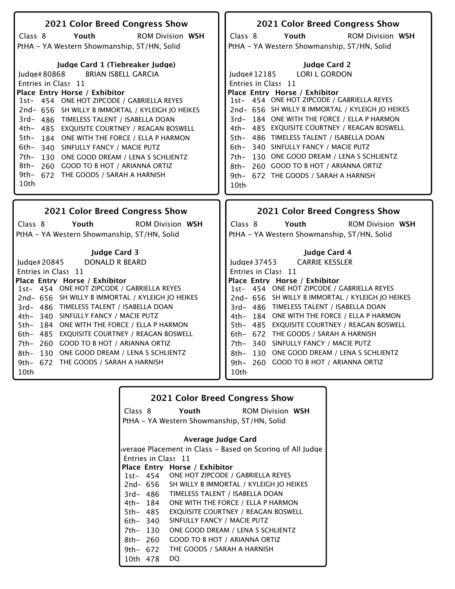| 2021 Color Breed Congress Show                   | 2021 Color Breed Congress Show                   |
|--------------------------------------------------|--------------------------------------------------|
| Class 8<br>Youth<br><b>ROM Division WSH</b>      | Class 8<br>Youth<br><b>ROM Division WSH</b>      |
| PtHA - YA Western Showmanship, ST/HN, Solid      | PtHA - YA Western Showmanship, ST/HN, Solid      |
|                                                  |                                                  |
| Judge Card 1 (Tiebreaker Judge)                  | <b>Judge Card 2</b>                              |
| <b>BRIAN ISBELL GARCIA</b><br>Judge#80868        | <b>LORI L GORDON</b><br>Judge#12185              |
| Entries in Class 11                              | Entries in Class 11                              |
| Place Entry Horse / Exhibitor                    | Place Entry Horse / Exhibitor                    |
| 1st- 454 ONE HOT ZIPCODE / GABRIELLA REYES       | 1st- 454 ONE HOT ZIPCODE / GABRIELLA REYES       |
| 2nd- 656 SH WILLY B IMMORTAL / KYLEIGH JO HEIKES | 2nd- 656 SH WILLY B IMMORTAL / KYLEIGH JO HEIKES |
| 3rd- 486 TIMELESS TALENT / ISABELLA DOAN         | 3rd-184 ONE WITH THE FORCE / ELLA P HARMON       |
| 4th-<br>485 EXQUISITE COURTNEY / REAGAN BOSWELL  | 4th- 485 EXQUISITE COURTNEY / REAGAN BOSWELL     |
| 5th-<br>184 ONE WITH THE FORCE / ELLA P HARMON   | 5th- 486 TIMELESS TALENT / ISABELLA DOAN         |
| 6th–<br>340 SINFULLY FANCY / MACIE PUTZ          | 6th- 340 SINFULLY FANCY / MACIE PUTZ             |
| 7th-<br>130 ONE GOOD DREAM / LENA S SCHLIENTZ    | 7th- 130 ONE GOOD DREAM / LENA S SCHLIENTZ       |
| 8th- 260 GOOD TO B HOT / ARIANNA ORTIZ           | 8th- 260 GOOD TO B HOT / ARIANNA ORTIZ           |
| 9th- 672 THE GOODS / SARAH A HARNISH             | 9th- 672 THE GOODS / SARAH A HARNISH             |
| 10th                                             | 10th                                             |
|                                                  |                                                  |
|                                                  |                                                  |
| 2021 Color Breed Congress Show                   | 2021 Color Breed Congress Show                   |
| Youth<br><b>ROM Division WSH</b><br>Class 8      | Class 8<br>Youth<br><b>ROM Division WSH</b>      |
| PtHA - YA Western Showmanship, ST/HN, Solid      | PtHA - YA Western Showmanship, ST/HN, Solid      |
| <b>Judge Card 3</b>                              | Judge Card 4                                     |
| <b>DONALD R BEARD</b><br>Judge# 20845            | <b>CARRIE KESSLER</b><br>ludge $#37453$          |
| Entries in Class 11                              | Entries in Class 11                              |
| Place Entry Horse / Exhibitor                    | Place Entry Horse / Exhibitor                    |
| 1st- 454 ONE HOT ZIPCODE / GABRIELLA REYES       | 1st- 454 ONE HOT ZIPCODE / GABRIELLA REYES       |
| 2nd- 656 SH WILLY B IMMORTAL / KYLEIGH JO HEIKES | 2nd- 656 SH WILLY B IMMORTAL / KYLEIGH JO HEIKES |
| 3rd- 486 TIMELESS TALENT / ISABELLA DOAN         | 3rd- 486 TIMELESS TALENT / ISABELLA DOAN         |
| 4th- 340 SINFULLY FANCY / MACIE PUTZ             | 4th- 184 ONE WITH THE FORCE / ELLA P HARMON      |
| 5th- 184 ONE WITH THE FORCE / ELLA P HARMON      | 5th- 485 EXQUISITE COURTNEY / REAGAN BOSWELL     |
| 6th- 485 EXQUISITE COURTNEY / REAGAN BOSWELL     | 6th- 672 THE GOODS / SARAH A HARNISH             |
| 7th- 260 GOOD TO B HOT / ARIANNA ORTIZ           | 7th- 340 SINFULLY FANCY / MACIE PUTZ             |
| 8th- 130 ONE GOOD DREAM / LENA S SCHLIENTZ       | 8th- 130 ONE GOOD DREAM / LENA S SCHLIENTZ       |
| 9th- 672 THE GOODS / SARAH A HARNISH             | 9th- 260 GOOD TO B HOT / ARIANNA ORTIZ           |
| 10th                                             | 10th -                                           |

| <b>2021 Color Breed Congress Show</b> |                                             |                                            |                                                           |
|---------------------------------------|---------------------------------------------|--------------------------------------------|-----------------------------------------------------------|
|                                       | Class 8                                     | Youth                                      | <b>ROM Division WSH</b>                                   |
|                                       | PtHA - YA Western Showmanship, ST/HN, Solid |                                            |                                                           |
|                                       |                                             |                                            |                                                           |
|                                       |                                             | Average Judge Card                         |                                                           |
|                                       |                                             |                                            | werage Placement in Class - Based on Scoring of All Judge |
|                                       |                                             | Entries in Class 11                        |                                                           |
|                                       |                                             | Place Entry Horse / Exhibitor              |                                                           |
|                                       |                                             | 1st- 454 ONE HOT ZIPCODE / GABRIELLA REYES |                                                           |
|                                       | 2nd- 656                                    | SH WILLY B IMMORTAL / KYLEIGH JO HEIKES    |                                                           |
|                                       | 3rd- 486                                    | TIMELESS TALENT / ISABELLA DOAN            |                                                           |
|                                       | 4th- 184                                    | ONE WITH THE FORCE / ELLA P HARMON         |                                                           |
| 5th- 485                              |                                             | EXQUISITE COURTNEY / REAGAN BOSWELL        |                                                           |
| $6th-340$                             |                                             | SINFULLY FANCY / MACIE PUTZ                |                                                           |
| 7th- 130                              |                                             | ONE GOOD DREAM / LENA S SCHLIENTZ          |                                                           |
| $8th - 260$                           |                                             | <b>GOOD TO B HOT / ARIANNA ORTIZ</b>       |                                                           |
| 9th- 672                              |                                             | THE GOODS / SARAH A HARNISH                |                                                           |
| 10th 478                              |                                             | DO                                         |                                                           |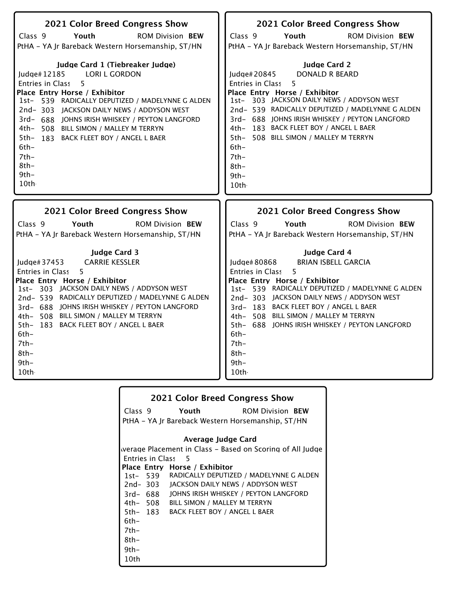| 2021 Color Breed Congress Show<br>Class <sub>9</sub><br>Youth<br><b>ROM Division BEW</b><br>PtHA - YA Jr Bareback Western Horsemanship, ST/HN<br>Judge Card 1 (Tiebreaker Judge)<br><b>LORI L GORDON</b><br>Judge#12185<br>5<br>Entries in Class<br>Place Entry Horse / Exhibitor<br>1st- 539 RADICALLY DEPUTIZED / MADELYNNE G ALDEN<br>2nd-303 JACKSON DAILY NEWS / ADDYSON WEST<br>3rd- 688 JOHNS IRISH WHISKEY / PEYTON LANGFORD<br>4th- 508 BILL SIMON / MALLEY M TERRYN<br>5th-<br>183 BACK FLEET BOY / ANGEL L BAER<br>$6th -$<br>$7th-$<br>$8th-$<br>$9th-$<br>10th | 2021 Color Breed Congress Show<br>Class 9<br>Youth<br><b>ROM Division BEW</b><br>PtHA - YA Jr Bareback Western Horsemanship, ST/HN<br><b>Judge Card 2</b><br>Judge#20845<br><b>DONALD R BEARD</b><br>5<br>Entries in Class<br>Place Entry Horse / Exhibitor<br>1st- 303 JACKSON DAILY NEWS / ADDYSON WEST<br>2nd- 539 RADICALLY DEPUTIZED / MADELYNNE G ALDEN<br>3rd- 688 JOHNS IRISH WHISKEY / PEYTON LANGFORD<br>4th- 183 BACK FLEET BOY / ANGEL L BAER<br>5th- 508 BILL SIMON / MALLEY M TERRYN<br>$6th-$<br>7th-<br>$8th-$<br>$9th -$<br>10th - |
|-----------------------------------------------------------------------------------------------------------------------------------------------------------------------------------------------------------------------------------------------------------------------------------------------------------------------------------------------------------------------------------------------------------------------------------------------------------------------------------------------------------------------------------------------------------------------------|-----------------------------------------------------------------------------------------------------------------------------------------------------------------------------------------------------------------------------------------------------------------------------------------------------------------------------------------------------------------------------------------------------------------------------------------------------------------------------------------------------------------------------------------------------|
| 2021 Color Breed Congress Show                                                                                                                                                                                                                                                                                                                                                                                                                                                                                                                                              | 2021 Color Breed Congress Show                                                                                                                                                                                                                                                                                                                                                                                                                                                                                                                      |
| Class <sub>9</sub>                                                                                                                                                                                                                                                                                                                                                                                                                                                                                                                                                          | Class 9                                                                                                                                                                                                                                                                                                                                                                                                                                                                                                                                             |
| Youth                                                                                                                                                                                                                                                                                                                                                                                                                                                                                                                                                                       | Youth                                                                                                                                                                                                                                                                                                                                                                                                                                                                                                                                               |
| <b>ROM Division BEW</b>                                                                                                                                                                                                                                                                                                                                                                                                                                                                                                                                                     | <b>ROM Division BEW</b>                                                                                                                                                                                                                                                                                                                                                                                                                                                                                                                             |
| PtHA - YA Jr Bareback Western Horsemanship, ST/HN                                                                                                                                                                                                                                                                                                                                                                                                                                                                                                                           | PtHA - YA Jr Bareback Western Horsemanship, ST/HN                                                                                                                                                                                                                                                                                                                                                                                                                                                                                                   |
| <b>Judge Card 3</b>                                                                                                                                                                                                                                                                                                                                                                                                                                                                                                                                                         | Judge Card 4                                                                                                                                                                                                                                                                                                                                                                                                                                                                                                                                        |
| <b>CARRIE KESSLER</b>                                                                                                                                                                                                                                                                                                                                                                                                                                                                                                                                                       | <b>BRIAN ISBELL GARCIA</b>                                                                                                                                                                                                                                                                                                                                                                                                                                                                                                                          |
| Judge# 37453                                                                                                                                                                                                                                                                                                                                                                                                                                                                                                                                                                | Judge# 80868                                                                                                                                                                                                                                                                                                                                                                                                                                                                                                                                        |
| Entries in Class                                                                                                                                                                                                                                                                                                                                                                                                                                                                                                                                                            | Entries in Class                                                                                                                                                                                                                                                                                                                                                                                                                                                                                                                                    |
| 5                                                                                                                                                                                                                                                                                                                                                                                                                                                                                                                                                                           | 5                                                                                                                                                                                                                                                                                                                                                                                                                                                                                                                                                   |
| Place Entry Horse / Exhibitor                                                                                                                                                                                                                                                                                                                                                                                                                                                                                                                                               | Place Entry Horse / Exhibitor                                                                                                                                                                                                                                                                                                                                                                                                                                                                                                                       |
| 1st- 303 JACKSON DAILY NEWS / ADDYSON WEST                                                                                                                                                                                                                                                                                                                                                                                                                                                                                                                                  | 1st- 539 RADICALLY DEPUTIZED / MADELYNNE G ALDEN                                                                                                                                                                                                                                                                                                                                                                                                                                                                                                    |
| 2nd-539 RADICALLY DEPUTIZED / MADELYNNE G ALDEN                                                                                                                                                                                                                                                                                                                                                                                                                                                                                                                             | 2nd-303 JACKSON DAILY NEWS / ADDYSON WEST                                                                                                                                                                                                                                                                                                                                                                                                                                                                                                           |
| 3rd- 688 JOHNS IRISH WHISKEY / PEYTON LANGFORD                                                                                                                                                                                                                                                                                                                                                                                                                                                                                                                              | 3rd-183 BACK FLEET BOY / ANGEL L BAER                                                                                                                                                                                                                                                                                                                                                                                                                                                                                                               |
| 4th- 508 BILL SIMON / MALLEY M TERRYN                                                                                                                                                                                                                                                                                                                                                                                                                                                                                                                                       | 4th- 508 BILL SIMON / MALLEY M TERRYN                                                                                                                                                                                                                                                                                                                                                                                                                                                                                                               |
| 5th- 183 BACK FLEET BOY / ANGEL L BAER                                                                                                                                                                                                                                                                                                                                                                                                                                                                                                                                      | 5th- 688 JOHNS IRISH WHISKEY / PEYTON LANGFORD                                                                                                                                                                                                                                                                                                                                                                                                                                                                                                      |
| $6th-$                                                                                                                                                                                                                                                                                                                                                                                                                                                                                                                                                                      | $6th-$                                                                                                                                                                                                                                                                                                                                                                                                                                                                                                                                              |
| $7th-$                                                                                                                                                                                                                                                                                                                                                                                                                                                                                                                                                                      | $7th-$                                                                                                                                                                                                                                                                                                                                                                                                                                                                                                                                              |
| $8th-$                                                                                                                                                                                                                                                                                                                                                                                                                                                                                                                                                                      | $8th-$                                                                                                                                                                                                                                                                                                                                                                                                                                                                                                                                              |
| $9th -$                                                                                                                                                                                                                                                                                                                                                                                                                                                                                                                                                                     | $9th -$                                                                                                                                                                                                                                                                                                                                                                                                                                                                                                                                             |
| 10th                                                                                                                                                                                                                                                                                                                                                                                                                                                                                                                                                                        | 10th                                                                                                                                                                                                                                                                                                                                                                                                                                                                                                                                                |

|      |                    | 2021 Color Breed Congress Show                    |                                                           |
|------|--------------------|---------------------------------------------------|-----------------------------------------------------------|
|      | Class 9            | Youth                                             | <b>ROM Division BEW</b>                                   |
|      |                    | PtHA - YA Jr Bareback Western Horsemanship, ST/HN |                                                           |
|      |                    |                                                   |                                                           |
|      |                    | <b>Average Judge Card</b>                         |                                                           |
|      |                    |                                                   | werage Placement in Class – Based on Scoring of All Judge |
|      | Entries in Class 5 |                                                   |                                                           |
|      |                    | Place Entry Horse / Exhibitor                     |                                                           |
|      |                    |                                                   | 1st- 539 RADICALLY DEPUTIZED / MADELYNNE G ALDEN          |
|      |                    | 2nd-303 JACKSON DAILY NEWS / ADDYSON WEST         |                                                           |
|      | 3rd- 688           | JOHNS IRISH WHISKEY / PEYTON LANGFORD             |                                                           |
|      | 4th– 508           | BILL SIMON / MALLEY M TERRYN                      |                                                           |
|      | 5th- 183           | <b>BACK FLEET BOY / ANGEL L BAER</b>              |                                                           |
| 6th- |                    |                                                   |                                                           |
| 7th- |                    |                                                   |                                                           |
| 8th- |                    |                                                   |                                                           |
| 9th- |                    |                                                   |                                                           |
| 10th |                    |                                                   |                                                           |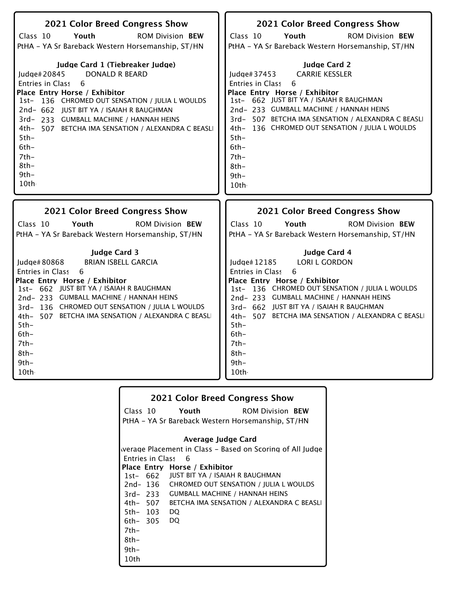| 2021 Color Breed Congress Show                     | 2021 Color Breed Congress Show                     |
|----------------------------------------------------|----------------------------------------------------|
| Class 10                                           | Class 10                                           |
| Youth                                              | Youth                                              |
| <b>ROM Division BEW</b>                            | <b>ROM Division BEW</b>                            |
| PtHA - YA Sr Bareback Western Horsemanship, ST/HN  | PtHA - YA Sr Bareback Western Horsemanship, ST/HN  |
| Judge Card 1 (Tiebreaker Judge)                    | <b>Judge Card 2</b>                                |
| <b>DONALD R BEARD</b>                              | <b>CARRIE KESSLER</b>                              |
| Judge# 20845                                       | ludge# $37453$                                     |
| Entries in Class                                   | 6                                                  |
| - 6                                                | Entries in Class                                   |
| Place Entry Horse / Exhibitor                      | Place Entry Horse / Exhibitor                      |
| 1st- 136 CHROMED OUT SENSATION / JULIA L WOULDS    | 1st- 662 JUST BIT YA / ISAIAH R BAUGHMAN           |
| 2nd- 662 JUST BIT YA / ISAIAH R BAUGHMAN           | 2nd-233 GUMBALL MACHINE / HANNAH HEINS             |
| 3rd-233 GUMBALL MACHINE / HANNAH HEINS             | 3rd-507 BETCHA IMA SENSATION / ALEXANDRA C BEASLI  |
| 4th- 507 BETCHA IMA SENSATION / ALEXANDRA C BEASLI | 4th- 136 CHROMED OUT SENSATION / JULIA L WOULDS    |
| $5th-$                                             | $5th-$                                             |
| $6th-$                                             | $6th-$                                             |
| $7th-$                                             | $7th-$                                             |
| $8th-$                                             | $8th-$                                             |
| $9th-$                                             | $9th -$                                            |
| 10th                                               | 10th                                               |
| 2021 Color Breed Congress Show                     | 2021 Color Breed Congress Show                     |
| Class 10                                           | Class 10                                           |
| Youth                                              | Youth                                              |
| <b>ROM Division BEW</b>                            | <b>ROM Division BEW</b>                            |
| PtHA - YA Sr Bareback Western Horsemanship, ST/HN  | PtHA - YA Sr Bareback Western Horsemanship, ST/HN  |
| <b>Judge Card 3</b>                                | <b>Judge Card 4</b>                                |
| <b>BRIAN ISBELL GARCIA</b>                         | Judge#12185                                        |
| Judge# 80868                                       | <b>LORI L GORDON</b>                               |
| <b>Entries in Class</b>                            | <b>Entries in Class</b>                            |
| 6                                                  | 6                                                  |
| Place Entry Horse / Exhibitor                      | Place Entry Horse / Exhibitor                      |
| 1st- 662 JUST BIT YA / ISAIAH R BAUGHMAN           | 1st- 136 CHROMED OUT SENSATION / JULIA L WOULDS    |
| 2nd-233 GUMBALL MACHINE / HANNAH HEINS             | 2nd-233 GUMBALL MACHINE / HANNAH HEINS             |
| 3rd-136 CHROMED OUT SENSATION / JULIA L WOULDS     | 3rd- 662 JUST BIT YA / ISAIAH R BAUGHMAN           |
| 4th- 507 BETCHA IMA SENSATION / ALEXANDRA C BEASLI | 4th- 507 BETCHA IMA SENSATION / ALEXANDRA C BEASLI |
| $5th-$                                             | $5th-$                                             |
| $6th-$                                             | $6th-$                                             |
| $7th-$                                             | $7th-$                                             |
| $8th-$                                             | $8th-$                                             |
| $9th-$                                             | $9th-$                                             |
| 10th                                               | 10th -                                             |

| <b>2021 Color Breed Congress Show</b> |                                                   |                                          |                                                           |
|---------------------------------------|---------------------------------------------------|------------------------------------------|-----------------------------------------------------------|
|                                       |                                                   | Class 10 Youth                           | <b>ROM Division BEW</b>                                   |
|                                       | PtHA – YA Sr Bareback Western Horsemanship, ST/HN |                                          |                                                           |
|                                       |                                                   | Average Judge Card                       |                                                           |
|                                       |                                                   |                                          |                                                           |
|                                       |                                                   |                                          | werage Placement in Class – Based on Scoring of All Judge |
|                                       |                                                   | Entries in Class 6                       |                                                           |
|                                       |                                                   | Place Entry Horse / Exhibitor            |                                                           |
|                                       |                                                   | 1st- 662 JUST BIT YA / ISAIAH R BAUGHMAN |                                                           |
|                                       |                                                   |                                          | 2nd-136 CHROMED OUT SENSATION / JULIA L WOULDS            |
|                                       |                                                   | 3rd-233 GUMBALL MACHINE / HANNAH HEINS   |                                                           |
|                                       | 4th– 507                                          |                                          | BETCHA IMA SENSATION / ALEXANDRA C BEASLI                 |
|                                       | 5th- 103 DQ                                       |                                          |                                                           |
|                                       | 6th- 305 DQ                                       |                                          |                                                           |
| 7th-                                  |                                                   |                                          |                                                           |
| 8th-                                  |                                                   |                                          |                                                           |
| $9th-$                                |                                                   |                                          |                                                           |
| 10th                                  |                                                   |                                          |                                                           |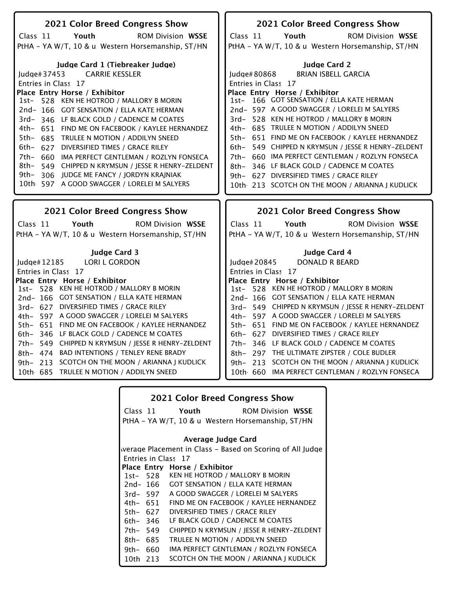| 2021 Color Breed Congress Show                                                          | 2021 Color Breed Congress Show                                                                    |
|-----------------------------------------------------------------------------------------|---------------------------------------------------------------------------------------------------|
| Class 11<br>Youth<br><b>ROM Division WSSE</b>                                           | Class 11<br>Youth<br><b>ROM Division WSSE</b>                                                     |
| PtHA - YA W/T, 10 & u Western Horsemanship, ST/HN                                       | PtHA - YA W/T, 10 & u Western Horsemanship, ST/HN                                                 |
|                                                                                         |                                                                                                   |
| Judge Card 1 (Tiebreaker Judge)                                                         | <b>Judge Card 2</b>                                                                               |
| <b>CARRIE KESSLER</b><br>Judge#37453                                                    | <b>BRIAN ISBELL GARCIA</b><br>Judge#80868                                                         |
| Entries in Class 17                                                                     | Entries in Class 17                                                                               |
| Place Entry Horse / Exhibitor                                                           | Place Entry Horse / Exhibitor                                                                     |
| 1st- 528 KEN HE HOTROD / MALLORY B MORIN                                                | 1st- 166 GOT SENSATION / ELLA KATE HERMAN                                                         |
| 2nd-166 GOT SENSATION / ELLA KATE HERMAN                                                | 2nd- 597 A GOOD SWAGGER / LORELEI M SALYERS                                                       |
| 3rd-346 LF BLACK GOLD / CADENCE M COATES                                                | 3rd-528 KEN HE HOTROD / MALLORY B MORIN                                                           |
| 4th- 651 FIND ME ON FACEBOOK / KAYLEE HERNANDEZ                                         | 4th- 685 TRULEE N MOTION / ADDILYN SNEED                                                          |
| 5th- 685 TRULEE N MOTION / ADDILYN SNEED                                                | 5th- 651 FIND ME ON FACEBOOK / KAYLEE HERNANDEZ                                                   |
| 6th-<br>627 DIVERSIFIED TIMES / GRACE RILEY                                             | 6th- 549 CHIPPED N KRYMSUN / JESSE R HENRY-ZELDENT                                                |
| 7th-<br>660 IMA PERFECT GENTLEMAN / ROZLYN FONSECA                                      | 7th- 660 IMA PERFECT GENTLEMAN / ROZLYN FONSECA                                                   |
| 8th-<br>549 CHIPPED N KRYMSUN / JESSE R HENRY-ZELDENT                                   | 8th- 346 LF BLACK GOLD / CADENCE M COATES                                                         |
| 9th–<br>306 JUDGE ME FANCY / JORDYN KRAJNIAK                                            | 9th- 627 DIVERSIFIED TIMES / GRACE RILEY                                                          |
| 10th 597 A GOOD SWAGGER / LORELEI M SALYERS                                             | 10th 213 SCOTCH ON THE MOON / ARIANNA J KUDLICK                                                   |
|                                                                                         |                                                                                                   |
|                                                                                         |                                                                                                   |
|                                                                                         |                                                                                                   |
| 2021 Color Breed Congress Show                                                          | 2021 Color Breed Congress Show                                                                    |
| Class 11<br>Youth<br><b>ROM Division WSSE</b>                                           | Class 11<br>Youth<br><b>ROM Division WSSE</b>                                                     |
| PtHA - YA W/T, 10 & u Western Horsemanship, ST/HN                                       | PtHA - YA W/T, 10 & u Western Horsemanship, ST/HN                                                 |
|                                                                                         |                                                                                                   |
| <b>Judge Card 3</b>                                                                     | Judge Card 4                                                                                      |
| <b>LORI L GORDON</b><br>ludge# $12185$                                                  | <b>DONALD R BEARD</b><br>ludge# $20845$                                                           |
| Entries in Class 17                                                                     | Entries in Class 17                                                                               |
| Place Entry Horse / Exhibitor                                                           | Place Entry Horse / Exhibitor                                                                     |
| 528 KEN HE HOTROD / MALLORY B MORIN<br>$1st-$                                           | 1st- 528 KEN HE HOTROD / MALLORY B MORIN                                                          |
| 2nd-166 GOT SENSATION / ELLA KATE HERMAN                                                | 2nd-166 GOT SENSATION / ELLA KATE HERMAN                                                          |
| 3rd- 627 DIVERSIFIED TIMES / GRACE RILEY<br>4th- 597 A GOOD SWAGGER / LORELEI M SALYERS | 3rd- 549 CHIPPED N KRYMSUN / JESSE R HENRY-ZELDENT<br>4th- 597 A GOOD SWAGGER / LORELEI M SALYERS |
| 5th- 651 FIND ME ON FACEBOOK / KAYLEE HERNANDEZ                                         | 5th- 651 FIND ME ON FACEBOOK / KAYLEE HERNANDEZ                                                   |
| 6th- 346 LF BLACK GOLD / CADENCE M COATES                                               | 6th- 627 DIVERSIFIED TIMES / GRACE RILEY                                                          |
| 7th- 549 CHIPPED N KRYMSUN / JESSE R HENRY-ZELDENT                                      | 7th- 346 LF BLACK GOLD / CADENCE M COATES                                                         |
| 8th- 474 BAD INTENTIONS / TENLEY RENE BRADY                                             | 8th- 297 THE ULTIMATE ZIPSTER / COLE BUDLER                                                       |
| 213 SCOTCH ON THE MOON / ARIANNA J KUDLICK<br>$9th-$                                    | 9th- 213 SCOTCH ON THE MOON / ARIANNA J KUDLICK                                                   |
| 10th 685 TRULEE N MOTION / ADDILYN SNEED                                                | 10th 660 IMA PERFECT GENTLEMAN / ROZLYN FONSECA                                                   |

| <b>2021 Color Breed Congress Show</b>             |          |                                                           |  |
|---------------------------------------------------|----------|-----------------------------------------------------------|--|
|                                                   |          | Class 11 Youth<br><b>ROM Division WSSE</b>                |  |
| PtHA - YA W/T, 10 & u Western Horsemanship, ST/HN |          |                                                           |  |
| Average Judge Card                                |          |                                                           |  |
|                                                   |          | werage Placement in Class – Based on Scoring of All Judge |  |
|                                                   |          | Entries in Class 17                                       |  |
|                                                   |          | Place Entry Horse / Exhibitor                             |  |
|                                                   |          | 1st- 528 KEN HE HOTROD / MALLORY B MORIN                  |  |
|                                                   | 2nd- 166 | <b>GOT SENSATION / ELLA KATE HERMAN</b>                   |  |
|                                                   | 3rd- 597 | A GOOD SWAGGER / LORELEI M SALYERS                        |  |
|                                                   | 4th– 651 | FIND ME ON FACEBOOK / KAYLEE HERNANDEZ                    |  |
|                                                   | 5th– 627 | DIVERSIFIED TIMES / GRACE RILEY                           |  |
|                                                   | 6th– 346 | LF BLACK GOLD / CADENCE M COATES                          |  |
| 7th– 549                                          |          | CHIPPED N KRYMSUN / JESSE R HENRY-ZELDENT                 |  |
| 8th- 685                                          |          | TRULEE N MOTION / ADDILYN SNEED                           |  |
| 9th- 660                                          |          | IMA PERFECT GENTLEMAN / ROZLYN FONSECA                    |  |
| 10th 213                                          |          | SCOTCH ON THE MOON / ARIANNA J KUDLICK                    |  |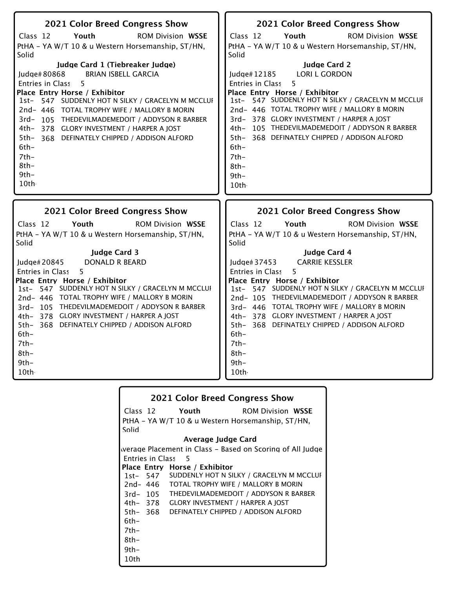| 2021 Color Breed Congress Show                                                                | 2021 Color Breed Congress Show                                                                |
|-----------------------------------------------------------------------------------------------|-----------------------------------------------------------------------------------------------|
| Class 12<br>Youth<br><b>ROM Division WSSE</b>                                                 | Class 12<br>Youth<br><b>ROM Division WSSE</b>                                                 |
| PtHA - YA W/T 10 & u Western Horsemanship, ST/HN,                                             | PtHA - YA W/T 10 & u Western Horsemanship, ST/HN,                                             |
| Solid                                                                                         | Solid                                                                                         |
| Judge Card 1 (Tiebreaker Judge)                                                               | <b>Judge Card 2</b>                                                                           |
| <b>BRIAN ISBELL GARCIA</b><br>Judge#80868<br>5                                                | <b>LORI L GORDON</b><br>Judge#12185<br>5                                                      |
| <b>Entries in Class</b><br>Place Entry Horse / Exhibitor                                      | <b>Entries in Class</b><br>Place Entry Horse / Exhibitor                                      |
| 1st- 547 SUDDENLY HOT N SILKY / GRACELYN M MCCLUI                                             | 1st- 547 SUDDENLY HOT N SILKY / GRACELYN M MCCLUI                                             |
| 2nd- 446 TOTAL TROPHY WIFE / MALLORY B MORIN                                                  | 2nd- 446 TOTAL TROPHY WIFE / MALLORY B MORIN                                                  |
| $3rd-$<br>105 THEDEVILMADEMEDOIT / ADDYSON R BARBER                                           | 3rd-378 GLORY INVESTMENT / HARPER A JOST                                                      |
| 4th- 378 GLORY INVESTMENT / HARPER A JOST                                                     | 4th- 105 THEDEVILMADEMEDOIT / ADDYSON R BARBER                                                |
| $5th-$<br>368 DEFINATELY CHIPPED / ADDISON ALFORD                                             | 5th- 368 DEFINATELY CHIPPED / ADDISON ALFORD                                                  |
| $6th-$<br>$7th-$                                                                              | $6th-$<br>$7th-$                                                                              |
| $8th-$                                                                                        | $8th-$                                                                                        |
| $9th -$                                                                                       | $9th-$                                                                                        |
| 10th                                                                                          | 10th                                                                                          |
|                                                                                               |                                                                                               |
|                                                                                               |                                                                                               |
| 2021 Color Breed Congress Show                                                                | 2021 Color Breed Congress Show                                                                |
| Class 12<br>Youth<br><b>ROM Division WSSE</b>                                                 | Class 12<br>Youth<br><b>ROM Division WSSE</b>                                                 |
| PtHA - YA W/T 10 & u Western Horsemanship, ST/HN,<br>Solid                                    | PtHA - YA W/T 10 & u Western Horsemanship, ST/HN,<br>Solid                                    |
| <b>Judge Card 3</b>                                                                           | <b>Judge Card 4</b>                                                                           |
| Judge# 20845<br>DONALD R BEARD                                                                | <b>CARRIE KESSLER</b><br>Judge# 37453                                                         |
| Entries in Class<br>5                                                                         | Entries in Class<br>5                                                                         |
| Place Entry Horse / Exhibitor                                                                 | Place Entry Horse / Exhibitor                                                                 |
| 1st- 547 SUDDENLY HOT N SILKY / GRACELYN M MCCLUI                                             | 1st- 547 SUDDENLY HOT N SILKY / GRACELYN M MCCLUI                                             |
| 2nd- 446 TOTAL TROPHY WIFE / MALLORY B MORIN<br>3rd-105 THEDEVILMADEMEDOIT / ADDYSON R BARBER | 2nd-105 THEDEVILMADEMEDOIT / ADDYSON R BARBER<br>3rd- 446 TOTAL TROPHY WIFE / MALLORY B MORIN |
| 4th- 378 GLORY INVESTMENT / HARPER A JOST                                                     | 4th- 378 GLORY INVESTMENT / HARPER A JOST                                                     |
| 5th- 368 DEFINATELY CHIPPED / ADDISON ALFORD                                                  | 5th- 368 DEFINATELY CHIPPED / ADDISON ALFORD                                                  |
| $6th-$                                                                                        | $6th-$                                                                                        |
| $7th-$                                                                                        | $7th-$                                                                                        |
| $8th-$                                                                                        | $8th-$                                                                                        |
| $9th -$<br>10th                                                                               | $9th -$<br>10th                                                                               |

| <b>2021 Color Breed Congress Show</b> |                                                   |                                         |                                                           |
|---------------------------------------|---------------------------------------------------|-----------------------------------------|-----------------------------------------------------------|
|                                       |                                                   | Class 12 Youth                          | <b>ROM Division WSSE</b>                                  |
|                                       | PtHA - YA W/T 10 & u Western Horsemanship, ST/HN, |                                         |                                                           |
| Solid                                 |                                                   |                                         |                                                           |
|                                       |                                                   | Average Judge Card                      |                                                           |
|                                       |                                                   |                                         | werage Placement in Class – Based on Scoring of All Judge |
|                                       |                                                   | Entries in Class 5                      |                                                           |
|                                       |                                                   | Place Entry Horse / Exhibitor           |                                                           |
|                                       |                                                   |                                         | 1st- 547 SUDDENLY HOT N SILKY / GRACELYN M MCCLUI         |
|                                       | 2nd- 446                                          |                                         | TOTAL TROPHY WIFE / MALLORY B MORIN                       |
|                                       | 3rd- 105                                          |                                         | THEDEVILMADEMEDOIT / ADDYSON R BARBER                     |
|                                       | 4th– 378                                          | <b>GLORY INVESTMENT / HARPER A JOST</b> |                                                           |
|                                       | 5th– 368                                          |                                         | DEFINATELY CHIPPED / ADDISON ALFORD                       |
| 6th-                                  |                                                   |                                         |                                                           |
| 7th-                                  |                                                   |                                         |                                                           |
| 8th-                                  |                                                   |                                         |                                                           |
| $9th-$                                |                                                   |                                         |                                                           |
| 10th                                  |                                                   |                                         |                                                           |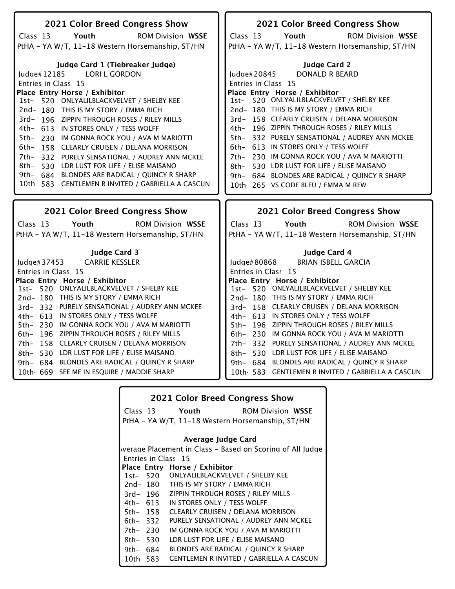| 2021 Color Breed Congress Show                    | 2021 Color Breed Congress Show                    |
|---------------------------------------------------|---------------------------------------------------|
| Class 13<br>Youth<br><b>ROM Division WSSE</b>     | Class 13<br>Youth<br><b>ROM Division WSSE</b>     |
| PtHA - YA W/T, 11-18 Western Horsemanship, ST/HN  | PtHA - YA W/T, 11-18 Western Horsemanship, ST/HN  |
|                                                   |                                                   |
| Judge Card 1 (Tiebreaker Judge)                   | <b>Judge Card 2</b>                               |
| Judge#12185<br><b>LORI L GORDON</b>               | Judge#20845<br><b>DONALD R BEARD</b>              |
| Entries in Class 15                               | Entries in Class 15                               |
| Place Entry Horse / Exhibitor                     | Place Entry Horse / Exhibitor                     |
| 1st- 520 ONLYALILBLACKVELVET / SHELBY KEE         | 1st- 520 ONLYALILBLACKVELVET / SHELBY KEE         |
| 2nd-180 THIS IS MY STORY / EMMA RICH              | 2nd-180 THIS IS MY STORY / EMMA RICH              |
| 3rd- 196 ZIPPIN THROUGH ROSES / RILEY MILLS       | 3rd- 158 CLEARLY CRUISEN / DELANA MORRISON        |
| 4th- 613 IN STORES ONLY / TESS WOLFF              | 4th- 196 ZIPPIN THROUGH ROSES / RILEY MILLS       |
| 5th-<br>230 IM GONNA ROCK YOU / AVA M MARIOTTI    | 5th- 332 PURELY SENSATIONAL / AUDREY ANN MCKEE    |
| 6th–<br>158 CLEARLY CRUISEN / DELANA MORRISON     | 6th- 613 IN STORES ONLY / TESS WOLFF              |
| 7th- 332 PURELY SENSATIONAL / AUDREY ANN MCKEE    | 7th- 230 IM GONNA ROCK YOU / AVA M MARIOTTI       |
| 8th-530 LDR LUST FOR LIFE / ELISE MAISANO         | 8th- 530 LDR LUST FOR LIFE / ELISE MAISANO        |
| 9th- 684 BLONDES ARE RADICAL / QUINCY R SHARP     | 9th- 684 BLONDES ARE RADICAL / QUINCY R SHARP     |
| 10th 583 GENTLEMEN R INVITED / GABRIELLA A CASCUN | 10th 265 VS CODE BLEU / EMMA M REW                |
|                                                   |                                                   |
|                                                   |                                                   |
|                                                   |                                                   |
| 2021 Color Breed Congress Show                    | 2021 Color Breed Congress Show                    |
| Youth<br><b>ROM Division WSSE</b><br>Class 13     | Class 13<br>Youth<br><b>ROM Division WSSE</b>     |
| PtHA - YA W/T, 11-18 Western Horsemanship, ST/HN  | PtHA - YA W/T, 11-18 Western Horsemanship, ST/HN  |
|                                                   |                                                   |
| <b>Judge Card 3</b>                               | Judge Card 4                                      |
| <b>CARRIE KESSLER</b><br>Judge# 37453             | <b>BRIAN ISBELL GARCIA</b><br>Judge# 80868        |
| Entries in Class 15                               | Entries in Class 15                               |
| Place Entry Horse / Exhibitor                     | Place Entry Horse / Exhibitor                     |
| 1st- 520 ONLYALILBLACKVELVET / SHELBY KEE         | 1st- 520 ONLYALILBLACKVELVET / SHELBY KEE         |
| 2nd-180 THIS IS MY STORY / EMMA RICH              | 2nd-180 THIS IS MY STORY / EMMA RICH              |
| 3rd-332 PURELY SENSATIONAL / AUDREY ANN MCKEE     | 3rd- 158 CLEARLY CRUISEN / DELANA MORRISON        |
| 4th- 613 IN STORES ONLY / TESS WOLFF              | 4th- 613 IN STORES ONLY / TESS WOLFF              |
| 5th- 230 IM GONNA ROCK YOU / AVA M MARIOTTI       | 5th- 196 ZIPPIN THROUGH ROSES / RILEY MILLS       |
| 196 ZIPPIN THROUGH ROSES / RILEY MILLS<br>6th-    | 6th- 230 IM GONNA ROCK YOU / AVA M MARIOTTI       |
| 158 CLEARLY CRUISEN / DELANA MORRISON<br>7th-     | 7th- 332 PURELY SENSATIONAL / AUDREY ANN MCKEE    |
| 530 LDR LUST FOR LIFE / ELISE MAISANO<br>8th–     | 8th- 530 LDR LUST FOR LIFE / ELISE MAISANO        |
| 9th- 684 BLONDES ARE RADICAL / QUINCY R SHARP     | 9th- 684 BLONDES ARE RADICAL / OUINCY R SHARP     |
| 10th 669 SEE ME IN ESQUIRE / MADDIE SHARP         | 10th 583 GENTLEMEN R INVITED / GABRIELLA A CASCUN |

|          |          | <b>2021 Color Breed Congress Show</b>            |                                                           |
|----------|----------|--------------------------------------------------|-----------------------------------------------------------|
|          | Class 13 | Youth                                            | <b>ROM Division WSSE</b>                                  |
|          |          | PtHA - YA W/T, 11-18 Western Horsemanship, ST/HN |                                                           |
|          |          | Average Judge Card                               |                                                           |
|          |          |                                                  |                                                           |
|          |          |                                                  | werage Placement in Class – Based on Scoring of All Judge |
|          |          | Entries in Class 15                              |                                                           |
|          |          | Place Entry Horse / Exhibitor                    |                                                           |
|          | 1st- 520 | ONLYALILBLACKVELVET / SHELBY KEE                 |                                                           |
|          | 2nd- 180 | THIS IS MY STORY / EMMA RICH                     |                                                           |
|          | 3rd- 196 | ZIPPIN THROUGH ROSES / RILEY MILLS               |                                                           |
|          | 4th- 613 | IN STORES ONLY / TESS WOLFF                      |                                                           |
| 5th- 158 |          | CLEARLY CRUISEN / DELANA MORRISON                |                                                           |
| 6th-332  |          | PURELY SENSATIONAL / AUDREY ANN MCKEE            |                                                           |
| 7th- 230 |          | IM GONNA ROCK YOU / AVA M MARIOTTI               |                                                           |
| 8th- 530 |          | LDR LUST FOR LIFE / ELISE MAISANO                |                                                           |
| 9th- 684 |          | BLONDES ARE RADICAL / QUINCY R SHARP             |                                                           |
| 10th 583 |          |                                                  | <b>GENTLEMEN R INVITED / GABRIELLA A CASCUN</b>           |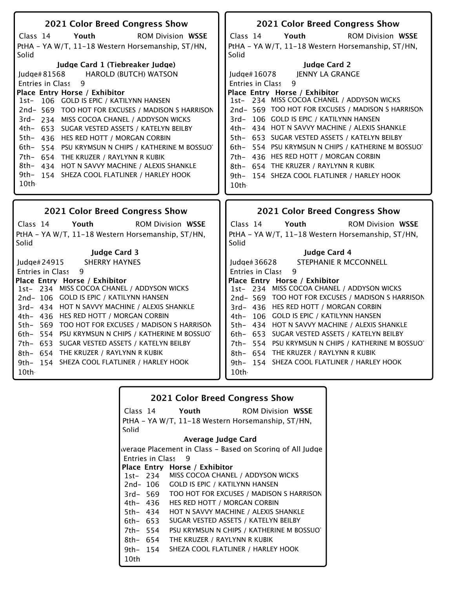| 2021 Color Breed Congress Show                                                                                                                                                                                                                                                                                                                                                                                                                                                                                                                                                                                                                                                                       | 2021 Color Breed Congress Show                                                                                                                                                                                                                                                                                                                                                                                                                                                                                                                                                                                                                                                |
|------------------------------------------------------------------------------------------------------------------------------------------------------------------------------------------------------------------------------------------------------------------------------------------------------------------------------------------------------------------------------------------------------------------------------------------------------------------------------------------------------------------------------------------------------------------------------------------------------------------------------------------------------------------------------------------------------|-------------------------------------------------------------------------------------------------------------------------------------------------------------------------------------------------------------------------------------------------------------------------------------------------------------------------------------------------------------------------------------------------------------------------------------------------------------------------------------------------------------------------------------------------------------------------------------------------------------------------------------------------------------------------------|
| Youth<br><b>ROM Division WSSE</b><br>Class 14<br>PtHA - YA W/T, 11-18 Western Horsemanship, ST/HN,<br>Solid<br>Judge Card 1 (Tiebreaker Judge)<br>Judge#81568<br><b>HAROLD (BUTCH) WATSON</b><br>Entries in Class<br>9<br>Place Entry Horse / Exhibitor<br>1st- 106 GOLD IS EPIC / KATILYNN HANSEN<br>2nd-569 TOO HOT FOR EXCUSES / MADISON S HARRISON<br>3rd-234 MISS COCOA CHANEL / ADDYSON WICKS<br>4th- 653 SUGAR VESTED ASSETS / KATELYN BEILBY<br>5th- 436 HES RED HOTT / MORGAN CORBIN<br>6th- 554 PSU KRYMSUN N CHIPS / KATHERINE M BOSSUOT<br>7th- 654 THE KRUZER / RAYLYNN R KUBIK<br>8th- 434 HOT N SAVVY MACHINE / ALEXIS SHANKLE<br>9th- 154 SHEZA COOL FLATLINER / HARLEY HOOK<br>10th | Class 14<br>Youth<br><b>ROM Division WSSE</b><br>PtHA - YA W/T, 11-18 Western Horsemanship, ST/HN,<br>Solid<br><b>Judge Card 2</b><br>JENNY LA GRANGE<br>Judge#16078<br>Entries in Class<br>9<br>Place Entry Horse / Exhibitor<br>1st- 234 MISS COCOA CHANEL / ADDYSON WICKS<br>2nd- 569 TOO HOT FOR EXCUSES / MADISON S HARRISON<br>3rd- 106 GOLD IS EPIC / KATILYNN HANSEN<br>4th- 434 HOT N SAVVY MACHINE / ALEXIS SHANKLE<br>5th- 653 SUGAR VESTED ASSETS / KATELYN BEILBY<br>6th- 554 PSU KRYMSUN N CHIPS / KATHERINE M BOSSUOT<br>7th- 436 HES RED HOTT / MORGAN CORBIN<br>8th- 654 THE KRUZER / RAYLYNN R KUBIK<br>9th- 154 SHEZA COOL FLATLINER / HARLEY HOOK<br>10th |
|                                                                                                                                                                                                                                                                                                                                                                                                                                                                                                                                                                                                                                                                                                      |                                                                                                                                                                                                                                                                                                                                                                                                                                                                                                                                                                                                                                                                               |
|                                                                                                                                                                                                                                                                                                                                                                                                                                                                                                                                                                                                                                                                                                      |                                                                                                                                                                                                                                                                                                                                                                                                                                                                                                                                                                                                                                                                               |
| 2021 Color Breed Congress Show<br>Class 14<br>Youth<br><b>ROM Division WSSE</b><br>PtHA - YA W/T, 11-18 Western Horsemanship, ST/HN,<br>Solid                                                                                                                                                                                                                                                                                                                                                                                                                                                                                                                                                        | 2021 Color Breed Congress Show<br>Class 14<br>Youth<br><b>ROM Division WSSE</b><br>PtHA - YA W/T, 11-18 Western Horsemanship, ST/HN,<br>Solid                                                                                                                                                                                                                                                                                                                                                                                                                                                                                                                                 |

|          |                         | <b>2021 Color Breed Congress Show</b>             |                                                           |
|----------|-------------------------|---------------------------------------------------|-----------------------------------------------------------|
|          |                         | Class 14 Youth                                    | <b>ROM Division WSSE</b>                                  |
|          |                         | PtHA – YA W/T, 11–18 Western Horsemanship, ST/HN, |                                                           |
| Solid    |                         |                                                   |                                                           |
|          |                         | Average Judge Card                                |                                                           |
|          |                         |                                                   | werage Placement in Class – Based on Scoring of All Judge |
|          | <b>Entries in Class</b> | - 9                                               |                                                           |
|          |                         | Place Entry Horse / Exhibitor                     |                                                           |
|          |                         | 1st- 234 MISS COCOA CHANEL / ADDYSON WICKS        |                                                           |
|          | 2nd- 106                | <b>GOLD IS EPIC / KATILYNN HANSEN</b>             |                                                           |
|          | 3rd- 569                |                                                   | TOO HOT FOR EXCUSES / MADISON S HARRISON                  |
|          | 4th– 436                | HES RED HOTT / MORGAN CORBIN                      |                                                           |
| 5th- 434 |                         | HOT N SAVVY MACHINE / ALEXIS SHANKLE              |                                                           |
|          | 6th- 653                | SUGAR VESTED ASSETS / KATELYN BEILBY              |                                                           |
| 7th- 554 |                         |                                                   | PSU KRYMSUN N CHIPS / KATHERINE M BOSSUO                  |
| 8th- 654 |                         | THE KRUZER / RAYLYNN R KUBIK                      |                                                           |
|          | 9th- 154                | SHEZA COOL FLATLINER / HARLEY HOOK                |                                                           |
| 10th     |                         |                                                   |                                                           |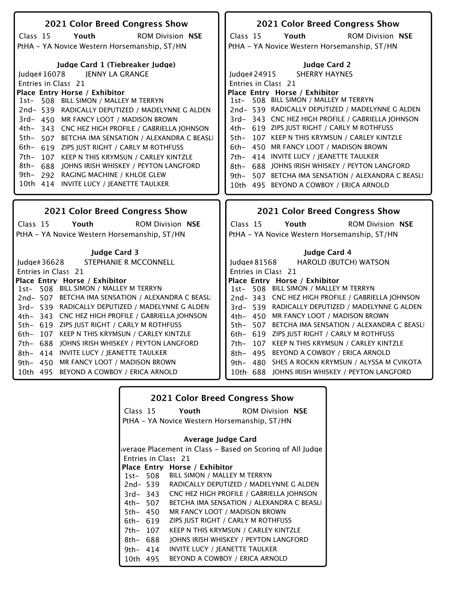| 2021 Color Breed Congress Show                                         | 2021 Color Breed Congress Show                                         |
|------------------------------------------------------------------------|------------------------------------------------------------------------|
| Youth<br><b>ROM Division NSE</b><br>Class 15                           | Youth<br><b>ROM Division NSE</b><br>Class 15                           |
| PtHA - YA Novice Western Horsemanship, ST/HN                           | PtHA - YA Novice Western Horsemanship, ST/HN                           |
| Judge Card 1 (Tiebreaker Judge)                                        | <b>Judge Card 2</b>                                                    |
| Judge#16078<br>JENNY LA GRANGE                                         | <b>SHERRY HAYNES</b><br>Judge# $24915$                                 |
| Entries in Class 21                                                    | Entries in Class 21                                                    |
| Place Entry Horse / Exhibitor                                          | Place Entry Horse / Exhibitor                                          |
| 1st- 508 BILL SIMON / MALLEY M TERRYN                                  | 1st- 508 BILL SIMON / MALLEY M TERRYN                                  |
| 2nd-539 RADICALLY DEPUTIZED / MADELYNNE G ALDEN                        | 2nd-539 RADICALLY DEPUTIZED / MADELYNNE G ALDEN                        |
| 3rd- 450 MR FANCY LOOT / MADISON BROWN                                 | 3rd-343 CNC HEZ HIGH PROFILE / GABRIELLA JOHNSON                       |
| 4th- 343 CNC HEZ HIGH PROFILE / GABRIELLA JOHNSON                      | 4th- 619 ZIPS JUST RIGHT / CARLY M ROTHFUSS                            |
| 5th-<br>507 BETCHA IMA SENSATION / ALEXANDRA C BEASLI                  | 107 KEEP N THIS KRYMSUN / CARLEY KINTZLE<br>5th-                       |
| 6th-<br>619 ZIPS JUST RIGHT / CARLY M ROTHFUSS                         | 6th- 450 MR FANCY LOOT / MADISON BROWN                                 |
| 7th–<br>107 KEEP N THIS KRYMSUN / CARLEY KINTZLE                       | 7th- 414 INVITE LUCY / JEANETTE TAULKER                                |
| 8th- 688 JOHNS IRISH WHISKEY / PEYTON LANGFORD                         | 8th- 688 JOHNS IRISH WHISKEY / PEYTON LANGFORD                         |
| 9th- 292 RAGING MACHINE / KHLOE GLEW                                   | 9th- 507 BETCHA IMA SENSATION / ALEXANDRA C BEASLI                     |
| 10th 414 INVITE LUCY / JEANETTE TAULKER                                | 10th 495 BEYOND A COWBOY / ERICA ARNOLD                                |
|                                                                        |                                                                        |
|                                                                        |                                                                        |
|                                                                        |                                                                        |
| 2021 Color Breed Congress Show                                         | 2021 Color Breed Congress Show                                         |
|                                                                        |                                                                        |
| Class 15<br><b>ROM Division NSE</b><br>Youth                           | Class 15<br>Youth<br><b>ROM Division NSE</b>                           |
| PtHA - YA Novice Western Horsemanship, ST/HN                           | PtHA - YA Novice Western Horsemanship, ST/HN                           |
|                                                                        |                                                                        |
| <b>Judge Card 3</b>                                                    | <b>Judge Card 4</b>                                                    |
| STEPHANIE R MCCONNELL<br>Judge# 36628                                  | Judge#81568<br>HAROLD (BUTCH) WATSON                                   |
| Entries in Class 21                                                    | Entries in Class 21                                                    |
| Place Entry Horse / Exhibitor<br>1st- 508 BILL SIMON / MALLEY M TERRYN | Place Entry Horse / Exhibitor<br>1st- 508 BILL SIMON / MALLEY M TERRYN |
| 2nd-507 BETCHA IMA SENSATION / ALEXANDRA C BEASLI                      | 2nd-343 CNC HEZ HIGH PROFILE / GABRIELLA JOHNSON                       |
| 3rd-539 RADICALLY DEPUTIZED / MADELYNNE G ALDEN                        | 3rd- 539 RADICALLY DEPUTIZED / MADELYNNE G ALDEN                       |
| 4th- 343 CNC HEZ HIGH PROFILE / GABRIELLA JOHNSON                      | 4th- 450 MR FANCY LOOT / MADISON BROWN                                 |
| 5th- 619 ZIPS JUST RIGHT / CARLY M ROTHFUSS                            | 5th- 507 BETCHA IMA SENSATION / ALEXANDRA C BEASLI                     |
| 107 KEEP N THIS KRYMSUN / CARLEY KINTZLE<br>6th-                       | 6th- 619 ZIPS JUST RIGHT / CARLY M ROTHFUSS                            |
| 7th- 688 JOHNS IRISH WHISKEY / PEYTON LANGFORD                         | 7th- 107 KEEP N THIS KRYMSUN / CARLEY KINTZLE                          |
| 8th- 414 INVITE LUCY / JEANETTE TAULKER                                | 8th- 495 BEYOND A COWBOY / ERICA ARNOLD                                |
|                                                                        | 9th- 480 SHES A ROCKN KRYMSUN / ALYSSA M CVIKOTA                       |
| 9th- 450 MR FANCY LOOT / MADISON BROWN                                 |                                                                        |
| 10th 495 BEYOND A COWBOY / ERICA ARNOLD                                | 10th 688 JOHNS IRISH WHISKEY / PEYTON LANGFORD                         |

| <b>2021 Color Breed Congress Show</b> |             |                                                           |                         |
|---------------------------------------|-------------|-----------------------------------------------------------|-------------------------|
|                                       | Class 15    | Youth                                                     | <b>ROM Division NSE</b> |
|                                       |             | PtHA – YA Novice Western Horsemanship, ST/HN              |                         |
|                                       |             | Average Judge Card                                        |                         |
|                                       |             | werage Placement in Class – Based on Scoring of All Judge |                         |
|                                       |             | Entries in Class 21                                       |                         |
|                                       |             | Place Entry Horse / Exhibitor                             |                         |
|                                       |             | 1st- 508 BILL SIMON / MALLEY M TERRYN                     |                         |
|                                       | 2nd- 539    | RADICALLY DEPUTIZED / MADELYNNE G ALDEN                   |                         |
|                                       | $3rd - 343$ | CNC HEZ HIGH PROFILE / GABRIELLA JOHNSON                  |                         |
|                                       | 4th– 507    | BETCHA IMA SENSATION / ALEXANDRA C BEASLI                 |                         |
|                                       | 5th– 450    | MR FANCY LOOT / MADISON BROWN                             |                         |
| 6th- 619                              |             | ZIPS JUST RIGHT / CARLY M ROTHFUSS                        |                         |
| 7th- 107                              |             | KEEP N THIS KRYMSUN / CARLEY KINTZLE                      |                         |
| 8th- 688                              |             | JOHNS IRISH WHISKEY / PEYTON LANGFORD                     |                         |
| 9th- 414                              |             | INVITE LUCY / IEANETTE TAULKER                            |                         |
| 10th 495                              |             | BEYOND A COWBOY / ERICA ARNOLD                            |                         |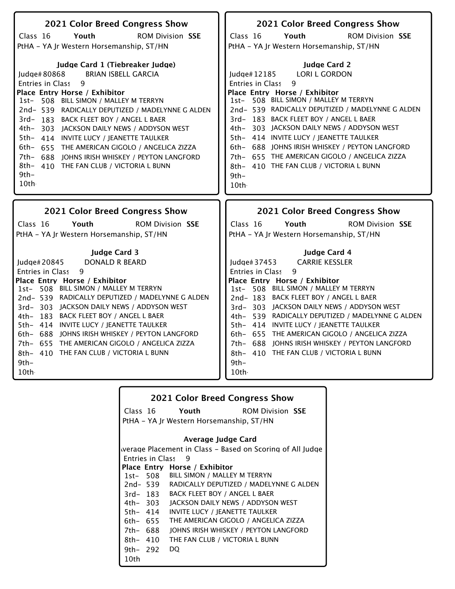| 2021 Color Breed Congress Show                                                                | 2021 Color Breed Congress Show                                                            |
|-----------------------------------------------------------------------------------------------|-------------------------------------------------------------------------------------------|
| ROM Division SSE<br>Class 16<br>Youth                                                         | <b>ROM Division SSE</b><br>Class 16<br>Youth                                              |
| PtHA - YA Jr Western Horsemanship, ST/HN                                                      | PtHA - YA Jr Western Horsemanship, ST/HN                                                  |
|                                                                                               |                                                                                           |
| Judge Card 1 (Tiebreaker Judge)                                                               | <b>Judge Card 2</b>                                                                       |
| <b>BRIAN ISBELL GARCIA</b><br>ludge# $80868$                                                  | <b>LORI L GORDON</b><br>Judge#12185                                                       |
| <b>Entries in Class</b><br>9                                                                  | Entries in Class<br>9                                                                     |
| Place Entry Horse / Exhibitor                                                                 | Place Entry Horse / Exhibitor                                                             |
| 1st- 508 BILL SIMON / MALLEY M TERRYN                                                         | 1st- 508 BILL SIMON / MALLEY M TERRYN<br>2nd- 539 RADICALLY DEPUTIZED / MADELYNNE G ALDEN |
| 2nd- 539 RADICALLY DEPUTIZED / MADELYNNE G ALDEN                                              | 3rd-183 BACK FLEET BOY / ANGEL L BAER                                                     |
| 3rd-183 BACK FLEET BOY / ANGEL L BAER<br>4th- 303 JACKSON DAILY NEWS / ADDYSON WEST           | 4th- 303 JACKSON DAILY NEWS / ADDYSON WEST                                                |
| 5th- 414 INVITE LUCY / JEANETTE TAULKER                                                       | 5th- 414 INVITE LUCY / JEANETTE TAULKER                                                   |
| 6th- 655 THE AMERICAN GIGOLO / ANGELICA ZIZZA                                                 | 6th- 688 JOHNS IRISH WHISKEY / PEYTON LANGFORD                                            |
| 7th- 688 JOHNS IRISH WHISKEY / PEYTON LANGFORD                                                | 7th- 655 THE AMERICAN GIGOLO / ANGELICA ZIZZA                                             |
| 8th- 410 THE FAN CLUB / VICTORIA L BUNN                                                       | 8th- 410 THE FAN CLUB / VICTORIA L BUNN                                                   |
| $9th-$                                                                                        | 9th-                                                                                      |
| 10th                                                                                          | 10th                                                                                      |
|                                                                                               |                                                                                           |
|                                                                                               |                                                                                           |
|                                                                                               |                                                                                           |
| 2021 Color Breed Congress Show                                                                | 2021 Color Breed Congress Show                                                            |
| Class 16<br><b>ROM Division SSE</b><br>Youth                                                  | Class 16<br>Youth<br><b>ROM Division SSE</b>                                              |
| PtHA - YA Jr Western Horsemanship, ST/HN                                                      | PtHA - YA Jr Western Horsemanship, ST/HN                                                  |
|                                                                                               |                                                                                           |
| <b>Judge Card 3</b>                                                                           | <b>Judge Card 4</b>                                                                       |
| Judge# 20845<br><b>DONALD R BEARD</b>                                                         | <b>CARRIE KESSLER</b><br>Judge $#37453$                                                   |
| 9<br><b>Entries in Class</b>                                                                  | 9<br>Entries in Class                                                                     |
| Place Entry Horse / Exhibitor                                                                 | Place Entry Horse / Exhibitor                                                             |
| 1st- 508 BILL SIMON / MALLEY M TERRYN                                                         | 1st- 508 BILL SIMON / MALLEY M TERRYN                                                     |
| 2nd- 539 RADICALLY DEPUTIZED / MADELYNNE G ALDEN<br>3rd-303 JACKSON DAILY NEWS / ADDYSON WEST | 2nd-183 BACK FLEET BOY / ANGEL L BAER<br>3rd-303 JACKSON DAILY NEWS / ADDYSON WEST        |
| 4th- 183 BACK FLEET BOY / ANGEL L BAER                                                        | 4th- 539 RADICALLY DEPUTIZED / MADELYNNE G ALDEN                                          |
| 5th- 414 INVITE LUCY / JEANETTE TAULKER                                                       | 5th- 414 INVITE LUCY / JEANETTE TAULKER                                                   |
| 6th- 688 JOHNS IRISH WHISKEY / PEYTON LANGFORD                                                | 6th- 655 THE AMERICAN GIGOLO / ANGELICA ZIZZA                                             |
| 7th- 655 THE AMERICAN GIGOLO / ANGELICA ZIZZA                                                 | 7th- 688 JOHNS IRISH WHISKEY / PEYTON LANGFORD                                            |
| 8th- 410 THE FAN CLUB / VICTORIA L BUNN                                                       | 8th- 410 THE FAN CLUB / VICTORIA L BUNN                                                   |
| $9th -$                                                                                       | $9th -$                                                                                   |
| 10th                                                                                          | 10th.                                                                                     |

|          |                         | 2021 Color Breed Congress Show                            |
|----------|-------------------------|-----------------------------------------------------------|
|          |                         | Class 16 Youth<br><b>ROM Division SSE</b>                 |
|          |                         | PtHA – YA Jr Western Horsemanship, ST/HN                  |
|          |                         | Average Judge Card                                        |
|          |                         | werage Placement in Class – Based on Scoring of All Judge |
|          | <b>Entries in Class</b> | - 9                                                       |
|          |                         | Place Entry Horse / Exhibitor                             |
|          |                         | 1st- 508 BILL SIMON / MALLEY M TERRYN                     |
|          |                         | 2nd-539 RADICALLY DEPUTIZED / MADELYNNE G ALDEN           |
|          |                         | 3rd-183 BACK FLEET BOY / ANGEL L BAER                     |
|          | 4th– 303                | JACKSON DAILY NEWS / ADDYSON WEST                         |
| 5th- 414 |                         | INVITE LUCY / JEANETTE TAULKER                            |
|          | 6th- 655                | THE AMERICAN GIGOLO / ANGELICA ZIZZA                      |
| 7th- 688 |                         | JOHNS IRISH WHISKEY / PEYTON LANGFORD                     |
| 8th- 410 |                         | THE FAN CLUB / VICTORIA L BUNN                            |
| 9th- 292 |                         | DO.                                                       |
| 10th     |                         |                                                           |
|          |                         |                                                           |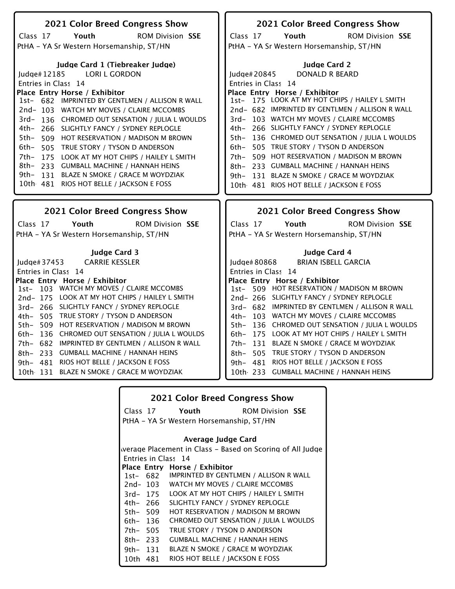| 2021 Color Breed Congress Show                     | 2021 Color Breed Congress Show                       |
|----------------------------------------------------|------------------------------------------------------|
| Youth<br><b>ROM Division SSE</b><br>Class 17       | <b>ROM Division SSE</b><br>Class 17<br>Youth         |
| PtHA - YA Sr Western Horsemanship, ST/HN           | PtHA - YA Sr Western Horsemanship, ST/HN             |
|                                                    |                                                      |
| Judge Card 1 (Tiebreaker Judge)                    | <b>Judge Card 2</b>                                  |
| Judge#12185<br><b>LORI L GORDON</b>                | <b>DONALD R BEARD</b><br>Judge# 20845                |
| Entries in Class 14                                | Entries in Class 14                                  |
| Place Entry Horse / Exhibitor                      | Place Entry Horse / Exhibitor                        |
| 1st- 682 IMPRINTED BY GENTLMEN / ALLISON R WALL    | 1st- 175 LOOK AT MY HOT CHIPS / HAILEY L SMITH       |
| 2nd-103 WATCH MY MOVES / CLAIRE MCCOMBS            | 2nd- 682 IMPRINTED BY GENTLMEN / ALLISON R WALL      |
| 3rd-136 CHROMED OUT SENSATION / JULIA L WOULDS     | 3rd- 103 WATCH MY MOVES / CLAIRE MCCOMBS             |
| 4th- 266 SLIGHTLY FANCY / SYDNEY REPLOGLE          | 266 SLIGHTLY FANCY / SYDNEY REPLOGLE<br>4th–         |
| 5th- 509 HOT RESERVATION / MADISON M BROWN         | 136 CHROMED OUT SENSATION / JULIA L WOULDS<br>5th-   |
| 6th- 505 TRUE STORY / TYSON D ANDERSON             | 505 TRUE STORY / TYSON D ANDERSON<br>6th–            |
| 7th- 175 LOOK AT MY HOT CHIPS / HAILEY L SMITH     | 509 HOT RESERVATION / MADISON M BROWN<br>7th-        |
| 8th- 233 GUMBALL MACHINE / HANNAH HEINS            | 233 GUMBALL MACHINE / HANNAH HEINS<br>8th–           |
| 9th- 131 BLAZE N SMOKE / GRACE M WOYDZIAK          | 131 BLAZE N SMOKE / GRACE M WOYDZIAK<br>9th–         |
| 10th 481 RIOS HOT BELLE / JACKSON E FOSS           | 10th 481 RIOS HOT BELLE / JACKSON E FOSS             |
|                                                    |                                                      |
|                                                    |                                                      |
|                                                    |                                                      |
| 2021 Color Breed Congress Show                     | 2021 Color Breed Congress Show                       |
| Youth<br><b>ROM Division SSE</b>                   | Youth<br><b>ROM Division SSE</b>                     |
| Class 17                                           | Class 17                                             |
| PtHA - YA Sr Western Horsemanship, ST/HN           | PtHA - YA Sr Western Horsemanship, ST/HN             |
| <b>Judge Card 3</b>                                | <b>Judge Card 4</b>                                  |
| <b>CARRIE KESSLER</b><br>Judge# 37453              | <b>BRIAN ISBELL GARCIA</b><br>Judge# 80868           |
| Entries in Class 14                                |                                                      |
| Place Entry Horse / Exhibitor                      | Entries in Class 14<br>Place Entry Horse / Exhibitor |
| 1st- 103 WATCH MY MOVES / CLAIRE MCCOMBS           | 1st- 509 HOT RESERVATION / MADISON M BROWN           |
| 2nd-175 LOOK AT MY HOT CHIPS / HAILEY L SMITH      | 2nd-266 SLIGHTLY FANCY / SYDNEY REPLOGLE             |
| 3rd- 266 SLIGHTLY FANCY / SYDNEY REPLOGLE          | 3rd- 682 IMPRINTED BY GENTLMEN / ALLISON R WALL      |
| 4th- 505 TRUE STORY / TYSON D ANDERSON             | 4th- 103 WATCH MY MOVES / CLAIRE MCCOMBS             |
| 5th- 509 HOT RESERVATION / MADISON M BROWN         | 5th- 136 CHROMED OUT SENSATION / JULIA L WOULDS      |
| 136 CHROMED OUT SENSATION / JULIA L WOULDS<br>6th- | 6th- 175 LOOK AT MY HOT CHIPS / HAILEY L SMITH       |
| 7th- 682 IMPRINTED BY GENTLMEN / ALLISON R WALL    | 7th- 131 BLAZE N SMOKE / GRACE M WOYDZIAK            |
| 8th- 233 GUMBALL MACHINE / HANNAH HEINS            | 8th- 505 TRUE STORY / TYSON D ANDERSON               |
| 9th- 481 RIOS HOT BELLE / JACKSON E FOSS           | 9th- 481 RIOS HOT BELLE / JACKSON E FOSS             |
| 10th 131 BLAZE N SMOKE / GRACE M WOYDZIAK          | 10th 233 GUMBALL MACHINE / HANNAH HEINS              |

|          |          | <b>2021 Color Breed Congress Show</b>                     |                         |
|----------|----------|-----------------------------------------------------------|-------------------------|
|          |          | Class 17 Youth                                            | <b>ROM Division SSE</b> |
|          |          | PtHA – YA Sr Western Horsemanship, ST/HN                  |                         |
|          |          | Average Judge Card                                        |                         |
|          |          | werage Placement in Class – Based on Scoring of All Judge |                         |
|          |          | Entries in Class 14                                       |                         |
|          |          | Place Entry Horse / Exhibitor                             |                         |
|          | 1st- 682 | <b>IMPRINTED BY GENTLMEN / ALLISON R WALL</b>             |                         |
|          |          | 2nd-103 WATCH MY MOVES / CLAIRE MCCOMBS                   |                         |
|          | 3rd- 175 | LOOK AT MY HOT CHIPS / HAILEY L SMITH                     |                         |
| 4th– 266 |          | SLIGHTLY FANCY / SYDNEY REPLOGLE                          |                         |
| 5th- 509 |          | HOT RESERVATION / MADISON M BROWN                         |                         |
| 6th- 136 |          | CHROMED OUT SENSATION / JULIA L WOULDS                    |                         |
| 7th- 505 |          | TRUE STORY / TYSON D ANDERSON                             |                         |
| 8th- 233 |          | <b>GUMBALL MACHINE / HANNAH HEINS</b>                     |                         |
| 9th- 131 |          | <b>BLAZE N SMOKE / GRACE M WOYDZIAK</b>                   |                         |
| 10th 481 |          | RIOS HOT BELLE / IACKSON E FOSS                           |                         |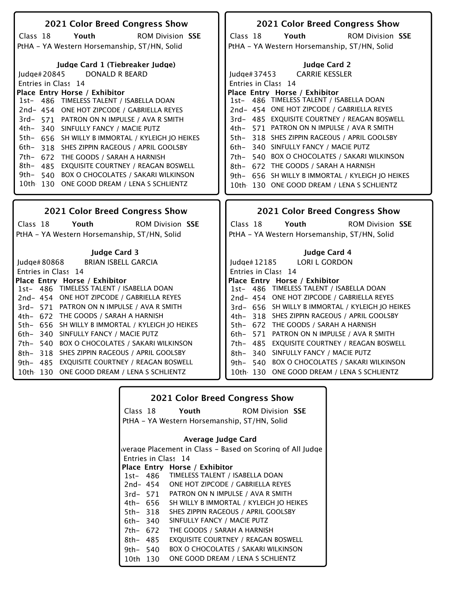| 2021 Color Breed Congress Show                                            | 2021 Color Breed Congress Show                                                             |
|---------------------------------------------------------------------------|--------------------------------------------------------------------------------------------|
| Class 18<br>Youth<br><b>ROM Division SSE</b>                              | Youth<br><b>ROM Division SSE</b><br>Class 18                                               |
| PtHA - YA Western Horsemanship, ST/HN, Solid                              | PtHA - YA Western Horsemanship, ST/HN, Solid                                               |
|                                                                           |                                                                                            |
| Judge Card 1 (Tiebreaker Judge)                                           | <b>Judge Card 2</b>                                                                        |
| <b>DONALD R BEARD</b><br>ludae#20845                                      | <b>CARRIE KESSLER</b><br>ludge# $37453$                                                    |
| Entries in Class 14                                                       |                                                                                            |
|                                                                           | Entries in Class 14<br>Place Entry Horse / Exhibitor                                       |
| Place Entry Horse / Exhibitor<br>1st- 486 TIMELESS TALENT / ISABELLA DOAN | 1st- 486 TIMELESS TALENT / ISABELLA DOAN                                                   |
|                                                                           | 2nd- 454 ONE HOT ZIPCODE / GABRIELLA REYES                                                 |
| 2nd-454 ONE HOT ZIPCODE / GABRIELLA REYES                                 |                                                                                            |
| 3rd- 571 PATRON ON N IMPULSE / AVA R SMITH                                | 3rd- 485 EXQUISITE COURTNEY / REAGAN BOSWELL<br>4th- 571 PATRON ON N IMPULSE / AVA R SMITH |
| 4th- 340 SINFULLY FANCY / MACIE PUTZ                                      |                                                                                            |
| 5th- 656 SH WILLY B IMMORTAL / KYLEIGH JO HEIKES                          | 318 SHES ZIPPIN RAGEOUS / APRIL GOOLSBY<br>5th–                                            |
| 6th-<br>318 SHES ZIPPIN RAGEOUS / APRIL GOOLSBY                           | 6th- 340 SINFULLY FANCY / MACIE PUTZ                                                       |
| 7th- 672 THE GOODS / SARAH A HARNISH                                      | 7th- 540 BOX O CHOCOLATES / SAKARI WILKINSON                                               |
| 8th- 485 EXQUISITE COURTNEY / REAGAN BOSWELL                              | 8th- 672 THE GOODS / SARAH A HARNISH                                                       |
| <b>BOX O CHOCOLATES / SAKARI WILKINSON</b><br>9th– 540                    | 9th- 656 SH WILLY B IMMORTAL / KYLEIGH JO HEIKES                                           |
| 10th 130 ONE GOOD DREAM / LENA S SCHLIENTZ                                | 10th 130 ONE GOOD DREAM / LENA S SCHLIENTZ                                                 |
|                                                                           |                                                                                            |
|                                                                           |                                                                                            |
|                                                                           |                                                                                            |
| <b>2021 Color Breed Congress Show</b>                                     | <b>2021 Color Breed Congress Show</b>                                                      |
| Class 18<br>Youth<br><b>ROM Division SSE</b>                              | Youth<br><b>ROM Division SSE</b><br>Class 18                                               |
|                                                                           |                                                                                            |
| PtHA - YA Western Horsemanship, ST/HN, Solid                              | PtHA - YA Western Horsemanship, ST/HN, Solid                                               |
| <b>Judge Card 3</b>                                                       | Judge Card 4                                                                               |
| <b>BRIAN ISBELL GARCIA</b>                                                |                                                                                            |
| Judge# 80868                                                              | <b>LORI L GORDON</b><br>Judge# 12185                                                       |
| Entries in Class 14                                                       | Entries in Class 14                                                                        |
| Place Entry Horse / Exhibitor<br>1st- 486 TIMELESS TALENT / ISABELLA DOAN | Place Entry Horse / Exhibitor<br>1st- 486 TIMELESS TALENT / ISABELLA DOAN                  |
| 2nd-454 ONE HOT ZIPCODE / GABRIELLA REYES                                 | 2nd-454 ONE HOT ZIPCODE / GABRIELLA REYES                                                  |
| 3rd- 571 PATRON ON N IMPULSE / AVA R SMITH                                | 3rd- 656 SH WILLY B IMMORTAL / KYLEIGH JO HEIKES                                           |
| 4th- 672 THE GOODS / SARAH A HARNISH                                      | 4th- 318 SHES ZIPPIN RAGEOUS / APRIL GOOLSBY                                               |
| 5th- 656 SH WILLY B IMMORTAL / KYLEIGH JO HEIKES                          | 5th- 672 THE GOODS / SARAH A HARNISH                                                       |
| 6th- 340 SINFULLY FANCY / MACIE PUTZ                                      | 6th- 571 PATRON ON N IMPULSE / AVA R SMITH                                                 |
| 7th- 540 BOX O CHOCOLATES / SAKARI WILKINSON                              |                                                                                            |
|                                                                           | 7th- 485 EXQUISITE COURTNEY / REAGAN BOSWELL                                               |
| 8th- 318 SHES ZIPPIN RAGEOUS / APRIL GOOLSBY                              | 8th- 340 SINFULLY FANCY / MACIE PUTZ                                                       |
| EXQUISITE COURTNEY / REAGAN BOSWELL<br>9th– 485                           | 9th- 540 BOX O CHOCOLATES / SAKARI WILKINSON                                               |
| 10th 130 ONE GOOD DREAM / LENA S SCHLIENTZ                                | 10th 130 ONE GOOD DREAM / LENA S SCHLIENTZ                                                 |

|          |          | <b>2021 Color Breed Congress Show</b>        |                                                           |
|----------|----------|----------------------------------------------|-----------------------------------------------------------|
|          |          | Class 18 Youth                               | <b>ROM Division SSE</b>                                   |
|          |          | PtHA – YA Western Horsemanship, ST/HN, Solid |                                                           |
|          |          |                                              |                                                           |
|          |          | Average Judge Card                           |                                                           |
|          |          |                                              | werage Placement in Class - Based on Scoring of All Judge |
|          |          | Entries in Class 14                          |                                                           |
|          |          | Place Entry Horse / Exhibitor                |                                                           |
|          |          | 1st- 486 TIMELESS TALENT / ISABELLA DOAN     |                                                           |
|          | 2nd- 454 | ONE HOT ZIPCODE / GABRIELLA REYES            |                                                           |
|          | 3rd- 571 | PATRON ON N IMPULSE / AVA R SMITH            |                                                           |
|          | 4th– 656 | SH WILLY B IMMORTAL / KYLEIGH JO HEIKES      |                                                           |
| 5th- 318 |          | SHES ZIPPIN RAGEOUS / APRIL GOOLSBY          |                                                           |
| 6th– 340 |          | SINFULLY FANCY / MACIE PUTZ                  |                                                           |
| 7th- 672 |          | THE GOODS / SARAH A HARNISH                  |                                                           |
| 8th- 485 |          | EXQUISITE COURTNEY / REAGAN BOSWELL          |                                                           |
| 9th- 540 |          | <b>BOX O CHOCOLATES / SAKARI WILKINSON</b>   |                                                           |
| 10th 130 |          | ONE GOOD DREAM / LENA S SCHLIENTZ            |                                                           |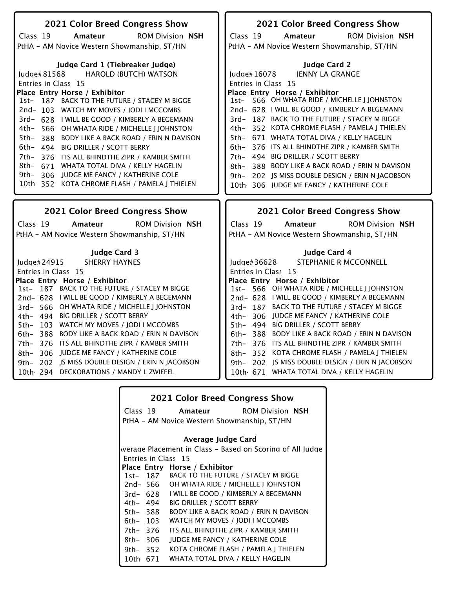| 2021 Color Breed Congress Show                               | 2021 Color Breed Congress Show                      |
|--------------------------------------------------------------|-----------------------------------------------------|
| Class 19<br>Amateur<br><b>ROM Division NSH</b>               | Class 19<br><b>ROM Division NSH</b><br>Amateur      |
| PtHA - AM Novice Western Showmanship, ST/HN                  | PtHA - AM Novice Western Showmanship, ST/HN         |
| Judge Card 1 (Tiebreaker Judge)                              | <b>Judge Card 2</b>                                 |
| <b>HAROLD (BUTCH) WATSON</b><br>ludge#81568                  | <b>JENNY LA GRANGE</b><br>Judge#16078               |
| Entries in Class 15                                          | Entries in Class 15                                 |
| Place Entry Horse / Exhibitor                                | Place Entry Horse / Exhibitor                       |
| 187 BACK TO THE FUTURE / STACEY M BIGGE<br>1st-              | 1st- 566 OH WHATA RIDE / MICHELLE J JOHNSTON        |
| 2nd-103 WATCH MY MOVES / JODI I MCCOMBS                      | 2nd- 628 I WILL BE GOOD / KIMBERLY A BEGEMANN       |
| 3rd- 628 I WILL BE GOOD / KIMBERLY A BEGEMANN                | 3rd-187 BACK TO THE FUTURE / STACEY M BIGGE         |
| 4th- 566 OH WHATA RIDE / MICHELLE I JOHNSTON                 | 352 KOTA CHROME FLASH / PAMELA J THIELEN<br>4th–    |
| 5th-<br><b>BODY LIKE A BACK ROAD / ERIN N DAVISON</b><br>388 | 5th- 671 WHATA TOTAL DIVA / KELLY HAGELIN           |
| 6th– 494<br><b>BIG DRILLER / SCOTT BERRY</b>                 | 376 ITS ALL BHINDTHE ZIPR / KAMBER SMITH<br>6th-    |
| 7th- 376 ITS ALL BHINDTHE ZIPR / KAMBER SMITH                | 7th- 494 BIG DRILLER / SCOTT BERRY                  |
| 8th- 671 WHATA TOTAL DIVA / KELLY HAGELIN                    | 388 BODY LIKE A BACK ROAD / ERIN N DAVISON<br>8th–  |
| 9th- 306 JUDGE ME FANCY / KATHERINE COLE                     |                                                     |
| 10th 352 KOTA CHROME FLASH / PAMELA J THIELEN                | 202 JS MISS DOUBLE DESIGN / ERIN N JACOBSON<br>9th- |
|                                                              | 10th 306 JUDGE ME FANCY / KATHERINE COLE            |
|                                                              |                                                     |
|                                                              |                                                     |
| 2021 Color Breed Congress Show                               | 2021 Color Breed Congress Show                      |
| Class 19<br><b>ROM Division NSH</b><br>Amateur               | Class 19<br><b>ROM Division NSH</b><br>Amateur      |
|                                                              |                                                     |
| PtHA - AM Novice Western Showmanship, ST/HN                  | PtHA - AM Novice Western Showmanship, ST/HN         |
| <b>Judge Card 3</b>                                          | Judge Card 4                                        |
| <b>SHERRY HAYNES</b><br>Judge# 24915                         | STEPHANIE R MCCONNELL<br>ludge#36628                |
| Entries in Class 15                                          | Entries in Class 15                                 |
| Place Entry Horse / Exhibitor                                | Place Entry Horse / Exhibitor                       |
| 1st- 187 BACK TO THE FUTURE / STACEY M BIGGE                 | 1st- 566 OH WHATA RIDE / MICHELLE J JOHNSTON        |
| 2nd- 628 I WILL BE GOOD / KIMBERLY A BEGEMANN                | 2nd- 628 I WILL BE GOOD / KIMBERLY A BEGEMANN       |
| 3rd- 566 OH WHATA RIDE / MICHELLE J JOHNSTON                 | 3rd-187 BACK TO THE FUTURE / STACEY M BIGGE         |
| 4th- 494 BIG DRILLER / SCOTT BERRY                           | 4th- 306 JUDGE ME FANCY / KATHERINE COLE            |
| 5th- 103 WATCH MY MOVES / JODI I MCCOMBS                     | 5th- 494 BIG DRILLER / SCOTT BERRY                  |
| 388 BODY LIKE A BACK ROAD / ERIN N DAVISON<br>$6th-$         | 6th- 388 BODY LIKE A BACK ROAD / ERIN N DAVISON     |
| 7th- 376 ITS ALL BHINDTHE ZIPR / KAMBER SMITH                | 7th- 376 ITS ALL BHINDTHE ZIPR / KAMBER SMITH       |
| 8th- 306 JUDGE ME FANCY / KATHERINE COLE                     | 8th- 352 KOTA CHROME FLASH / PAMELA J THIELEN       |
| 9th- 202 IS MISS DOUBLE DESIGN / ERIN N JACOBSON             | 9th- 202 IS MISS DOUBLE DESIGN / ERIN N JACOBSON    |
| 10th 294 DECKORATIONS / MANDY L ZWIEFEL                      | 10th 671 WHATA TOTAL DIVA / KELLY HAGELIN           |

| <b>2021 Color Breed Congress Show</b> |          |                                                           |  |
|---------------------------------------|----------|-----------------------------------------------------------|--|
|                                       | Class 19 | <b>Amateur</b> ROM Division NSH                           |  |
|                                       |          | PtHA - AM Novice Western Showmanship, ST/HN               |  |
| Average Judge Card                    |          |                                                           |  |
|                                       |          | werage Placement in Class – Based on Scoring of All Judge |  |
|                                       |          | Entries in Class 15                                       |  |
|                                       |          | Place Entry Horse / Exhibitor                             |  |
|                                       | 1st- 187 | BACK TO THE FUTURE / STACEY M BIGGE                       |  |
|                                       | 2nd- 566 | OH WHATA RIDE / MICHELLE J JOHNSTON                       |  |
| 3rd- 628                              |          | I WILL BE GOOD / KIMBERLY A BEGEMANN                      |  |
| 4th– 494                              |          | <b>BIG DRILLER / SCOTT BERRY</b>                          |  |
| 5th-388                               |          | <b>BODY LIKE A BACK ROAD / ERIN N DAVISON</b>             |  |
| 6th- 103                              |          | WATCH MY MOVES / JODI I MCCOMBS                           |  |
| 7th- 376                              |          | ITS ALL BHINDTHE ZIPR / KAMBER SMITH                      |  |
| $8th-306$                             |          | <b>JUDGE ME FANCY / KATHERINE COLE</b>                    |  |
| 9th- $352$                            |          | KOTA CHROME FLASH / PAMELA J THIELEN                      |  |
| 10th                                  | 671      | WHATA TOTAL DIVA / KELLY HAGELIN                          |  |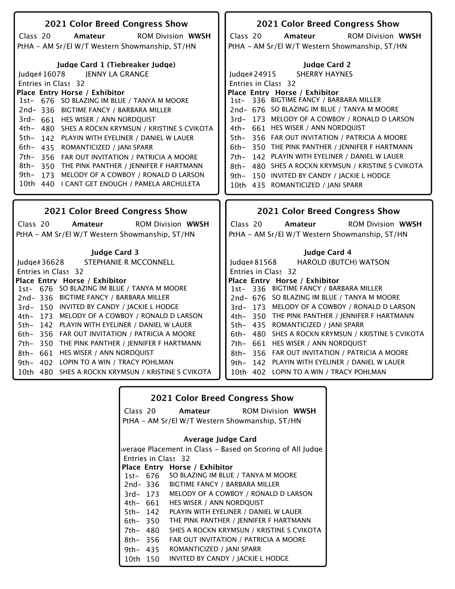| 2021 Color Breed Congress Show                                                                     | 2021 Color Breed Congress Show                                                            |
|----------------------------------------------------------------------------------------------------|-------------------------------------------------------------------------------------------|
| Class 20<br>Amateur<br><b>ROM Division WWSH</b>                                                    | Class 20<br>Amateur<br><b>ROM Division WWSH</b>                                           |
| PtHA - AM Sr/El W/T Western Showmanship, ST/HN                                                     | PtHA - AM Sr/El W/T Western Showmanship, ST/HN                                            |
|                                                                                                    |                                                                                           |
| Judge Card 1 (Tiebreaker Judge)                                                                    | <b>Judge Card 2</b>                                                                       |
| JENNY LA GRANGE<br>Judge# $16078$                                                                  | <b>SHERRY HAYNES</b><br>Judge#24915                                                       |
| Entries in Class 32                                                                                | Entries in Class 32                                                                       |
| Place Entry Horse / Exhibitor                                                                      | Place Entry Horse / Exhibitor                                                             |
| 1st- 676 SO BLAZING IM BLUE / TANYA M MOORE                                                        | 1st- 336 BIGTIME FANCY / BARBARA MILLER                                                   |
| 2nd-336 BIGTIME FANCY / BARBARA MILLER                                                             | 2nd- 676 SO BLAZING IM BLUE / TANYA M MOORE                                               |
| 3rd- 661 HES WISER / ANN NORDQUIST                                                                 | 3rd-173 MELODY OF A COWBOY / RONALD D LARSON                                              |
| 4th- 480 SHES A ROCKN KRYMSUN / KRISTINE S CVIKOTA                                                 | 4th- 661 HES WISER / ANN NORDQUIST                                                        |
| 5th-<br>142 PLAYIN WITH EYELINER / DANIEL W LAUER                                                  | 5th- 356 FAR OUT INVITATION / PATRICIA A MOORE                                            |
| 6th- 435 ROMANTICIZED / JANI SPARR                                                                 | 350 THE PINK PANTHER / JENNIFER F HARTMANN<br>6th-                                        |
| 7th-<br>356 FAR OUT INVITATION / PATRICIA A MOORE                                                  | 142 PLAYIN WITH EYELINER / DANIEL W LAUER<br>7th-                                         |
| 8th-<br>350 THE PINK PANTHER / JENNIFER F HARTMANN                                                 | 8th- 480 SHES A ROCKN KRYMSUN / KRISTINE S CVIKOTA                                        |
| 9th- 173 MELODY OF A COWBOY / RONALD D LARSON<br>10th 440 I CANT GET ENOUGH / PAMELA ARCHULETA     | 9th- 150 INVITED BY CANDY / JACKIE L HODGE                                                |
|                                                                                                    | 10th 435 ROMANTICIZED / JANI SPARR                                                        |
|                                                                                                    |                                                                                           |
|                                                                                                    |                                                                                           |
| <b>2021 Color Breed Congress Show</b>                                                              | <b>2021 Color Breed Congress Show</b>                                                     |
| Class 20<br>Amateur<br><b>ROM Division WWSH</b>                                                    | Class 20<br>Amateur<br><b>ROM Division WWSH</b>                                           |
| PtHA - AM Sr/El W/T Western Showmanship, ST/HN                                                     | PtHA - AM Sr/El W/T Western Showmanship, ST/HN                                            |
|                                                                                                    |                                                                                           |
| <b>Judge Card 3</b>                                                                                | <b>Judge Card 4</b>                                                                       |
| Judge# 36628<br>STEPHANIE R MCCONNELL                                                              | Judge#81568<br><b>HAROLD (BUTCH) WATSON</b>                                               |
| Entries in Class 32                                                                                | Entries in Class 32                                                                       |
| Place Entry Horse / Exhibitor                                                                      | Place Entry Horse / Exhibitor                                                             |
| 1st- 676 SO BLAZING IM BLUE / TANYA M MOORE                                                        | 1st- 336 BIGTIME FANCY / BARBARA MILLER                                                   |
| 2nd-336 BIGTIME FANCY / BARBARA MILLER                                                             | 2nd- 676 SO BLAZING IM BLUE / TANYA M MOORE                                               |
| 3rd-150 INVITED BY CANDY / JACKIE L HODGE                                                          | 3rd-173 MELODY OF A COWBOY / RONALD D LARSON                                              |
| 4th- 173 MELODY OF A COWBOY / RONALD D LARSON                                                      | 4th- 350 THE PINK PANTHER / JENNIFER F HARTMANN                                           |
| 142 PLAYIN WITH EYELINER / DANIEL W LAUER<br>$5th-$                                                | 5th- 435 ROMANTICIZED / JANI SPARR                                                        |
| 6th- 356 FAR OUT INVITATION / PATRICIA A MOORE                                                     | 6th- 480 SHES A ROCKN KRYMSUN / KRISTINE S CVIKOTA                                        |
| THE PINK PANTHER / JENNIFER F HARTMANN<br>7th- 350                                                 | 7th- 661 HES WISER / ANN NORDQUIST                                                        |
| 8th- 661 HES WISER / ANN NORDQUIST                                                                 | 8th- 356 FAR OUT INVITATION / PATRICIA A MOORE                                            |
| $9th-$<br>402 LOPIN TO A WIN / TRACY POHLMAN<br>10th 480 SHES A ROCKN KRYMSUN / KRISTINE S CVIKOTA | 9th- 142 PLAYIN WITH EYELINER / DANIEL W LAUER<br>10th 402 LOPIN TO A WIN / TRACY POHLMAN |

| <b>2021 Color Breed Congress Show</b> |          |                                                           |  |
|---------------------------------------|----------|-----------------------------------------------------------|--|
|                                       | Class 20 | <b>Amateur</b> ROM Division WWSH                          |  |
|                                       |          | PtHA - AM Sr/El W/T Western Showmanship, ST/HN            |  |
|                                       |          |                                                           |  |
|                                       |          | Average Judge Card                                        |  |
|                                       |          | werage Placement in Class – Based on Scoring of All Judge |  |
|                                       |          | Entries in Class 32                                       |  |
|                                       |          | Place Entry Horse / Exhibitor                             |  |
|                                       | 1st- 676 | SO BLAZING IM BLUE / TANYA M MOORE                        |  |
|                                       | 2nd- 336 | BIGTIME FANCY / BARBARA MILLER                            |  |
|                                       | 3rd- 173 | MELODY OF A COWBOY / RONALD D LARSON                      |  |
|                                       | 4th– 661 | HES WISER / ANN NORDQUIST                                 |  |
|                                       | 5th- 142 | PLAYIN WITH EYELINER / DANIEL W LAUER                     |  |
| 6th- 350                              |          | THE PINK PANTHER / JENNIFER F HARTMANN                    |  |
| 7th- 480                              |          | SHES A ROCKN KRYMSUN / KRISTINE S CVIKOTA                 |  |
| 8th-356                               |          | FAR OUT INVITATION / PATRICIA A MOORE                     |  |
| 9th- 435                              |          | ROMANTICIZED / JANI SPARR                                 |  |
| 10th 150                              |          | INVITED BY CANDY / IACKIE L HODGE                         |  |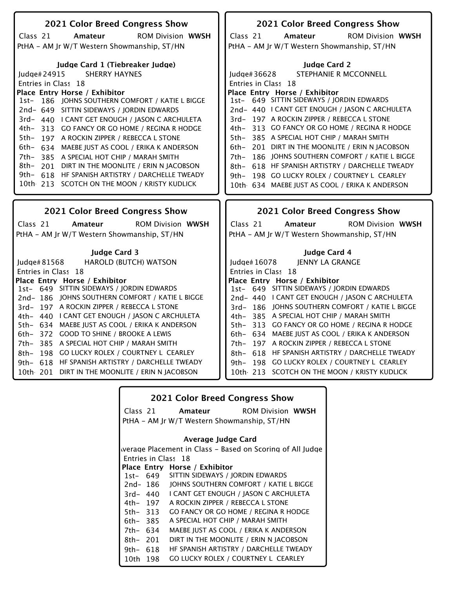| 2021 Color Breed Congress Show                                                      | 2021 Color Breed Congress Show                                             |
|-------------------------------------------------------------------------------------|----------------------------------------------------------------------------|
|                                                                                     |                                                                            |
| Class 21<br><b>ROM Division WWSH</b><br>Amateur                                     | Class <sub>21</sub><br><b>ROM Division WWSH</b><br>Amateur                 |
| PtHA - AM Jr W/T Western Showmanship, ST/HN                                         | PtHA - AM Jr W/T Western Showmanship, ST/HN                                |
| Judge Card 1 (Tiebreaker Judge)                                                     | <b>Judge Card 2</b>                                                        |
| <b>SHERRY HAYNES</b><br>ludae#24915                                                 | STEPHANIE R MCCONNELL<br>Judge#36628                                       |
| Entries in Class 18                                                                 | Entries in Class 18                                                        |
| Place Entry Horse / Exhibitor<br>186 JOHNS SOUTHERN COMFORT / KATIE L BIGGE<br>1st- | Place Entry Horse / Exhibitor<br>1st- 649 SITTIN SIDEWAYS / JORDIN EDWARDS |
| 2nd- 649 SITTIN SIDEWAYS / JORDIN EDWARDS                                           | 2nd- 440 LCANT GET ENOUGH / JASON C ARCHULETA                              |
| 3rd- 440 I CANT GET ENOUGH / JASON C ARCHULETA                                      | 3rd-197 A ROCKIN ZIPPER / REBECCA L STONE                                  |
| 4th- 313 GO FANCY OR GO HOME / REGINA R HODGE                                       | 4th- 313 GO FANCY OR GO HOME / REGINA R HODGE                              |
| 5th-<br>197 A ROCKIN ZIPPER / REBECCA L STONE                                       | 5th- 385 A SPECIAL HOT CHIP / MARAH SMITH                                  |
| 6th- 634 MAEBE JUST AS COOL / ERIKA K ANDERSON                                      | 6th- 201 DIRT IN THE MOONLITE / ERIN N JACOBSON                            |
| 7th-385 A SPECIAL HOT CHIP / MARAH SMITH                                            | 186 JOHNS SOUTHERN COMFORT / KATIE L BIGGE<br>7th–                         |
| 8th- 201 DIRT IN THE MOONLITE / ERIN N IACOBSON                                     | 8th- 618 HF SPANISH ARTISTRY / DARCHELLE TWEADY                            |
| 9th- 618 HF SPANISH ARTISTRY / DARCHELLE TWEADY                                     | 9th- 198 GO LUCKY ROLEX / COURTNEY L CEARLEY                               |
| 10th 213 SCOTCH ON THE MOON / KRISTY KUDLICK                                        | 10th 634 MAEBE JUST AS COOL / ERIKA K ANDERSON                             |
|                                                                                     |                                                                            |
|                                                                                     |                                                                            |
|                                                                                     |                                                                            |
| <b>2021 Color Breed Congress Show</b>                                               | 2021 Color Breed Congress Show                                             |
| <b>ROM Division WWSH</b><br>Class 21<br>Amateur                                     | Class <sub>21</sub><br><b>ROM Division WWSH</b><br>Amateur                 |
| PtHA - AM Jr W/T Western Showmanship, ST/HN                                         | PtHA - AM Jr W/T Western Showmanship, ST/HN                                |
| <b>Iudge Card 3</b>                                                                 |                                                                            |
|                                                                                     | Judge Card 4<br><b>JENNY LA GRANGE</b><br>ludge $#16078$                   |
| <b>HAROLD (BUTCH) WATSON</b><br>Judge#81568<br>Entries in Class 18                  | Entries in Class 18                                                        |
| Place Entry Horse / Exhibitor                                                       | Place Entry Horse / Exhibitor                                              |
| 1st- 649 SITTIN SIDEWAYS / JORDIN EDWARDS                                           | 1st- 649 SITTIN SIDEWAYS / JORDIN EDWARDS                                  |
| 2nd-186 JOHNS SOUTHERN COMFORT / KATIE L BIGGE                                      | 2nd-440 I CANT GET ENOUGH / JASON C ARCHULETA                              |
| 3rd-197 A ROCKIN ZIPPER / REBECCA L STONE                                           | 3rd- 186 JOHNS SOUTHERN COMFORT / KATIE L BIGGE                            |
| 4th- 440 I CANT GET ENOUGH / JASON C ARCHULETA                                      | 4th- 385 A SPECIAL HOT CHIP / MARAH SMITH                                  |
| 5th- 634 MAEBE JUST AS COOL / ERIKA K ANDERSON                                      | 5th- 313 GO FANCY OR GO HOME / REGINA R HODGE                              |
| 372 GOOD TO SHINE / BROOKE A LEWIS<br>6th-                                          | 6th- 634 MAEBE JUST AS COOL / ERIKA K ANDERSON                             |
| 385 A SPECIAL HOT CHIP / MARAH SMITH<br>7th–                                        | 7th- 197 A ROCKIN ZIPPER / REBECCA L STONE                                 |
| 198 GO LUCKY ROLEX / COURTNEY L CEARLEY<br>8th–                                     | 8th- 618 HF SPANISH ARTISTRY / DARCHELLE TWEADY                            |
| 618 HF SPANISH ARTISTRY / DARCHELLE TWEADY<br>9th–                                  | 9th- 198 GO LUCKY ROLEX / COURTNEY L CEARLEY                               |
| 10th 201 DIRT IN THE MOONLITE / ERIN N JACOBSON                                     | 10th 213 SCOTCH ON THE MOON / KRISTY KUDLICK                               |

| <b>2021 Color Breed Congress Show</b> |          |                                                           |
|---------------------------------------|----------|-----------------------------------------------------------|
|                                       | Class 21 | <b>Amateur</b> ROM Division WWSH                          |
|                                       |          | PtHA – AM Jr W/T Western Showmanship, ST/HN               |
| Average Judge Card                    |          |                                                           |
|                                       |          | werage Placement in Class – Based on Scoring of All Judge |
|                                       |          | Entries in Class 18                                       |
|                                       |          | Place Entry Horse / Exhibitor                             |
|                                       | 1st- 649 | SITTIN SIDEWAYS / JORDIN EDWARDS                          |
|                                       | 2nd- 186 | JOHNS SOUTHERN COMFORT / KATIE L BIGGE                    |
| $3rd - 440$                           |          | I CANT GET ENOUGH / JASON C ARCHULETA                     |
| 4th– 197                              |          | A ROCKIN ZIPPER / REBECCA L STONE                         |
| 5th- 313                              |          | GO FANCY OR GO HOME / REGINA R HODGE                      |
| 6th- 385                              |          | A SPECIAL HOT CHIP / MARAH SMITH                          |
| 7th- 634                              |          | MAEBE JUST AS COOL / ERIKA K ANDERSON                     |
| 8th- 201                              |          | DIRT IN THE MOONLITE / ERIN N JACOBSON                    |
| 9th- $618$                            |          | HE SPANISH ARTISTRY / DARCHELLE TWEADY                    |
| 10th -                                | 198      | <b>GO LUCKY ROLEX / COURTNEY L CEARLEY</b>                |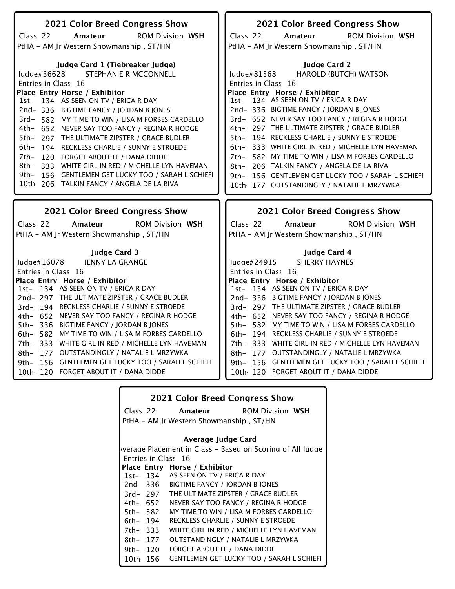| 2021 Color Breed Congress Show                        | 2021 Color Breed Congress Show                         |  |
|-------------------------------------------------------|--------------------------------------------------------|--|
| Class 22<br>Amateur<br><b>ROM Division WSH</b>        | Class 22<br><b>ROM Division WSH</b><br>Amateur         |  |
| PtHA - AM Jr Western Showmanship, ST/HN               | PtHA - AM Jr Western Showmanship, ST/HN                |  |
|                                                       |                                                        |  |
| Judge Card 1 (Tiebreaker Judge)                       | <b>Judge Card 2</b>                                    |  |
| STEPHANIE R MCCONNELL<br>Judge#36628                  | <b>HAROLD (BUTCH) WATSON</b><br>Judge#81568            |  |
| Entries in Class 16                                   | Entries in Class 16                                    |  |
| Place Entry Horse / Exhibitor                         | Place Entry Horse / Exhibitor                          |  |
| 1st- 134 AS SEEN ON TV / ERICA R DAY                  | 1st- 134 AS SEEN ON TV / ERICA R DAY                   |  |
| 2nd-336 BIGTIME FANCY / JORDAN B JONES                | 2nd-336 BIGTIME FANCY / JORDAN B JONES                 |  |
| 3rd- 582 MY TIME TO WIN / LISA M FORBES CARDELLO      | 3rd- 652 NEVER SAY TOO FANCY / REGINA R HODGE          |  |
| 4th- 652 NEVER SAY TOO FANCY / REGINA R HODGE         | 4th- 297 THE ULTIMATE ZIPSTER / GRACE BUDLER           |  |
| 5th-<br>297 THE ULTIMATE ZIPSTER / GRACE BUDLER       | 5th- 194 RECKLESS CHARLIE / SUNNY E STROEDE            |  |
| 6th-<br>194 RECKLESS CHARLIE / SUNNY E STROEDE        | 333 WHITE GIRL IN RED / MICHELLE LYN HAVEMAN<br>$6th-$ |  |
| 7th–<br>120 FORGET ABOUT IT / DANA DIDDE              | 582 MY TIME TO WIN / LISA M FORBES CARDELLO<br>7th–    |  |
| 8th-<br>333 WHITE GIRL IN RED / MICHELLE LYN HAVEMAN  | 206 TALKIN FANCY / ANGELA DE LA RIVA<br>8th–           |  |
| 156 GENTLEMEN GET LUCKY TOO / SARAH L SCHIEFI<br>9th– | 156 GENTLEMEN GET LUCKY TOO / SARAH L SCHIEFI<br>9th–  |  |
| 10th 206 TALKIN FANCY / ANGELA DE LA RIVA             | 10th 177 OUTSTANDINGLY / NATALIE L MRZYWKA             |  |
|                                                       |                                                        |  |
|                                                       |                                                        |  |
| 2021 Color Breed Congress Show                        | 2021 Color Breed Congress Show                         |  |
| Class 22<br><b>ROM Division WSH</b><br>Amateur        | Class 22<br><b>ROM Division WSH</b><br>Amateur         |  |
|                                                       |                                                        |  |
| PtHA - AM Jr Western Showmanship, ST/HN               | PtHA - AM Jr Western Showmanship, ST/HN                |  |
| <b>Judge Card 3</b>                                   | Judge Card 4                                           |  |
| <b>JENNY LA GRANGE</b><br>Judge# 16078                | <b>SHERRY HAYNES</b><br>Judge#24915                    |  |
| Entries in Class 16                                   | Entries in Class 16                                    |  |
| Place Entry Horse / Exhibitor                         | Place Entry Horse / Exhibitor                          |  |
| 1st- 134 AS SEEN ON TV / ERICA R DAY                  | 1st- 134 AS SEEN ON TV / ERICA R DAY                   |  |
| 2nd-297 THE ULTIMATE ZIPSTER / GRACE BUDLER           | 2nd-336 BIGTIME FANCY / JORDAN B JONES                 |  |
| 3rd-194 RECKLESS CHARLIE / SUNNY E STROEDE            | 3rd- 297 THE ULTIMATE ZIPSTER / GRACE BUDLER           |  |
| 4th- 652 NEVER SAY TOO FANCY / REGINA R HODGE         | 4th- 652 NEVER SAY TOO FANCY / REGINA R HODGE          |  |
| 5th- 336 BIGTIME FANCY / JORDAN B JONES               | 5th- 582 MY TIME TO WIN / LISA M FORBES CARDELLO       |  |
| 6th- 582 MY TIME TO WIN / LISA M FORBES CARDELLO      | 6th- 194 RECKLESS CHARLIE / SUNNY E STROEDE            |  |
| 7th- 333 WHITE GIRL IN RED / MICHELLE LYN HAVEMAN     | 7th- 333 WHITE GIRL IN RED / MICHELLE LYN HAVEMAN      |  |
| 177 OUTSTANDINGLY / NATALIE L MRZYWKA<br>8th-         | 177 OUTSTANDINGLY / NATALIE L MRZYWKA<br>8th–          |  |
| 156 GENTLEMEN GET LUCKY TOO / SARAH L SCHIEFI<br>9th– | 9th- 156 GENTLEMEN GET LUCKY TOO / SARAH L SCHIEFI     |  |
| 10th 120 FORGET ABOUT IT / DANA DIDDE                 | 10th 120 FORGET ABOUT IT / DANA DIDDE                  |  |

| <b>2021 Color Breed Congress Show</b>                     |          |                                                  |
|-----------------------------------------------------------|----------|--------------------------------------------------|
|                                                           |          | Class 22 <b>Amateur</b> ROM Division WSH         |
|                                                           |          | PtHA - AM Jr Western Showmanship, ST/HN          |
| Average Judge Card                                        |          |                                                  |
| werage Placement in Class – Based on Scoring of All Judge |          |                                                  |
|                                                           |          | Entries in Class 16                              |
|                                                           |          | Place Entry Horse / Exhibitor                    |
|                                                           |          | 1st-134 AS SEEN ON TV / ERICA R DAY              |
|                                                           | 2nd- 336 | BIGTIME FANCY / JORDAN B JONES                   |
|                                                           | 3rd- 297 | THE ULTIMATE ZIPSTER / GRACE BUDLER              |
|                                                           | 4th– 652 | NEVER SAY TOO FANCY / REGINA R HODGE             |
| 5th- 582                                                  |          | MY TIME TO WIN / LISA M FORBES CARDELLO          |
| 6th- 194                                                  |          | RECKLESS CHARLIE / SUNNY E STROEDE               |
| 7th-333                                                   |          | WHITE GIRL IN RED / MICHELLE LYN HAVEMAN         |
| 8th–                                                      | 177      | OUTSTANDINGLY / NATALIE L MRZYWKA                |
| 9th $-120$                                                |          | FORGET ABOUT IT / DANA DIDDE                     |
| 10th -                                                    | 156      | <b>GENTLEMEN GET LUCKY TOO / SARAH L SCHIEFI</b> |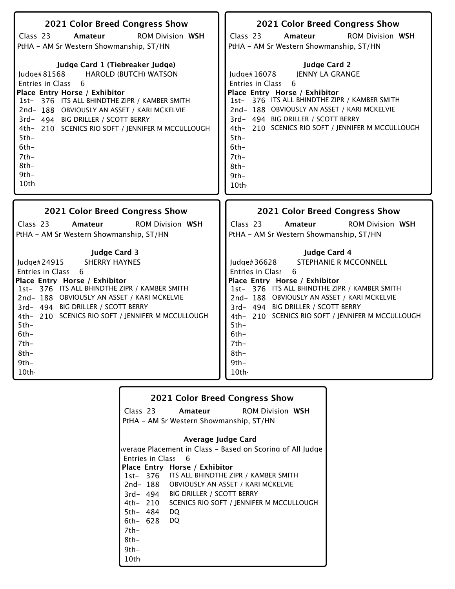| 2021 Color Breed Congress Show<br>Class 23<br><b>ROM Division WSH</b><br>Amateur<br>PtHA - AM Sr Western Showmanship, ST/HN<br>Judge Card 1 (Tiebreaker Judge)<br><b>HAROLD (BUTCH) WATSON</b><br>Judge#81568<br>Entries in Class 6<br>Place Entry Horse / Exhibitor<br>1st- 376 ITS ALL BHINDTHE ZIPR / KAMBER SMITH<br>2nd-188 OBVIOUSLY AN ASSET / KARI MCKELVIE<br>3rd- 494 BIG DRILLER / SCOTT BERRY<br>4th- 210 SCENICS RIO SOFT / JENNIFER M MCCULLOUGH<br>$5th-$<br>$6th-$<br>$7th-$<br>$8th-$<br>$9th-$<br>$10$ th | 2021 Color Breed Congress Show<br>Class 23<br><b>ROM Division WSH</b><br>Amateur<br>PtHA - AM Sr Western Showmanship, ST/HN<br><b>Judge Card 2</b><br>JENNY LA GRANGE<br>Judge# 16078<br>Entries in Class<br>6<br>Place Entry Horse / Exhibitor<br>1st- 376 ITS ALL BHINDTHE ZIPR / KAMBER SMITH<br>2nd-188 OBVIOUSLY AN ASSET / KARI MCKELVIE<br>3rd- 494 BIG DRILLER / SCOTT BERRY<br>4th- 210 SCENICS RIO SOFT / JENNIFER M MCCULLOUGH<br>$5th-$<br>$6th-$<br>$7th-$<br>$8th-$<br>$9th-$<br>10th |
|-----------------------------------------------------------------------------------------------------------------------------------------------------------------------------------------------------------------------------------------------------------------------------------------------------------------------------------------------------------------------------------------------------------------------------------------------------------------------------------------------------------------------------|-----------------------------------------------------------------------------------------------------------------------------------------------------------------------------------------------------------------------------------------------------------------------------------------------------------------------------------------------------------------------------------------------------------------------------------------------------------------------------------------------------|
|                                                                                                                                                                                                                                                                                                                                                                                                                                                                                                                             |                                                                                                                                                                                                                                                                                                                                                                                                                                                                                                     |
| 2021 Color Breed Congress Show                                                                                                                                                                                                                                                                                                                                                                                                                                                                                              | 2021 Color Breed Congress Show                                                                                                                                                                                                                                                                                                                                                                                                                                                                      |
| Class 23<br><b>ROM Division WSH</b><br>Amateur<br>PtHA - AM Sr Western Showmanship, ST/HN                                                                                                                                                                                                                                                                                                                                                                                                                                   | Class 23<br><b>ROM Division WSH</b><br>Amateur<br>PtHA - AM Sr Western Showmanship, ST/HN                                                                                                                                                                                                                                                                                                                                                                                                           |

|        |             | <b>2021 Color Breed Congress Show</b>                     |
|--------|-------------|-----------------------------------------------------------|
|        |             | Class 23 <b>Amateur</b> ROM Division WSH                  |
|        |             | PtHA - AM Sr Western Showmanship, ST/HN                   |
|        |             |                                                           |
|        |             | Average Judge Card                                        |
|        |             | werage Placement in Class – Based on Scoring of All Judge |
|        |             | Entries in Class 6                                        |
|        |             | Place Entry Horse / Exhibitor                             |
|        |             | 1st- 376 ITS ALL BHINDTHE ZIPR / KAMBER SMITH             |
|        |             | 2nd-188 OBVIOUSLY AN ASSET / KARI MCKELVIE                |
|        |             | 3rd- 494 BIG DRILLER / SCOTT BERRY                        |
|        |             | 4th- 210 SCENICS RIO SOFT / JENNIFER M MCCULLOUGH         |
|        | 5th- 484 DQ |                                                           |
|        | 6th- 628 DQ |                                                           |
| 7th-   |             |                                                           |
| 8th-   |             |                                                           |
| $9th-$ |             |                                                           |
| 10th   |             |                                                           |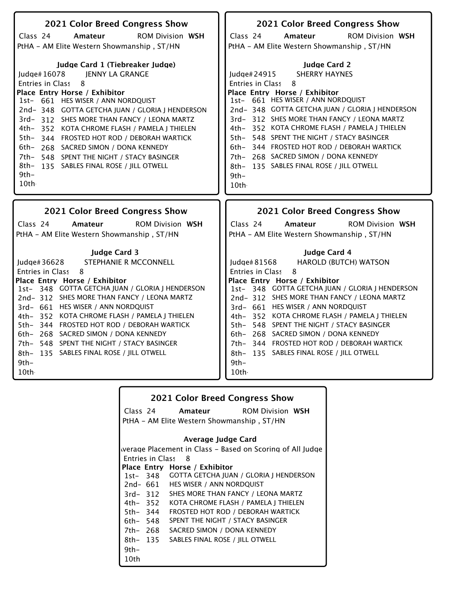| 2021 Color Breed Congress Show                                                                                                                                                                                                                                                                                                                                                                                                                                                                                    | 2021 Color Breed Congress Show                                                                                                                                                                                                                                                                                                                                                                                                                                                                                  |
|-------------------------------------------------------------------------------------------------------------------------------------------------------------------------------------------------------------------------------------------------------------------------------------------------------------------------------------------------------------------------------------------------------------------------------------------------------------------------------------------------------------------|-----------------------------------------------------------------------------------------------------------------------------------------------------------------------------------------------------------------------------------------------------------------------------------------------------------------------------------------------------------------------------------------------------------------------------------------------------------------------------------------------------------------|
| Class 24<br><b>ROM Division WSH</b><br>Amateur                                                                                                                                                                                                                                                                                                                                                                                                                                                                    | Class 24<br>Amateur<br><b>ROM Division WSH</b>                                                                                                                                                                                                                                                                                                                                                                                                                                                                  |
| PtHA - AM Elite Western Showmanship, ST/HN                                                                                                                                                                                                                                                                                                                                                                                                                                                                        | PtHA - AM Elite Western Showmanship, ST/HN                                                                                                                                                                                                                                                                                                                                                                                                                                                                      |
| Judge Card 1 (Tiebreaker Judge)<br>JENNY LA GRANGE<br>Judge#16078<br>8<br>Entries in Class<br>Place Entry Horse / Exhibitor<br>1st- 661 HES WISER / ANN NORDQUIST<br>2nd-348 GOTTA GETCHA JUAN / GLORIA J HENDERSON<br>3rd- 312 SHES MORE THAN FANCY / LEONA MARTZ<br>4th- 352 KOTA CHROME FLASH / PAMELA J THIELEN<br>5th-344 FROSTED HOT ROD / DEBORAH WARTICK<br>6th- 268 SACRED SIMON / DONA KENNEDY<br>7th- 548 SPENT THE NIGHT / STACY BASINGER<br>8th- 135 SABLES FINAL ROSE / JILL OTWELL<br>9th-<br>10th | <b>Judge Card 2</b><br><b>SHERRY HAYNES</b><br>Judge#24915<br>8<br>Entries in Class<br>Place Entry Horse / Exhibitor<br>1st- 661 HES WISER / ANN NORDQUIST<br>2nd-348 GOTTA GETCHA JUAN / GLORIA J HENDERSON<br>3rd-312 SHES MORE THAN FANCY / LEONA MARTZ<br>4th- 352 KOTA CHROME FLASH / PAMELA J THIELEN<br>5th- 548 SPENT THE NIGHT / STACY BASINGER<br>6th- 344 FROSTED HOT ROD / DEBORAH WARTICK<br>7th- 268 SACRED SIMON / DONA KENNEDY<br>8th- 135 SABLES FINAL ROSE / JILL OTWELL<br>$9th -$<br>10th - |
|                                                                                                                                                                                                                                                                                                                                                                                                                                                                                                                   |                                                                                                                                                                                                                                                                                                                                                                                                                                                                                                                 |
| 2021 Color Breed Congress Show                                                                                                                                                                                                                                                                                                                                                                                                                                                                                    | 2021 Color Breed Congress Show                                                                                                                                                                                                                                                                                                                                                                                                                                                                                  |
| Class 24<br><b>ROM Division WSH</b><br>Amateur                                                                                                                                                                                                                                                                                                                                                                                                                                                                    | Class 24<br><b>ROM Division WSH</b><br>Amateur                                                                                                                                                                                                                                                                                                                                                                                                                                                                  |
| PtHA - AM Elite Western Showmanship, ST/HN                                                                                                                                                                                                                                                                                                                                                                                                                                                                        | PtHA - AM Elite Western Showmanship, ST/HN                                                                                                                                                                                                                                                                                                                                                                                                                                                                      |
| <b>Judge Card 3</b><br>STEPHANIE R MCCONNELL<br>Iudge# $36628$<br><b>Entries in Class</b><br>-8<br>Place Entry Horse / Exhibitor<br>1st- 348 GOTTA GETCHA JUAN / GLORIA J HENDERSON<br>2nd-312 SHES MORE THAN FANCY / LEONA MARTZ<br>3rd- 661 HES WISER / ANN NORDQUIST<br>4th- 352 KOTA CHROME FLASH / PAMELA J THIELEN<br>5th- 344 FROSTED HOT ROD / DEBORAH WARTICK<br>6th- 268 SACRED SIMON / DONA KENNEDY<br>7th- 548 SPENT THE NIGHT / STACY BASINGER                                                       | Judge Card 4<br>Judge#81568<br><b>HAROLD (BUTCH) WATSON</b><br>Entries in Class<br>8<br>Place Entry Horse / Exhibitor<br>1st- 348 GOTTA GETCHA JUAN / GLORIA J HENDERSON<br>2nd-312 SHES MORE THAN FANCY / LEONA MARTZ<br>3rd- 661 HES WISER / ANN NORDQUIST<br>4th- 352 KOTA CHROME FLASH / PAMELA J THIELEN<br>5th- 548 SPENT THE NIGHT / STACY BASINGER<br>6th- 268 SACRED SIMON / DONA KENNEDY<br>7th- 344 FROSTED HOT ROD / DEBORAH WARTICK                                                                |

| <b>2021 Color Breed Congress Show</b> |                         |                                                |                                                           |
|---------------------------------------|-------------------------|------------------------------------------------|-----------------------------------------------------------|
|                                       |                         | Class 24 <b>Amateur</b> ROM Division WSH       |                                                           |
|                                       |                         | PtHA – AM Elite Western Showmanship , ST/HN    |                                                           |
|                                       |                         | Average Judge Card                             |                                                           |
|                                       |                         |                                                | werage Placement in Class – Based on Scoring of All Judge |
|                                       | <b>Entries in Class</b> | - 8                                            |                                                           |
|                                       |                         | Place Entry Horse / Exhibitor                  |                                                           |
|                                       |                         | 1st-348 GOTTA GETCHA JUAN / GLORIA J HENDERSON |                                                           |
|                                       |                         | 2nd- 661 HES WISER / ANN NORDQUIST             |                                                           |
|                                       | 3rd- 312                | SHES MORE THAN FANCY / LEONA MARTZ             |                                                           |
|                                       | 4th– 352                | KOTA CHROME FLASH / PAMELA J THIELEN           |                                                           |
|                                       | 5th– 344                | FROSTED HOT ROD / DEBORAH WARTICK              |                                                           |
| 6th- 548                              |                         | SPENT THE NIGHT / STACY BASINGER               |                                                           |
| 7th- 268                              |                         | SACRED SIMON / DONA KENNEDY                    |                                                           |
| $8th - 135$                           |                         | SABLES FINAL ROSE / JILL OTWELL                |                                                           |
| $9th -$                               |                         |                                                |                                                           |
| 10th                                  |                         |                                                |                                                           |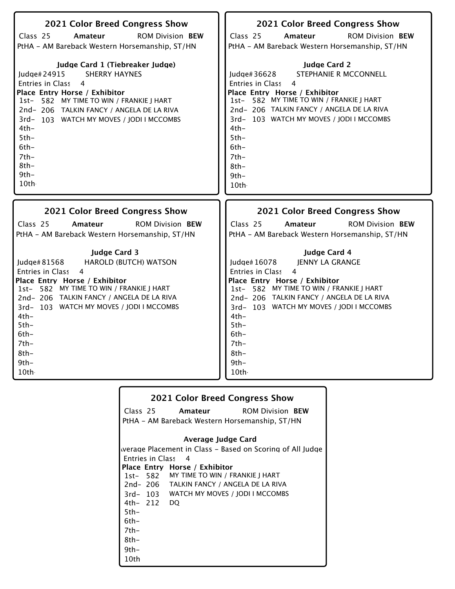| 2021 Color Breed Congress Show<br>Class 25<br><b>ROM Division BEW</b><br>Amateur<br>PtHA - AM Bareback Western Horsemanship, ST/HN<br>Judge Card 1 (Tiebreaker Judge)<br><b>SHERRY HAYNES</b><br>Judge#24915<br>Entries in Class 4<br>Place Entry Horse / Exhibitor<br>1st- 582 MY TIME TO WIN / FRANKIE J HART<br>2nd-206 TALKIN FANCY / ANGELA DE LA RIVA<br>3rd-103 WATCH MY MOVES / JODI I MCCOMBS<br>4th-<br>$5th-$<br>$6th-$<br>$7th-$<br>$8th-$<br>$9th-$<br>10th | 2021 Color Breed Congress Show<br>Class 25<br><b>ROM Division BEW</b><br>Amateur<br>PtHA - AM Bareback Western Horsemanship, ST/HN<br><b>Judge Card 2</b><br>STEPHANIE R MCCONNELL<br>Judge#36628<br>Entries in Class<br>$\overline{4}$<br>Place Entry Horse / Exhibitor<br>1st- 582 MY TIME TO WIN / FRANKIE J HART<br>2nd-206 TALKIN FANCY / ANGELA DE LA RIVA<br>3rd-103 WATCH MY MOVES / JODI I MCCOMBS<br>$4th-$<br>$5th-$<br>$6th-$<br>$7th-$<br>8th-<br>$9th -$<br>10th |
|--------------------------------------------------------------------------------------------------------------------------------------------------------------------------------------------------------------------------------------------------------------------------------------------------------------------------------------------------------------------------------------------------------------------------------------------------------------------------|--------------------------------------------------------------------------------------------------------------------------------------------------------------------------------------------------------------------------------------------------------------------------------------------------------------------------------------------------------------------------------------------------------------------------------------------------------------------------------|
| <b>2021 Color Breed Congress Show</b>                                                                                                                                                                                                                                                                                                                                                                                                                                    | <b>2021 Color Breed Congress Show</b>                                                                                                                                                                                                                                                                                                                                                                                                                                          |
| Class 25                                                                                                                                                                                                                                                                                                                                                                                                                                                                 | Class 25                                                                                                                                                                                                                                                                                                                                                                                                                                                                       |
| <b>ROM Division BEW</b>                                                                                                                                                                                                                                                                                                                                                                                                                                                  | <b>ROM Division BEW</b>                                                                                                                                                                                                                                                                                                                                                                                                                                                        |
| Amateur                                                                                                                                                                                                                                                                                                                                                                                                                                                                  | Amateur                                                                                                                                                                                                                                                                                                                                                                                                                                                                        |
| PtHA - AM Bareback Western Horsemanship, ST/HN                                                                                                                                                                                                                                                                                                                                                                                                                           | PtHA - AM Bareback Western Horsemanship, ST/HN                                                                                                                                                                                                                                                                                                                                                                                                                                 |
| <b>Judge Card 3</b>                                                                                                                                                                                                                                                                                                                                                                                                                                                      | Judge Card 4                                                                                                                                                                                                                                                                                                                                                                                                                                                                   |
| Judge# 81568                                                                                                                                                                                                                                                                                                                                                                                                                                                             | Judge# 16078                                                                                                                                                                                                                                                                                                                                                                                                                                                                   |
| <b>HAROLD (BUTCH) WATSON</b>                                                                                                                                                                                                                                                                                                                                                                                                                                             | <b>JENNY LA GRANGE</b>                                                                                                                                                                                                                                                                                                                                                                                                                                                         |
| <b>Entries in Class</b>                                                                                                                                                                                                                                                                                                                                                                                                                                                  | Entries in Class                                                                                                                                                                                                                                                                                                                                                                                                                                                               |
| $\overline{4}$                                                                                                                                                                                                                                                                                                                                                                                                                                                           | 4                                                                                                                                                                                                                                                                                                                                                                                                                                                                              |
| Place Entry Horse / Exhibitor                                                                                                                                                                                                                                                                                                                                                                                                                                            | Place Entry Horse / Exhibitor                                                                                                                                                                                                                                                                                                                                                                                                                                                  |
| 1st- 582 MY TIME TO WIN / FRANKIE J HART                                                                                                                                                                                                                                                                                                                                                                                                                                 | 1st- 582 MY TIME TO WIN / FRANKIE J HART                                                                                                                                                                                                                                                                                                                                                                                                                                       |
| 2nd-206 TALKIN FANCY / ANGELA DE LA RIVA                                                                                                                                                                                                                                                                                                                                                                                                                                 | 2nd-206 TALKIN FANCY / ANGELA DE LA RIVA                                                                                                                                                                                                                                                                                                                                                                                                                                       |
| 3rd-103 WATCH MY MOVES / JODI I MCCOMBS                                                                                                                                                                                                                                                                                                                                                                                                                                  | 3rd-103 WATCH MY MOVES / JODI I MCCOMBS                                                                                                                                                                                                                                                                                                                                                                                                                                        |
| $4th-$                                                                                                                                                                                                                                                                                                                                                                                                                                                                   | $4th-$                                                                                                                                                                                                                                                                                                                                                                                                                                                                         |
| $5th-$                                                                                                                                                                                                                                                                                                                                                                                                                                                                   | $5th-$                                                                                                                                                                                                                                                                                                                                                                                                                                                                         |
| $6th-$                                                                                                                                                                                                                                                                                                                                                                                                                                                                   | $6th-$                                                                                                                                                                                                                                                                                                                                                                                                                                                                         |
| $7th-$                                                                                                                                                                                                                                                                                                                                                                                                                                                                   | $7th-$                                                                                                                                                                                                                                                                                                                                                                                                                                                                         |
| $8th-$                                                                                                                                                                                                                                                                                                                                                                                                                                                                   | $8th-$                                                                                                                                                                                                                                                                                                                                                                                                                                                                         |
| $9th-$                                                                                                                                                                                                                                                                                                                                                                                                                                                                   | $9th -$                                                                                                                                                                                                                                                                                                                                                                                                                                                                        |
| 10th                                                                                                                                                                                                                                                                                                                                                                                                                                                                     | 10 <sub>th</sub>                                                                                                                                                                                                                                                                                                                                                                                                                                                               |

| <b>2021 Color Breed Congress Show</b> |             |                                                |                                                           |
|---------------------------------------|-------------|------------------------------------------------|-----------------------------------------------------------|
|                                       |             |                                                | Class 25 <b>Amateur</b> ROM Division <b>BEW</b>           |
|                                       |             | PtHA – AM Bareback Western Horsemanship, ST/HN |                                                           |
|                                       |             | Average Judge Card                             |                                                           |
|                                       |             |                                                |                                                           |
|                                       |             |                                                | werage Placement in Class – Based on Scoring of All Judge |
|                                       |             | Entries in Class 4                             |                                                           |
|                                       |             | Place Entry Horse / Exhibitor                  |                                                           |
|                                       |             | 1st- 582 MY TIME TO WIN / FRANKIE J HART       |                                                           |
|                                       |             | 2nd-206 TALKIN FANCY / ANGELA DE LA RIVA       |                                                           |
|                                       |             | 3rd-103 WATCH MY MOVES / JODI I MCCOMBS        |                                                           |
|                                       | 4th- 212 DQ |                                                |                                                           |
| $5th-$                                |             |                                                |                                                           |
| 6th-                                  |             |                                                |                                                           |
| 7th-                                  |             |                                                |                                                           |
| 8th-                                  |             |                                                |                                                           |
| 9th-                                  |             |                                                |                                                           |
| 10th                                  |             |                                                |                                                           |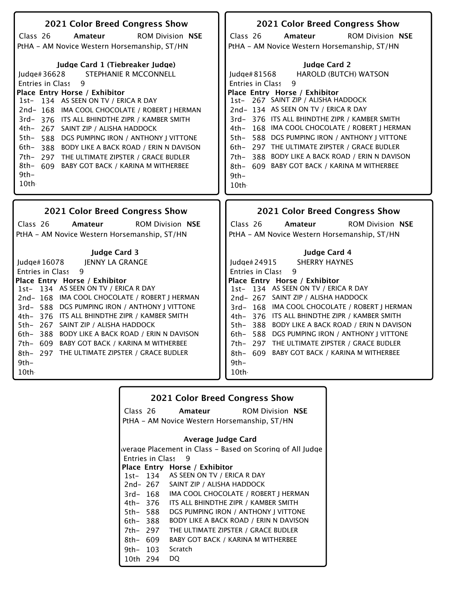| 2021 Color Breed Congress Show                                                                                                                                                                                                                                                                                                                                                                                                                                                                                                                                             | 2021 Color Breed Congress Show                                                                                                                                                                                                                                                                                                                                                                                                                                                                                                              |
|----------------------------------------------------------------------------------------------------------------------------------------------------------------------------------------------------------------------------------------------------------------------------------------------------------------------------------------------------------------------------------------------------------------------------------------------------------------------------------------------------------------------------------------------------------------------------|---------------------------------------------------------------------------------------------------------------------------------------------------------------------------------------------------------------------------------------------------------------------------------------------------------------------------------------------------------------------------------------------------------------------------------------------------------------------------------------------------------------------------------------------|
| Class 26<br><b>ROM Division NSE</b><br>Amateur                                                                                                                                                                                                                                                                                                                                                                                                                                                                                                                             | Class 26<br><b>ROM Division NSE</b><br>Amateur                                                                                                                                                                                                                                                                                                                                                                                                                                                                                              |
| PtHA - AM Novice Western Horsemanship, ST/HN                                                                                                                                                                                                                                                                                                                                                                                                                                                                                                                               | PtHA - AM Novice Western Horsemanship, ST/HN                                                                                                                                                                                                                                                                                                                                                                                                                                                                                                |
| Judge Card 1 (Tiebreaker Judge)<br>STEPHANIE R MCCONNELL<br>Judge# $36628$<br><b>Entries in Class</b><br>9<br>Place Entry Horse / Exhibitor<br>134 AS SEEN ON TV / ERICA R DAY<br>1st-<br>2nd-168 IMA COOL CHOCOLATE / ROBERT J HERMAN<br>3rd-376 ITS ALL BHINDTHE ZIPR / KAMBER SMITH<br>4th-<br>267 SAINT ZIP / ALISHA HADDOCK<br>5th-<br>588 DGS PUMPING IRON / ANTHONY J VITTONE<br>6th-<br>388 BODY LIKE A BACK ROAD / ERIN N DAVISON<br>$7th-$<br>297 THE ULTIMATE ZIPSTER / GRACE BUDLER<br>8th- 609<br><b>BABY GOT BACK / KARINA M WITHERBEE</b><br>$9th-$<br>10th | <b>Judge Card 2</b><br><b>HAROLD (BUTCH) WATSON</b><br>Judge#81568<br><b>Entries in Class</b><br>9<br>Place Entry Horse / Exhibitor<br>1st- 267 SAINT ZIP / ALISHA HADDOCK<br>2nd-134 AS SEEN ON TV / ERICA R DAY<br>3rd- 376 ITS ALL BHINDTHE ZIPR / KAMBER SMITH<br>4th- 168 IMA COOL CHOCOLATE / ROBERT J HERMAN<br>5th- 588 DGS PUMPING IRON / ANTHONY J VITTONE<br>6th- 297 THE ULTIMATE ZIPSTER / GRACE BUDLER<br>388 BODY LIKE A BACK ROAD / ERIN N DAVISON<br>7th-<br>8th- 609 BABY GOT BACK / KARINA M WITHERBEE<br>$9th-$<br>10th |
|                                                                                                                                                                                                                                                                                                                                                                                                                                                                                                                                                                            |                                                                                                                                                                                                                                                                                                                                                                                                                                                                                                                                             |
|                                                                                                                                                                                                                                                                                                                                                                                                                                                                                                                                                                            |                                                                                                                                                                                                                                                                                                                                                                                                                                                                                                                                             |
| 2021 Color Breed Congress Show                                                                                                                                                                                                                                                                                                                                                                                                                                                                                                                                             | <b>2021 Color Breed Congress Show</b>                                                                                                                                                                                                                                                                                                                                                                                                                                                                                                       |
| Class 26<br>Amateur<br><b>ROM Division NSE</b>                                                                                                                                                                                                                                                                                                                                                                                                                                                                                                                             | Class 26<br><b>ROM Division NSE</b><br>Amateur                                                                                                                                                                                                                                                                                                                                                                                                                                                                                              |
| PtHA - AM Novice Western Horsemanship, ST/HN                                                                                                                                                                                                                                                                                                                                                                                                                                                                                                                               | PtHA - AM Novice Western Horsemanship, ST/HN                                                                                                                                                                                                                                                                                                                                                                                                                                                                                                |
|                                                                                                                                                                                                                                                                                                                                                                                                                                                                                                                                                                            |                                                                                                                                                                                                                                                                                                                                                                                                                                                                                                                                             |
| <b>Judge Card 3</b>                                                                                                                                                                                                                                                                                                                                                                                                                                                                                                                                                        | Judge Card 4                                                                                                                                                                                                                                                                                                                                                                                                                                                                                                                                |
| JENNY LA GRANGE<br>Judge $#16078$<br>9                                                                                                                                                                                                                                                                                                                                                                                                                                                                                                                                     | <b>SHERRY HAYNES</b><br>Judge# $24915$<br><b>Entries in Class</b><br>9                                                                                                                                                                                                                                                                                                                                                                                                                                                                      |
| Entries in Class<br>Place Entry Horse / Exhibitor                                                                                                                                                                                                                                                                                                                                                                                                                                                                                                                          | Place Entry Horse / Exhibitor                                                                                                                                                                                                                                                                                                                                                                                                                                                                                                               |
| 1st- 134 AS SEEN ON TV / ERICA R DAY                                                                                                                                                                                                                                                                                                                                                                                                                                                                                                                                       | 1st- 134 AS SEEN ON TV / ERICA R DAY                                                                                                                                                                                                                                                                                                                                                                                                                                                                                                        |
| 2nd-168 IMA COOL CHOCOLATE / ROBERT J HERMAN                                                                                                                                                                                                                                                                                                                                                                                                                                                                                                                               | 2nd- 267 SAINT ZIP / ALISHA HADDOCK                                                                                                                                                                                                                                                                                                                                                                                                                                                                                                         |
| 3rd- 588 DGS PUMPING IRON / ANTHONY J VITTONE                                                                                                                                                                                                                                                                                                                                                                                                                                                                                                                              | 3rd- 168 IMA COOL CHOCOLATE / ROBERT J HERMAN                                                                                                                                                                                                                                                                                                                                                                                                                                                                                               |
| 4th- 376 ITS ALL BHINDTHE ZIPR / KAMBER SMITH                                                                                                                                                                                                                                                                                                                                                                                                                                                                                                                              | 4th- 376 ITS ALL BHINDTHE ZIPR / KAMBER SMITH                                                                                                                                                                                                                                                                                                                                                                                                                                                                                               |
| 5th- 267 SAINT ZIP / ALISHA HADDOCK<br>388 BODY LIKE A BACK ROAD / ERIN N DAVISON                                                                                                                                                                                                                                                                                                                                                                                                                                                                                          | 5th-388 BODY LIKE A BACK ROAD / ERIN N DAVISON                                                                                                                                                                                                                                                                                                                                                                                                                                                                                              |
| 6th-<br>7th- 609 BABY GOT BACK / KARINA M WITHERBEE                                                                                                                                                                                                                                                                                                                                                                                                                                                                                                                        | 6th- 588 DGS PUMPING IRON / ANTHONY J VITTONE<br>7th- 297 THE ULTIMATE ZIPSTER / GRACE BUDLER                                                                                                                                                                                                                                                                                                                                                                                                                                               |
| 8th- 297 THE ULTIMATE ZIPSTER / GRACE BUDLER                                                                                                                                                                                                                                                                                                                                                                                                                                                                                                                               | 8th- 609 BABY GOT BACK / KARINA M WITHERBEE                                                                                                                                                                                                                                                                                                                                                                                                                                                                                                 |
| 9th-                                                                                                                                                                                                                                                                                                                                                                                                                                                                                                                                                                       | 9th-                                                                                                                                                                                                                                                                                                                                                                                                                                                                                                                                        |
| 10th                                                                                                                                                                                                                                                                                                                                                                                                                                                                                                                                                                       | 10th.                                                                                                                                                                                                                                                                                                                                                                                                                                                                                                                                       |

| <b>2021 Color Breed Congress Show</b> |                         |                                                           |
|---------------------------------------|-------------------------|-----------------------------------------------------------|
|                                       |                         | Class 26 <b>Amateur</b> ROM Division NSE                  |
|                                       |                         | PtHA – AM Novice Western Horsemanship, ST/HN              |
|                                       |                         |                                                           |
| Average Judge Card                    |                         |                                                           |
|                                       |                         | werage Placement in Class – Based on Scoring of All Judge |
|                                       | <b>Entries in Class</b> | 9                                                         |
|                                       |                         | Place Entry Horse / Exhibitor                             |
|                                       |                         | 1st-134 AS SEEN ON TV / ERICA R DAY                       |
|                                       |                         | 2nd-267 SAINT ZIP / ALISHA HADDOCK                        |
|                                       | 3rd- 168                | IMA COOL CHOCOLATE / ROBERT I HERMAN                      |
|                                       | 4th– 376                | ITS ALL BHINDTHE ZIPR / KAMBER SMITH                      |
| 5th- 588                              |                         | DGS PUMPING IRON / ANTHONY J VITTONE                      |
| 6th- 388                              |                         | <b>BODY LIKE A BACK ROAD / ERIN N DAVISON</b>             |
| 7th- 297                              |                         | THE ULTIMATE ZIPSTER / GRACE BUDLER                       |
| 8th- 609                              |                         | <b>BABY GOT BACK / KARINA M WITHERBEE</b>                 |
|                                       | 9th- 103                | Scratch                                                   |
| 10th 294                              |                         | DO.                                                       |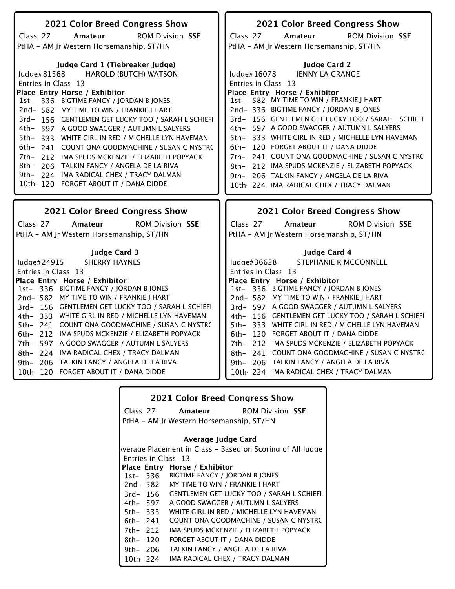| 2021 Color Breed Congress Show                                                     | 2021 Color Breed Congress Show                                                     |
|------------------------------------------------------------------------------------|------------------------------------------------------------------------------------|
| Amateur<br><b>ROM Division SSE</b><br>Class 27                                     | Class 27<br>Amateur<br><b>ROM Division SSE</b>                                     |
| PtHA - AM Jr Western Horsemanship, ST/HN                                           | PtHA - AM Jr Western Horsemanship, ST/HN                                           |
|                                                                                    |                                                                                    |
| Judge Card 1 (Tiebreaker Judge)                                                    | <b>Judge Card 2</b>                                                                |
| ludge# $81568$<br><b>HAROLD (BUTCH) WATSON</b>                                     | <b>JENNY LA GRANGE</b><br>Judge# 16078                                             |
| Entries in Class 13                                                                | Entries in Class 13                                                                |
| Place Entry Horse / Exhibitor<br>1st- 336 BIGTIME FANCY / JORDAN B JONES           | Place Entry Horse / Exhibitor<br>1st- 582 MY TIME TO WIN / FRANKIE J HART          |
| 2nd-582 MY TIME TO WIN / FRANKIE J HART                                            | 2nd-336 BIGTIME FANCY / JORDAN B JONES                                             |
| 3rd-156 GENTLEMEN GET LUCKY TOO / SARAH L SCHIEFI                                  | 3rd- 156 GENTLEMEN GET LUCKY TOO / SARAH L SCHIEFI                                 |
| 4th- 597 A GOOD SWAGGER / AUTUMN L SALYERS                                         | 4th- 597 A GOOD SWAGGER / AUTUMN L SALYERS                                         |
| 5th- 333 WHITE GIRL IN RED / MICHELLE LYN HAVEMAN                                  | 5th- 333 WHITE GIRL IN RED / MICHELLE LYN HAVEMAN                                  |
| 6th-<br>241 COUNT ONA GOODMACHINE / SUSAN C NYSTRO                                 | 6th- 120 FORGET ABOUT IT / DANA DIDDE                                              |
| 7th- 212 IMA SPUDS MCKENZIE / ELIZABETH POPYACK                                    | 7th- 241 COUNT ONA GOODMACHINE / SUSAN C NYSTRO                                    |
| 8th- 206 TALKIN FANCY / ANGELA DE LA RIVA                                          | 212 IMA SPUDS MCKENZIE / ELIZABETH POPYACK<br>8th–                                 |
| 9th- 224 IMA RADICAL CHEX / TRACY DALMAN                                           | 9th- 206 TALKIN FANCY / ANGELA DE LA RIVA                                          |
| 10th 120 FORGET ABOUT IT / DANA DIDDE                                              | 10th 224 IMA RADICAL CHEX / TRACY DALMAN                                           |
|                                                                                    |                                                                                    |
|                                                                                    |                                                                                    |
| <b>2021 Color Breed Congress Show</b>                                              | <b>2021 Color Breed Congress Show</b>                                              |
| <b>ROM Division SSE</b><br>Class 27<br>Amateur                                     | <b>ROM Division SSE</b><br>Class 27<br>Amateur                                     |
| PtHA - AM Jr Western Horsemanship, ST/HN                                           | PtHA - AM Jr Western Horsemanship, ST/HN                                           |
|                                                                                    |                                                                                    |
| <b>Judge Card 3</b>                                                                | Judge Card 4                                                                       |
| <b>SHERRY HAYNES</b><br>Judge# 24915                                               | STEPHANIE R MCCONNELL<br>Judge# 36628                                              |
| Entries in Class 13                                                                | Entries in Class 13                                                                |
| Place Entry Horse / Exhibitor                                                      | Place Entry Horse / Exhibitor                                                      |
| 1st- 336 BIGTIME FANCY / JORDAN B JONES<br>2nd-582 MY TIME TO WIN / FRANKIE J HART | 1st-336 BIGTIME FANCY / JORDAN B JONES<br>2nd- 582 MY TIME TO WIN / FRANKIE J HART |
| 3rd-156 GENTLEMEN GET LUCKY TOO / SARAH L SCHIEFI                                  | 3rd- 597 A GOOD SWAGGER / AUTUMN L SALYERS                                         |
| 4th- 333 WHITE GIRL IN RED / MICHELLE LYN HAVEMAN                                  | 4th- 156 GENTLEMEN GET LUCKY TOO / SARAH L SCHIEFI                                 |
| 5th- 241 COUNT ONA GOODMACHINE / SUSAN C NYSTRO                                    | 5th- 333 WHITE GIRL IN RED / MICHELLE LYN HAVEMAN                                  |
| 6th- 212 IMA SPUDS MCKENZIE / ELIZABETH POPYACK                                    | 6th- 120 FORGET ABOUT IT / DANA DIDDE                                              |
| 7th- 597 A GOOD SWAGGER / AUTUMN L SALYERS                                         | 7th- 212 IMA SPUDS MCKENZIE / ELIZABETH POPYACK                                    |
| 8th- 224 IMA RADICAL CHEX / TRACY DALMAN                                           | 8th- 241 COUNT ONA GOODMACHINE / SUSAN C NYSTRO                                    |
| 9th- 206 TALKIN FANCY / ANGELA DE LA RIVA                                          | 9th- 206 TALKIN FANCY / ANGELA DE LA RIVA                                          |
| 10th 120 FORGET ABOUT IT / DANA DIDDE                                              | 10th 224 IMA RADICAL CHEX / TRACY DALMAN                                           |

| <b>2021 Color Breed Congress Show</b>                     |          |                                                  |
|-----------------------------------------------------------|----------|--------------------------------------------------|
|                                                           |          | Class 27 <b>Amateur</b> ROM Division SSE         |
| PtHA – AM Jr Western Horsemanship, ST/HN                  |          |                                                  |
| Average Judge Card                                        |          |                                                  |
| werage Placement in Class – Based on Scoring of All Judge |          |                                                  |
|                                                           |          | Entries in Class 13                              |
|                                                           |          | Place Entry Horse / Exhibitor                    |
|                                                           |          | 1st-336 BIGTIME FANCY / JORDAN B JONES           |
|                                                           | 2nd- 582 | MY TIME TO WIN / FRANKIE J HART                  |
|                                                           | 3rd- 156 | <b>GENTLEMEN GET LUCKY TOO / SARAH L SCHIEFI</b> |
|                                                           | 4th– 597 | A GOOD SWAGGER / AUTUMN L SALYERS                |
| 5th-333                                                   |          | WHITE GIRL IN RED / MICHELLE LYN HAVEMAN         |
| 6th– 241                                                  |          | COUNT ONA GOODMACHINE / SUSAN C NYSTRO           |
| 7th- 212                                                  |          | IMA SPUDS MCKENZIE / ELIZABETH POPYACK           |
| 8th- 120                                                  |          | FORGET ABOUT IT / DANA DIDDE                     |
| 9th- 206                                                  |          | TALKIN FANCY / ANGELA DE LA RIVA                 |
| 10th 224                                                  |          | IMA RADICAL CHEX / TRACY DALMAN                  |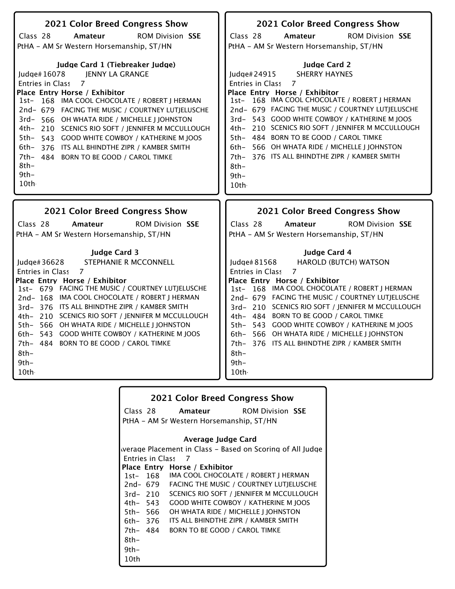| 2021 Color Breed Congress Show                                                                                                                                                                                                                                                                                                                                                                                                                                                                                                          | 2021 Color Breed Congress Show                                                                                                                                                                                                                                                                                                                                                                                                                                                                                             |
|-----------------------------------------------------------------------------------------------------------------------------------------------------------------------------------------------------------------------------------------------------------------------------------------------------------------------------------------------------------------------------------------------------------------------------------------------------------------------------------------------------------------------------------------|----------------------------------------------------------------------------------------------------------------------------------------------------------------------------------------------------------------------------------------------------------------------------------------------------------------------------------------------------------------------------------------------------------------------------------------------------------------------------------------------------------------------------|
| Class 28<br>Amateur<br><b>ROM Division SSE</b>                                                                                                                                                                                                                                                                                                                                                                                                                                                                                          | Class 28<br>Amateur<br><b>ROM Division SSE</b>                                                                                                                                                                                                                                                                                                                                                                                                                                                                             |
| PtHA - AM Sr Western Horsemanship, ST/HN                                                                                                                                                                                                                                                                                                                                                                                                                                                                                                | PtHA - AM Sr Western Horsemanship, ST/HN                                                                                                                                                                                                                                                                                                                                                                                                                                                                                   |
| Judge Card 1 (Tiebreaker Judge)<br>JENNY LA GRANGE<br>Judge# $16078$<br><b>Entries in Class</b><br>$\overline{7}$<br>Place Entry Horse / Exhibitor<br>1st- 168 IMA COOL CHOCOLATE / ROBERT J HERMAN<br>2nd- 679 FACING THE MUSIC / COURTNEY LUTJELUSCHE<br>3rd-566 OH WHATA RIDE / MICHELLE   JOHNSTON<br>4th- 210 SCENICS RIO SOFT / JENNIFER M MCCULLOUGH<br>$5th-$<br>543 GOOD WHITE COWBOY / KATHERINE M JOOS<br>6th-376 ITS ALL BHINDTHE ZIPR / KAMBER SMITH<br>7th- 484 BORN TO BE GOOD / CAROL TIMKE<br>$8th-$<br>$9th-$<br>10th | <b>Judge Card 2</b><br><b>SHERRY HAYNES</b><br>Judge#24915<br>$\overline{7}$<br><b>Entries in Class</b><br>Place Entry Horse / Exhibitor<br>1st- 168 IMA COOL CHOCOLATE / ROBERT   HERMAN<br>2nd- 679 FACING THE MUSIC / COURTNEY LUTJELUSCHE<br>3rd- 543 GOOD WHITE COWBOY / KATHERINE M JOOS<br>4th- 210 SCENICS RIO SOFT / JENNIFER M MCCULLOUGH<br>5th- 484 BORN TO BE GOOD / CAROL TIMKE<br>6th- 566 OH WHATA RIDE / MICHELLE I JOHNSTON<br>7th- 376 ITS ALL BHINDTHE ZIPR / KAMBER SMITH<br>$8th-$<br>$9th-$<br>10th |
| 2021 Color Breed Congress Show                                                                                                                                                                                                                                                                                                                                                                                                                                                                                                          | 2021 Color Breed Congress Show                                                                                                                                                                                                                                                                                                                                                                                                                                                                                             |
| Class 28<br><b>ROM Division SSE</b><br>Amateur<br>PtHA - AM Sr Western Horsemanship, ST/HN                                                                                                                                                                                                                                                                                                                                                                                                                                              | Class 28<br><b>ROM Division SSE</b><br>Amateur<br>PtHA - AM Sr Western Horsemanship, ST/HN                                                                                                                                                                                                                                                                                                                                                                                                                                 |
| <b>Judge Card 3</b><br>STEPHANIE R MCCONNELL<br>ludge# $36628$<br><b>Entries in Class</b><br>$\overline{7}$<br>Place Entry Horse / Exhibitor<br>1st- 679 FACING THE MUSIC / COURTNEY LUTJELUSCHE<br>2nd-168 IMA COOL CHOCOLATE / ROBERT J HERMAN<br>3rd- 376 ITS ALL BHINDTHE ZIPR / KAMBER SMITH                                                                                                                                                                                                                                       | Judge Card 4<br>Judge# 81568<br>HAROLD (BUTCH) WATSON<br>$\overline{7}$<br><b>Entries in Class</b><br>Place Entry Horse / Exhibitor<br>168 IMA COOL CHOCOLATE / ROBERT J HERMAN<br>$1st-$<br>2nd- 679 FACING THE MUSIC / COURTNEY LUTJELUSCHE<br>3rd- 210 SCENICS RIO SOFT / JENNIFER M MCCULLOUGH                                                                                                                                                                                                                         |

| <b>2021 Color Breed Congress Show</b>    |                         |                                                           |
|------------------------------------------|-------------------------|-----------------------------------------------------------|
|                                          |                         | Class 28 <b>Amateur</b> ROM Division SSE                  |
| PtHA - AM Sr Western Horsemanship, ST/HN |                         |                                                           |
|                                          |                         |                                                           |
| Average Judge Card                       |                         |                                                           |
|                                          |                         | werage Placement in Class – Based on Scoring of All Judge |
|                                          | <b>Entries in Class</b> | - 7                                                       |
|                                          |                         | Place Entry Horse / Exhibitor                             |
|                                          |                         | 1st- 168 IMA COOL CHOCOLATE / ROBERT J HERMAN             |
|                                          |                         | 2nd- 679 FACING THE MUSIC / COURTNEY LUTIELUSCHE          |
|                                          | 3rd- 210                | SCENICS RIO SOFT / JENNIFER M MCCULLOUGH                  |
|                                          | 4th– 543                | <b>GOOD WHITE COWBOY / KATHERINE M JOOS</b>               |
|                                          | 5th– 566                | OH WHATA RIDE / MICHELLE   JOHNSTON                       |
|                                          | 6th– 376                | ITS ALL BHINDTHE ZIPR / KAMBER SMITH                      |
| 7th- 484                                 |                         | BORN TO BE GOOD / CAROL TIMKE                             |
| 8th-                                     |                         |                                                           |
| 9th-                                     |                         |                                                           |
| 10th                                     |                         |                                                           |